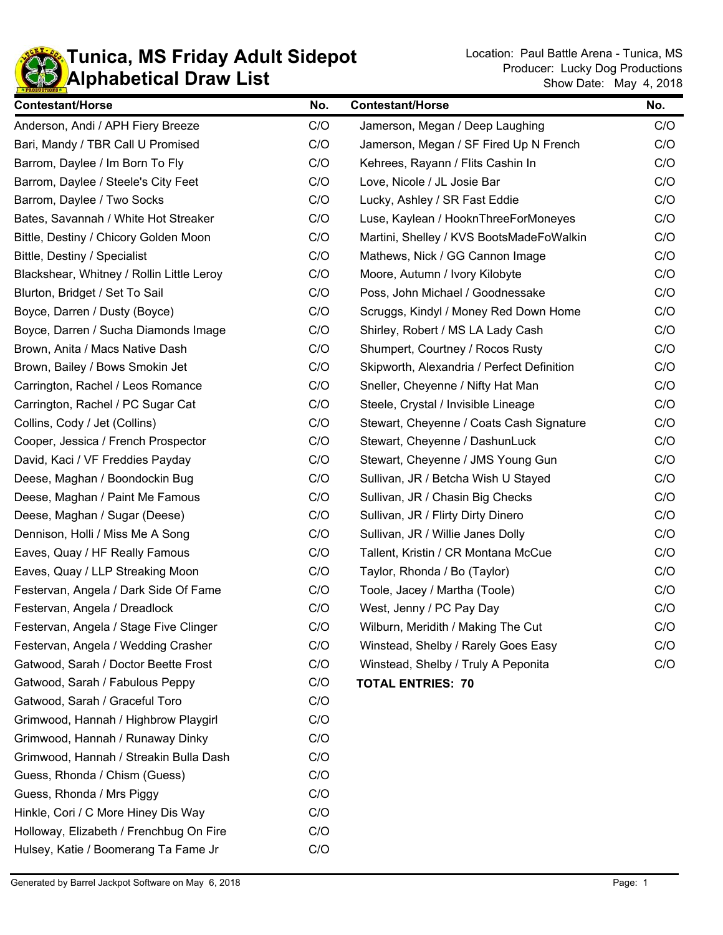

| <b>Contestant/Horse</b>                   | No. | <b>Contestant/Horse</b>                    | No. |
|-------------------------------------------|-----|--------------------------------------------|-----|
| Anderson, Andi / APH Fiery Breeze         | C/O | Jamerson, Megan / Deep Laughing            | C/O |
| Bari, Mandy / TBR Call U Promised         | C/O | Jamerson, Megan / SF Fired Up N French     | C/O |
| Barrom, Daylee / Im Born To Fly           | C/O | Kehrees, Rayann / Flits Cashin In          | C/O |
| Barrom, Daylee / Steele's City Feet       | C/O | Love, Nicole / JL Josie Bar                | C/O |
| Barrom, Daylee / Two Socks                | C/O | Lucky, Ashley / SR Fast Eddie              | C/O |
| Bates, Savannah / White Hot Streaker      | C/O | Luse, Kaylean / HooknThreeForMoneyes       | C/O |
| Bittle, Destiny / Chicory Golden Moon     | C/O | Martini, Shelley / KVS BootsMadeFoWalkin   | C/O |
| Bittle, Destiny / Specialist              | C/O | Mathews, Nick / GG Cannon Image            | C/O |
| Blackshear, Whitney / Rollin Little Leroy | C/O | Moore, Autumn / Ivory Kilobyte             | C/O |
| Blurton, Bridget / Set To Sail            | C/O | Poss, John Michael / Goodnessake           | C/O |
| Boyce, Darren / Dusty (Boyce)             | C/O | Scruggs, Kindyl / Money Red Down Home      | C/O |
| Boyce, Darren / Sucha Diamonds Image      | C/O | Shirley, Robert / MS LA Lady Cash          | C/O |
| Brown, Anita / Macs Native Dash           | C/O | Shumpert, Courtney / Rocos Rusty           | C/O |
| Brown, Bailey / Bows Smokin Jet           | C/O | Skipworth, Alexandria / Perfect Definition | C/O |
| Carrington, Rachel / Leos Romance         | C/O | Sneller, Cheyenne / Nifty Hat Man          | C/O |
| Carrington, Rachel / PC Sugar Cat         | C/O | Steele, Crystal / Invisible Lineage        | C/O |
| Collins, Cody / Jet (Collins)             | C/O | Stewart, Cheyenne / Coats Cash Signature   | C/O |
| Cooper, Jessica / French Prospector       | C/O | Stewart, Cheyenne / DashunLuck             | C/O |
| David, Kaci / VF Freddies Payday          | C/O | Stewart, Cheyenne / JMS Young Gun          | C/O |
| Deese, Maghan / Boondockin Bug            | C/O | Sullivan, JR / Betcha Wish U Stayed        | C/O |
| Deese, Maghan / Paint Me Famous           | C/O | Sullivan, JR / Chasin Big Checks           | C/O |
| Deese, Maghan / Sugar (Deese)             | C/O | Sullivan, JR / Flirty Dirty Dinero         | C/O |
| Dennison, Holli / Miss Me A Song          | C/O | Sullivan, JR / Willie Janes Dolly          | C/O |
| Eaves, Quay / HF Really Famous            | C/O | Tallent, Kristin / CR Montana McCue        | C/O |
| Eaves, Quay / LLP Streaking Moon          | C/O | Taylor, Rhonda / Bo (Taylor)               | C/O |
| Festervan, Angela / Dark Side Of Fame     | C/O | Toole, Jacey / Martha (Toole)              | C/O |
| Festervan, Angela / Dreadlock             | C/O | West, Jenny / PC Pay Day                   | C/O |
| Festervan, Angela / Stage Five Clinger    | C/O | Wilburn, Meridith / Making The Cut         | C/O |
| Festervan, Angela / Wedding Crasher       | C/O | Winstead, Shelby / Rarely Goes Easy        | C/O |
| Gatwood, Sarah / Doctor Beette Frost      | C/O | Winstead, Shelby / Truly A Peponita        | C/O |
| Gatwood, Sarah / Fabulous Peppy           | C/O | <b>TOTAL ENTRIES: 70</b>                   |     |
| Gatwood, Sarah / Graceful Toro            | C/O |                                            |     |
| Grimwood, Hannah / Highbrow Playgirl      | C/O |                                            |     |
| Grimwood, Hannah / Runaway Dinky          | C/O |                                            |     |
| Grimwood, Hannah / Streakin Bulla Dash    | C/O |                                            |     |
| Guess, Rhonda / Chism (Guess)             | C/O |                                            |     |
| Guess, Rhonda / Mrs Piggy                 | C/O |                                            |     |
| Hinkle, Cori / C More Hiney Dis Way       | C/O |                                            |     |
| Holloway, Elizabeth / Frenchbug On Fire   | C/O |                                            |     |
| Hulsey, Katie / Boomerang Ta Fame Jr      | C/O |                                            |     |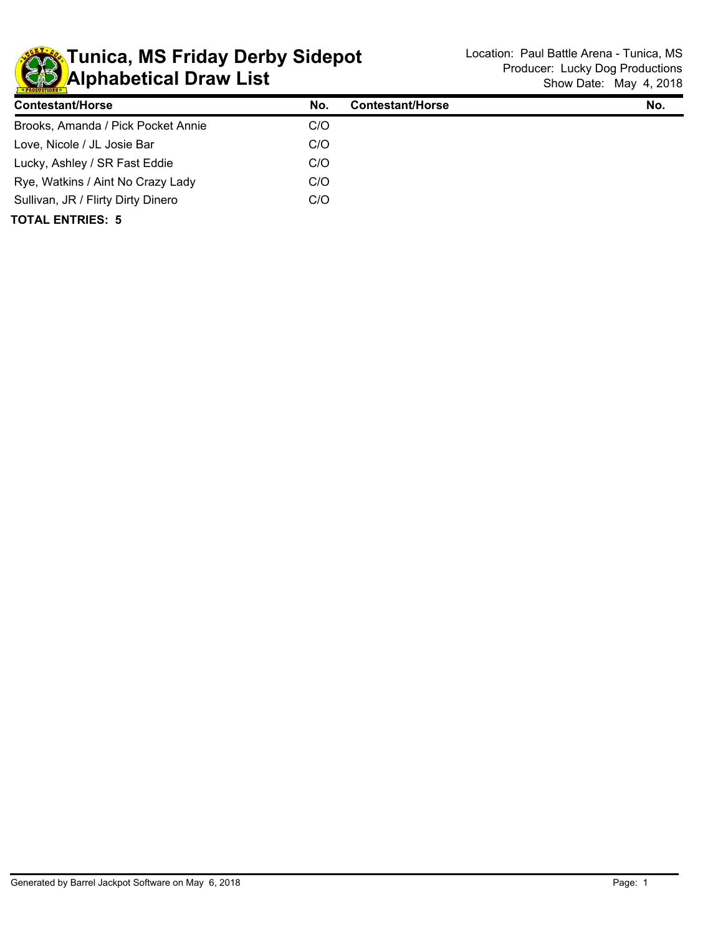

| <b>Contestant/Horse</b>            | No. | <b>Contestant/Horse</b> | No. |
|------------------------------------|-----|-------------------------|-----|
| Brooks, Amanda / Pick Pocket Annie | C/O |                         |     |
| Love, Nicole / JL Josie Bar        | C/O |                         |     |
| Lucky, Ashley / SR Fast Eddie      | C/O |                         |     |
| Rye, Watkins / Aint No Crazy Lady  | C/O |                         |     |
| Sullivan, JR / Flirty Dirty Dinero | C/O |                         |     |
| <b>TOTAL ENTRIES: 5</b>            |     |                         |     |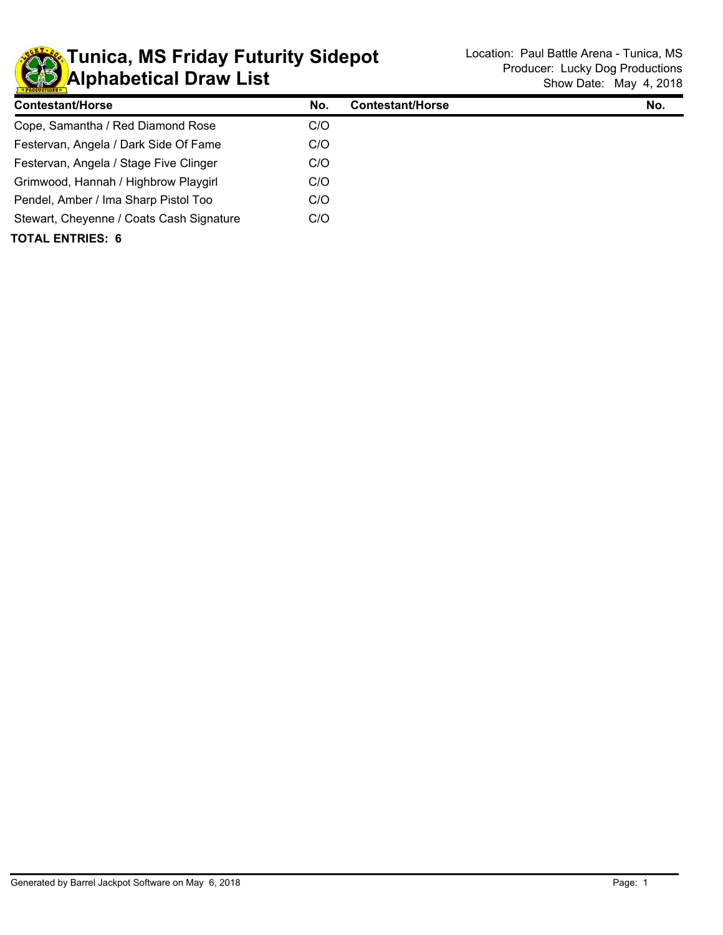

| <b>Contestant/Horse</b>                  | No. | <b>Contestant/Horse</b> | No. |
|------------------------------------------|-----|-------------------------|-----|
| Cope, Samantha / Red Diamond Rose        | C/O |                         |     |
| Festervan, Angela / Dark Side Of Fame    | C/O |                         |     |
| Festervan, Angela / Stage Five Clinger   | C/O |                         |     |
| Grimwood, Hannah / Highbrow Playgirl     | C/O |                         |     |
| Pendel, Amber / Ima Sharp Pistol Too     | C/O |                         |     |
| Stewart, Cheyenne / Coats Cash Signature | C/O |                         |     |
| <b>TOTAL ENTRIES: 6</b>                  |     |                         |     |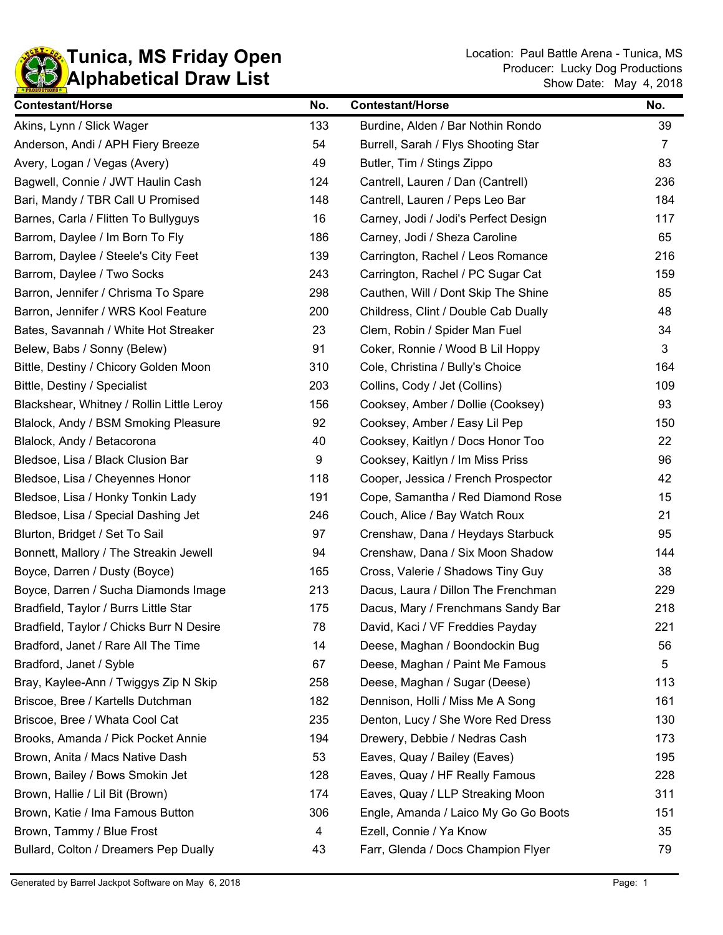

| <b>Contestant/Horse</b>                   | No. | <b>Contestant/Horse</b>              | No. |
|-------------------------------------------|-----|--------------------------------------|-----|
| Akins, Lynn / Slick Wager                 | 133 | Burdine, Alden / Bar Nothin Rondo    | 39  |
| Anderson, Andi / APH Fiery Breeze         | 54  | Burrell, Sarah / Flys Shooting Star  | 7   |
| Avery, Logan / Vegas (Avery)              | 49  | Butler, Tim / Stings Zippo           | 83  |
| Bagwell, Connie / JWT Haulin Cash         | 124 | Cantrell, Lauren / Dan (Cantrell)    | 236 |
| Bari, Mandy / TBR Call U Promised         | 148 | Cantrell, Lauren / Peps Leo Bar      | 184 |
| Barnes, Carla / Flitten To Bullyguys      | 16  | Carney, Jodi / Jodi's Perfect Design | 117 |
| Barrom, Daylee / Im Born To Fly           | 186 | Carney, Jodi / Sheza Caroline        | 65  |
| Barrom, Daylee / Steele's City Feet       | 139 | Carrington, Rachel / Leos Romance    | 216 |
| Barrom, Daylee / Two Socks                | 243 | Carrington, Rachel / PC Sugar Cat    | 159 |
| Barron, Jennifer / Chrisma To Spare       | 298 | Cauthen, Will / Dont Skip The Shine  | 85  |
| Barron, Jennifer / WRS Kool Feature       | 200 | Childress, Clint / Double Cab Dually | 48  |
| Bates, Savannah / White Hot Streaker      | 23  | Clem, Robin / Spider Man Fuel        | 34  |
| Belew, Babs / Sonny (Belew)               | 91  | Coker, Ronnie / Wood B Lil Hoppy     | 3   |
| Bittle, Destiny / Chicory Golden Moon     | 310 | Cole, Christina / Bully's Choice     | 164 |
| Bittle, Destiny / Specialist              | 203 | Collins, Cody / Jet (Collins)        | 109 |
| Blackshear, Whitney / Rollin Little Leroy | 156 | Cooksey, Amber / Dollie (Cooksey)    | 93  |
| Blalock, Andy / BSM Smoking Pleasure      | 92  | Cooksey, Amber / Easy Lil Pep        | 150 |
| Blalock, Andy / Betacorona                | 40  | Cooksey, Kaitlyn / Docs Honor Too    | 22  |
| Bledsoe, Lisa / Black Clusion Bar         | 9   | Cooksey, Kaitlyn / Im Miss Priss     | 96  |
| Bledsoe, Lisa / Cheyennes Honor           | 118 | Cooper, Jessica / French Prospector  | 42  |
| Bledsoe, Lisa / Honky Tonkin Lady         | 191 | Cope, Samantha / Red Diamond Rose    | 15  |
| Bledsoe, Lisa / Special Dashing Jet       | 246 | Couch, Alice / Bay Watch Roux        | 21  |
| Blurton, Bridget / Set To Sail            | 97  | Crenshaw, Dana / Heydays Starbuck    | 95  |
| Bonnett, Mallory / The Streakin Jewell    | 94  | Crenshaw, Dana / Six Moon Shadow     | 144 |
| Boyce, Darren / Dusty (Boyce)             | 165 | Cross, Valerie / Shadows Tiny Guy    | 38  |
| Boyce, Darren / Sucha Diamonds Image      | 213 | Dacus, Laura / Dillon The Frenchman  | 229 |
| Bradfield, Taylor / Burrs Little Star     | 175 | Dacus, Mary / Frenchmans Sandy Bar   | 218 |
| Bradfield, Taylor / Chicks Burr N Desire  | 78  | David, Kaci / VF Freddies Payday     | 221 |
| Bradford, Janet / Rare All The Time       | 14  | Deese, Maghan / Boondockin Bug       | 56  |
| Bradford, Janet / Syble                   | 67  | Deese, Maghan / Paint Me Famous      | 5   |
| Bray, Kaylee-Ann / Twiggys Zip N Skip     | 258 | Deese, Maghan / Sugar (Deese)        | 113 |
| Briscoe, Bree / Kartells Dutchman         | 182 | Dennison, Holli / Miss Me A Song     | 161 |
| Briscoe, Bree / Whata Cool Cat            | 235 | Denton, Lucy / She Wore Red Dress    | 130 |
| Brooks, Amanda / Pick Pocket Annie        | 194 | Drewery, Debbie / Nedras Cash        | 173 |
| Brown, Anita / Macs Native Dash           | 53  | Eaves, Quay / Bailey (Eaves)         | 195 |
| Brown, Bailey / Bows Smokin Jet           | 128 | Eaves, Quay / HF Really Famous       | 228 |
| Brown, Hallie / Lil Bit (Brown)           | 174 | Eaves, Quay / LLP Streaking Moon     | 311 |
| Brown, Katie / Ima Famous Button          | 306 | Engle, Amanda / Laico My Go Go Boots | 151 |
| Brown, Tammy / Blue Frost                 | 4   | Ezell, Connie / Ya Know              | 35  |
| Bullard, Colton / Dreamers Pep Dually     | 43  | Farr, Glenda / Docs Champion Flyer   | 79  |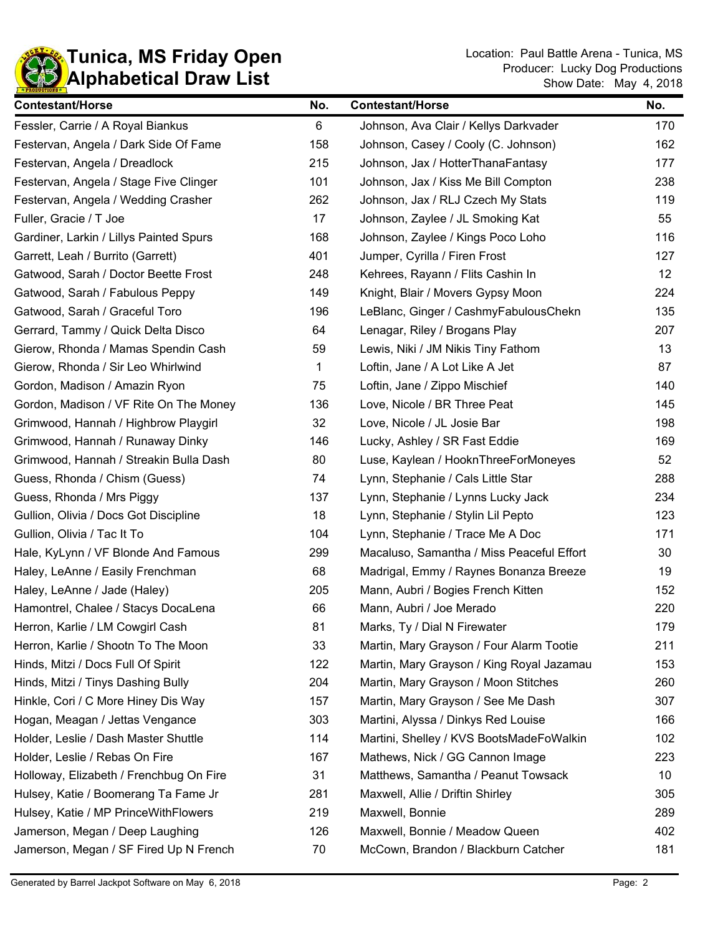

| <b>Contestant/Horse</b>                 | No. | <b>Contestant/Horse</b>                   | No. |
|-----------------------------------------|-----|-------------------------------------------|-----|
| Fessler, Carrie / A Royal Biankus       | 6   | Johnson, Ava Clair / Kellys Darkvader     | 170 |
| Festervan, Angela / Dark Side Of Fame   | 158 | Johnson, Casey / Cooly (C. Johnson)       | 162 |
| Festervan, Angela / Dreadlock           | 215 | Johnson, Jax / HotterThanaFantasy         | 177 |
| Festervan, Angela / Stage Five Clinger  | 101 | Johnson, Jax / Kiss Me Bill Compton       | 238 |
| Festervan, Angela / Wedding Crasher     | 262 | Johnson, Jax / RLJ Czech My Stats         | 119 |
| Fuller, Gracie / T Joe                  | 17  | Johnson, Zaylee / JL Smoking Kat          | 55  |
| Gardiner, Larkin / Lillys Painted Spurs | 168 | Johnson, Zaylee / Kings Poco Loho         | 116 |
| Garrett, Leah / Burrito (Garrett)       | 401 | Jumper, Cyrilla / Firen Frost             | 127 |
| Gatwood, Sarah / Doctor Beette Frost    | 248 | Kehrees, Rayann / Flits Cashin In         | 12  |
| Gatwood, Sarah / Fabulous Peppy         | 149 | Knight, Blair / Movers Gypsy Moon         | 224 |
| Gatwood, Sarah / Graceful Toro          | 196 | LeBlanc, Ginger / CashmyFabulousChekn     | 135 |
| Gerrard, Tammy / Quick Delta Disco      | 64  | Lenagar, Riley / Brogans Play             | 207 |
| Gierow, Rhonda / Mamas Spendin Cash     | 59  | Lewis, Niki / JM Nikis Tiny Fathom        | 13  |
| Gierow, Rhonda / Sir Leo Whirlwind      | 1   | Loftin, Jane / A Lot Like A Jet           | 87  |
| Gordon, Madison / Amazin Ryon           | 75  | Loftin, Jane / Zippo Mischief             | 140 |
| Gordon, Madison / VF Rite On The Money  | 136 | Love, Nicole / BR Three Peat              | 145 |
| Grimwood, Hannah / Highbrow Playgirl    | 32  | Love, Nicole / JL Josie Bar               | 198 |
| Grimwood, Hannah / Runaway Dinky        | 146 | Lucky, Ashley / SR Fast Eddie             | 169 |
| Grimwood, Hannah / Streakin Bulla Dash  | 80  | Luse, Kaylean / HooknThreeForMoneyes      | 52  |
| Guess, Rhonda / Chism (Guess)           | 74  | Lynn, Stephanie / Cals Little Star        | 288 |
| Guess, Rhonda / Mrs Piggy               | 137 | Lynn, Stephanie / Lynns Lucky Jack        | 234 |
| Gullion, Olivia / Docs Got Discipline   | 18  | Lynn, Stephanie / Stylin Lil Pepto        | 123 |
| Gullion, Olivia / Tac It To             | 104 | Lynn, Stephanie / Trace Me A Doc          | 171 |
| Hale, KyLynn / VF Blonde And Famous     | 299 | Macaluso, Samantha / Miss Peaceful Effort | 30  |
| Haley, LeAnne / Easily Frenchman        | 68  | Madrigal, Emmy / Raynes Bonanza Breeze    | 19  |
| Haley, LeAnne / Jade (Haley)            | 205 | Mann, Aubri / Bogies French Kitten        | 152 |
| Hamontrel, Chalee / Stacys DocaLena     | 66  | Mann, Aubri / Joe Merado                  | 220 |
| Herron, Karlie / LM Cowgirl Cash        | 81  | Marks, Ty / Dial N Firewater              | 179 |
| Herron, Karlie / Shootn To The Moon     | 33  | Martin, Mary Grayson / Four Alarm Tootie  | 211 |
| Hinds, Mitzi / Docs Full Of Spirit      | 122 | Martin, Mary Grayson / King Royal Jazamau | 153 |
| Hinds, Mitzi / Tinys Dashing Bully      | 204 | Martin, Mary Grayson / Moon Stitches      | 260 |
| Hinkle, Cori / C More Hiney Dis Way     | 157 | Martin, Mary Grayson / See Me Dash        | 307 |
| Hogan, Meagan / Jettas Vengance         | 303 | Martini, Alyssa / Dinkys Red Louise       | 166 |
| Holder, Leslie / Dash Master Shuttle    | 114 | Martini, Shelley / KVS BootsMadeFoWalkin  | 102 |
| Holder, Leslie / Rebas On Fire          | 167 | Mathews, Nick / GG Cannon Image           | 223 |
| Holloway, Elizabeth / Frenchbug On Fire | 31  | Matthews, Samantha / Peanut Towsack       | 10  |
| Hulsey, Katie / Boomerang Ta Fame Jr    | 281 | Maxwell, Allie / Driftin Shirley          | 305 |
| Hulsey, Katie / MP PrinceWithFlowers    | 219 | Maxwell, Bonnie                           | 289 |
| Jamerson, Megan / Deep Laughing         | 126 | Maxwell, Bonnie / Meadow Queen            | 402 |
| Jamerson, Megan / SF Fired Up N French  | 70  | McCown, Brandon / Blackburn Catcher       | 181 |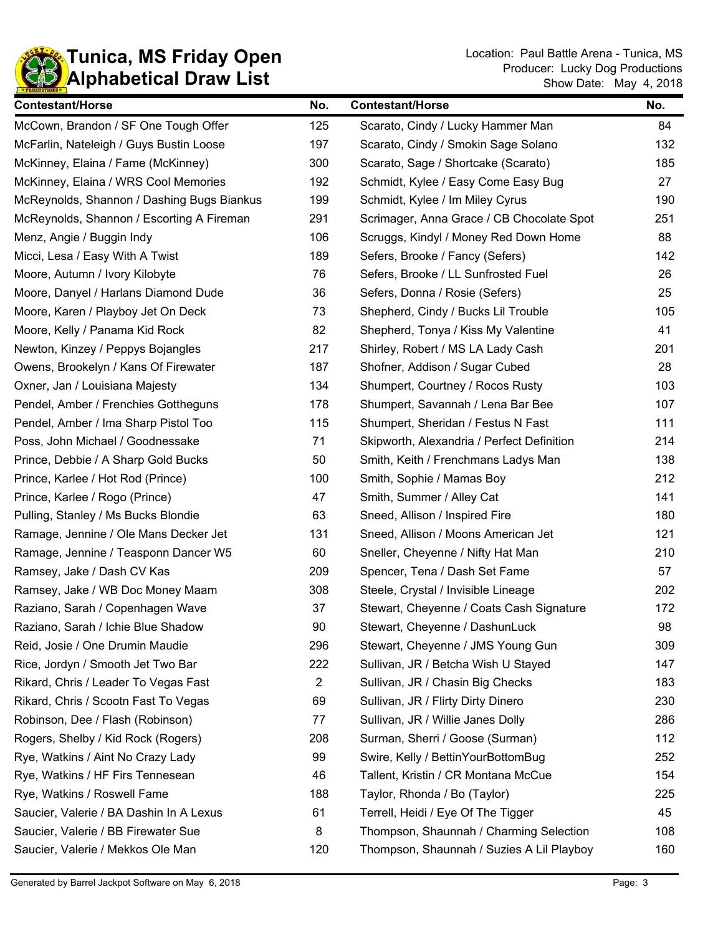

| <b>Contestant/Horse</b>                    | No.            | <b>Contestant/Horse</b>                    | No. |
|--------------------------------------------|----------------|--------------------------------------------|-----|
| McCown, Brandon / SF One Tough Offer       | 125            | Scarato, Cindy / Lucky Hammer Man          | 84  |
| McFarlin, Nateleigh / Guys Bustin Loose    | 197            | Scarato, Cindy / Smokin Sage Solano        | 132 |
| McKinney, Elaina / Fame (McKinney)         | 300            | Scarato, Sage / Shortcake (Scarato)        | 185 |
| McKinney, Elaina / WRS Cool Memories       | 192            | Schmidt, Kylee / Easy Come Easy Bug        | 27  |
| McReynolds, Shannon / Dashing Bugs Biankus | 199            | Schmidt, Kylee / Im Miley Cyrus            | 190 |
| McReynolds, Shannon / Escorting A Fireman  | 291            | Scrimager, Anna Grace / CB Chocolate Spot  | 251 |
| Menz, Angie / Buggin Indy                  | 106            | Scruggs, Kindyl / Money Red Down Home      | 88  |
| Micci, Lesa / Easy With A Twist            | 189            | Sefers, Brooke / Fancy (Sefers)            | 142 |
| Moore, Autumn / Ivory Kilobyte             | 76             | Sefers, Brooke / LL Sunfrosted Fuel        | 26  |
| Moore, Danyel / Harlans Diamond Dude       | 36             | Sefers, Donna / Rosie (Sefers)             | 25  |
| Moore, Karen / Playboy Jet On Deck         | 73             | Shepherd, Cindy / Bucks Lil Trouble        | 105 |
| Moore, Kelly / Panama Kid Rock             | 82             | Shepherd, Tonya / Kiss My Valentine        | 41  |
| Newton, Kinzey / Peppys Bojangles          | 217            | Shirley, Robert / MS LA Lady Cash          | 201 |
| Owens, Brookelyn / Kans Of Firewater       | 187            | Shofner, Addison / Sugar Cubed             | 28  |
| Oxner, Jan / Louisiana Majesty             | 134            | Shumpert, Courtney / Rocos Rusty           | 103 |
| Pendel, Amber / Frenchies Gottheguns       | 178            | Shumpert, Savannah / Lena Bar Bee          | 107 |
| Pendel, Amber / Ima Sharp Pistol Too       | 115            | Shumpert, Sheridan / Festus N Fast         | 111 |
| Poss, John Michael / Goodnessake           | 71             | Skipworth, Alexandria / Perfect Definition | 214 |
| Prince, Debbie / A Sharp Gold Bucks        | 50             | Smith, Keith / Frenchmans Ladys Man        | 138 |
| Prince, Karlee / Hot Rod (Prince)          | 100            | Smith, Sophie / Mamas Boy                  | 212 |
| Prince, Karlee / Rogo (Prince)             | 47             | Smith, Summer / Alley Cat                  | 141 |
| Pulling, Stanley / Ms Bucks Blondie        | 63             | Sneed, Allison / Inspired Fire             | 180 |
| Ramage, Jennine / Ole Mans Decker Jet      | 131            | Sneed, Allison / Moons American Jet        | 121 |
| Ramage, Jennine / Teasponn Dancer W5       | 60             | Sneller, Cheyenne / Nifty Hat Man          | 210 |
| Ramsey, Jake / Dash CV Kas                 | 209            | Spencer, Tena / Dash Set Fame              | 57  |
| Ramsey, Jake / WB Doc Money Maam           | 308            | Steele, Crystal / Invisible Lineage        | 202 |
| Raziano, Sarah / Copenhagen Wave           | 37             | Stewart, Cheyenne / Coats Cash Signature   | 172 |
| Raziano, Sarah / Ichie Blue Shadow         | 90             | Stewart, Cheyenne / DashunLuck             | 98  |
| Reid, Josie / One Drumin Maudie            | 296            | Stewart, Cheyenne / JMS Young Gun          | 309 |
| Rice, Jordyn / Smooth Jet Two Bar          | 222            | Sullivan, JR / Betcha Wish U Stayed        | 147 |
| Rikard, Chris / Leader To Vegas Fast       | $\overline{2}$ | Sullivan, JR / Chasin Big Checks           | 183 |
| Rikard, Chris / Scootn Fast To Vegas       | 69             | Sullivan, JR / Flirty Dirty Dinero         | 230 |
| Robinson, Dee / Flash (Robinson)           | 77             | Sullivan, JR / Willie Janes Dolly          | 286 |
| Rogers, Shelby / Kid Rock (Rogers)         | 208            | Surman, Sherri / Goose (Surman)            | 112 |
| Rye, Watkins / Aint No Crazy Lady          | 99             | Swire, Kelly / BettinYourBottomBug         | 252 |
| Rye, Watkins / HF Firs Tennesean           | 46             | Tallent, Kristin / CR Montana McCue        | 154 |
| Rye, Watkins / Roswell Fame                | 188            | Taylor, Rhonda / Bo (Taylor)               | 225 |
| Saucier, Valerie / BA Dashin In A Lexus    | 61             | Terrell, Heidi / Eye Of The Tigger         | 45  |
| Saucier, Valerie / BB Firewater Sue        | 8              | Thompson, Shaunnah / Charming Selection    | 108 |
| Saucier, Valerie / Mekkos Ole Man          | 120            | Thompson, Shaunnah / Suzies A Lil Playboy  | 160 |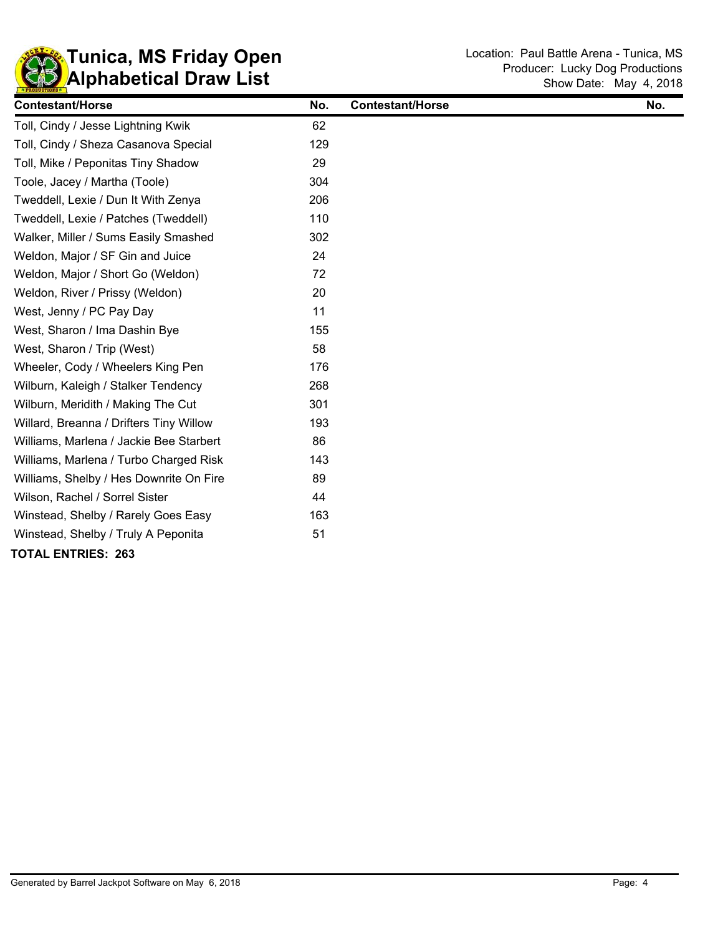

| <b>Contestant/Horse</b>                 | No. | <b>Contestant/Horse</b> | No. |
|-----------------------------------------|-----|-------------------------|-----|
| Toll, Cindy / Jesse Lightning Kwik      | 62  |                         |     |
| Toll, Cindy / Sheza Casanova Special    | 129 |                         |     |
| Toll, Mike / Peponitas Tiny Shadow      | 29  |                         |     |
| Toole, Jacey / Martha (Toole)           | 304 |                         |     |
| Tweddell, Lexie / Dun It With Zenya     | 206 |                         |     |
| Tweddell, Lexie / Patches (Tweddell)    | 110 |                         |     |
| Walker, Miller / Sums Easily Smashed    | 302 |                         |     |
| Weldon, Major / SF Gin and Juice        | 24  |                         |     |
| Weldon, Major / Short Go (Weldon)       | 72  |                         |     |
| Weldon, River / Prissy (Weldon)         | 20  |                         |     |
| West, Jenny / PC Pay Day                | 11  |                         |     |
| West, Sharon / Ima Dashin Bye           | 155 |                         |     |
| West, Sharon / Trip (West)              | 58  |                         |     |
| Wheeler, Cody / Wheelers King Pen       | 176 |                         |     |
| Wilburn, Kaleigh / Stalker Tendency     | 268 |                         |     |
| Wilburn, Meridith / Making The Cut      | 301 |                         |     |
| Willard, Breanna / Drifters Tiny Willow | 193 |                         |     |
| Williams, Marlena / Jackie Bee Starbert | 86  |                         |     |
| Williams, Marlena / Turbo Charged Risk  | 143 |                         |     |
| Williams, Shelby / Hes Downrite On Fire | 89  |                         |     |
| Wilson, Rachel / Sorrel Sister          | 44  |                         |     |
| Winstead, Shelby / Rarely Goes Easy     | 163 |                         |     |
| Winstead, Shelby / Truly A Peponita     | 51  |                         |     |
| <b>TOTAL ENTRIES: 263</b>               |     |                         |     |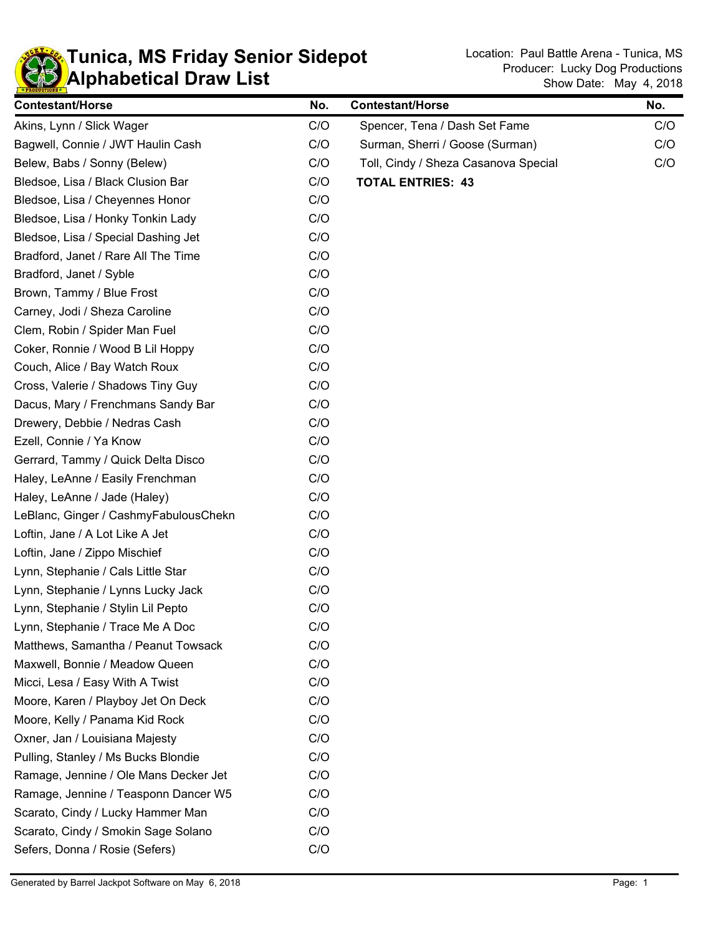

| <b>Contestant/Horse</b>               | No. | <b>Contestant/Horse</b>              | No. |
|---------------------------------------|-----|--------------------------------------|-----|
| Akins, Lynn / Slick Wager             | C/O | Spencer, Tena / Dash Set Fame        | C/O |
| Bagwell, Connie / JWT Haulin Cash     | C/O | Surman, Sherri / Goose (Surman)      | C/O |
| Belew, Babs / Sonny (Belew)           | C/O | Toll, Cindy / Sheza Casanova Special | C/O |
| Bledsoe, Lisa / Black Clusion Bar     | C/O | <b>TOTAL ENTRIES: 43</b>             |     |
| Bledsoe, Lisa / Cheyennes Honor       | C/O |                                      |     |
| Bledsoe, Lisa / Honky Tonkin Lady     | C/O |                                      |     |
| Bledsoe, Lisa / Special Dashing Jet   | C/O |                                      |     |
| Bradford, Janet / Rare All The Time   | C/O |                                      |     |
| Bradford, Janet / Syble               | C/O |                                      |     |
| Brown, Tammy / Blue Frost             | C/O |                                      |     |
| Carney, Jodi / Sheza Caroline         | C/O |                                      |     |
| Clem, Robin / Spider Man Fuel         | C/O |                                      |     |
| Coker, Ronnie / Wood B Lil Hoppy      | C/O |                                      |     |
| Couch, Alice / Bay Watch Roux         | C/O |                                      |     |
| Cross, Valerie / Shadows Tiny Guy     | C/O |                                      |     |
| Dacus, Mary / Frenchmans Sandy Bar    | C/O |                                      |     |
| Drewery, Debbie / Nedras Cash         | C/O |                                      |     |
| Ezell, Connie / Ya Know               | C/O |                                      |     |
| Gerrard, Tammy / Quick Delta Disco    | C/O |                                      |     |
| Haley, LeAnne / Easily Frenchman      | C/O |                                      |     |
| Haley, LeAnne / Jade (Haley)          | C/O |                                      |     |
| LeBlanc, Ginger / CashmyFabulousChekn | C/O |                                      |     |
| Loftin, Jane / A Lot Like A Jet       | C/O |                                      |     |
| Loftin, Jane / Zippo Mischief         | C/O |                                      |     |
| Lynn, Stephanie / Cals Little Star    | C/O |                                      |     |
| Lynn, Stephanie / Lynns Lucky Jack    | C/O |                                      |     |
| Lynn, Stephanie / Stylin Lil Pepto    | C/O |                                      |     |
| Lynn, Stephanie / Trace Me A Doc      | C/O |                                      |     |
| Matthews, Samantha / Peanut Towsack   | C/O |                                      |     |
| Maxwell, Bonnie / Meadow Queen        | C/O |                                      |     |
| Micci, Lesa / Easy With A Twist       | C/O |                                      |     |
| Moore, Karen / Playboy Jet On Deck    | C/O |                                      |     |
| Moore, Kelly / Panama Kid Rock        | C/O |                                      |     |
| Oxner, Jan / Louisiana Majesty        | C/O |                                      |     |
| Pulling, Stanley / Ms Bucks Blondie   | C/O |                                      |     |
| Ramage, Jennine / Ole Mans Decker Jet | C/O |                                      |     |
| Ramage, Jennine / Teasponn Dancer W5  | C/O |                                      |     |
| Scarato, Cindy / Lucky Hammer Man     | C/O |                                      |     |
| Scarato, Cindy / Smokin Sage Solano   | C/O |                                      |     |
| Sefers, Donna / Rosie (Sefers)        | C/O |                                      |     |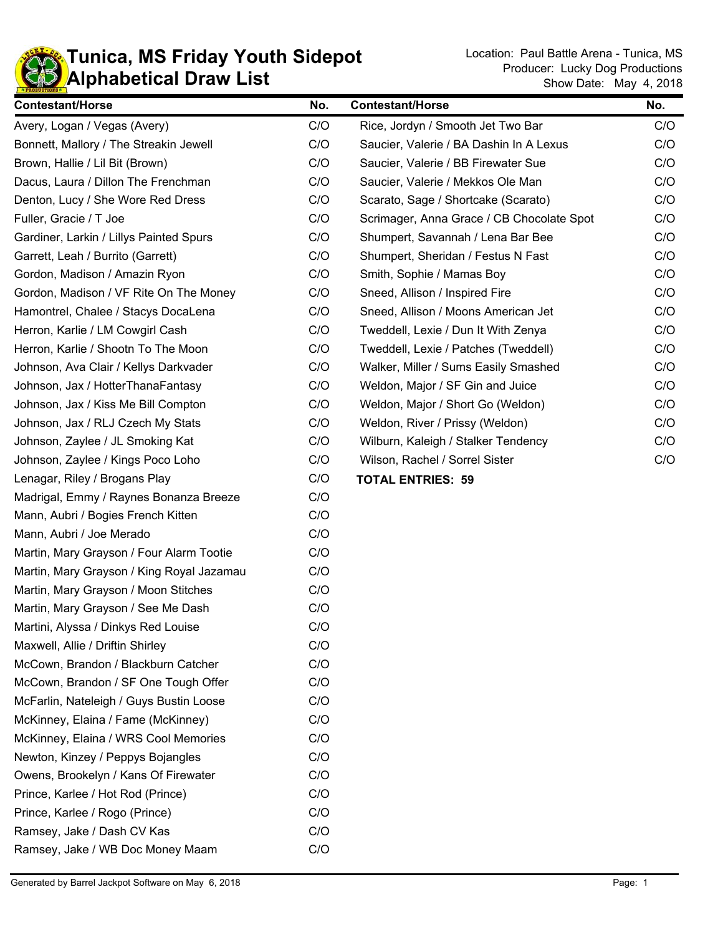

Show Date: May 4, 2018 Producer: Lucky Dog Productions

 $\blacksquare$ 

| <b>Contestant/Horse</b>                   | No. | <b>Contestant/Horse</b>                   | No. |
|-------------------------------------------|-----|-------------------------------------------|-----|
| Avery, Logan / Vegas (Avery)              | C/O | Rice, Jordyn / Smooth Jet Two Bar         | C/O |
| Bonnett, Mallory / The Streakin Jewell    | C/O | Saucier, Valerie / BA Dashin In A Lexus   | C/O |
| Brown, Hallie / Lil Bit (Brown)           | C/O | Saucier, Valerie / BB Firewater Sue       | C/O |
| Dacus, Laura / Dillon The Frenchman       | C/O | Saucier, Valerie / Mekkos Ole Man         | C/O |
| Denton, Lucy / She Wore Red Dress         | C/O | Scarato, Sage / Shortcake (Scarato)       | C/O |
| Fuller, Gracie / T Joe                    | C/O | Scrimager, Anna Grace / CB Chocolate Spot | C/O |
| Gardiner, Larkin / Lillys Painted Spurs   | C/O | Shumpert, Savannah / Lena Bar Bee         | C/O |
| Garrett, Leah / Burrito (Garrett)         | C/O | Shumpert, Sheridan / Festus N Fast        | C/O |
| Gordon, Madison / Amazin Ryon             | C/O | Smith, Sophie / Mamas Boy                 | C/O |
| Gordon, Madison / VF Rite On The Money    | C/O | Sneed, Allison / Inspired Fire            | C/O |
| Hamontrel, Chalee / Stacys DocaLena       | C/O | Sneed, Allison / Moons American Jet       | C/O |
| Herron, Karlie / LM Cowgirl Cash          | C/O | Tweddell, Lexie / Dun It With Zenya       | C/O |
| Herron, Karlie / Shootn To The Moon       | C/O | Tweddell, Lexie / Patches (Tweddell)      | C/O |
| Johnson, Ava Clair / Kellys Darkvader     | C/O | Walker, Miller / Sums Easily Smashed      | C/O |
| Johnson, Jax / HotterThanaFantasy         | C/O | Weldon, Major / SF Gin and Juice          | C/O |
| Johnson, Jax / Kiss Me Bill Compton       | C/O | Weldon, Major / Short Go (Weldon)         | C/O |
| Johnson, Jax / RLJ Czech My Stats         | C/O | Weldon, River / Prissy (Weldon)           | C/O |
| Johnson, Zaylee / JL Smoking Kat          | C/O | Wilburn, Kaleigh / Stalker Tendency       | C/O |
| Johnson, Zaylee / Kings Poco Loho         | C/O | Wilson, Rachel / Sorrel Sister            | C/O |
| Lenagar, Riley / Brogans Play             | C/O | <b>TOTAL ENTRIES: 59</b>                  |     |
| Madrigal, Emmy / Raynes Bonanza Breeze    | C/O |                                           |     |
| Mann, Aubri / Bogies French Kitten        | C/O |                                           |     |
| Mann, Aubri / Joe Merado                  | C/O |                                           |     |
| Martin, Mary Grayson / Four Alarm Tootie  | C/O |                                           |     |
| Martin, Mary Grayson / King Royal Jazamau | C/O |                                           |     |
| Martin, Mary Grayson / Moon Stitches      | C/O |                                           |     |
| Martin, Mary Grayson / See Me Dash        | C/O |                                           |     |
| Martini, Alyssa / Dinkys Red Louise       | C/O |                                           |     |
| Maxwell, Allie / Driftin Shirley          | C/O |                                           |     |
| McCown, Brandon / Blackburn Catcher       | C/O |                                           |     |
| McCown, Brandon / SF One Tough Offer      | C/O |                                           |     |
| McFarlin, Nateleigh / Guys Bustin Loose   | C/O |                                           |     |
| McKinney, Elaina / Fame (McKinney)        | C/O |                                           |     |
| McKinney, Elaina / WRS Cool Memories      | C/O |                                           |     |
| Newton, Kinzey / Peppys Bojangles         | C/O |                                           |     |
| Owens, Brookelyn / Kans Of Firewater      | C/O |                                           |     |
| Prince, Karlee / Hot Rod (Prince)         | C/O |                                           |     |
| Prince, Karlee / Rogo (Prince)            | C/O |                                           |     |
| Ramsey, Jake / Dash CV Kas                | C/O |                                           |     |
| Ramsey, Jake / WB Doc Money Maam          | C/O |                                           |     |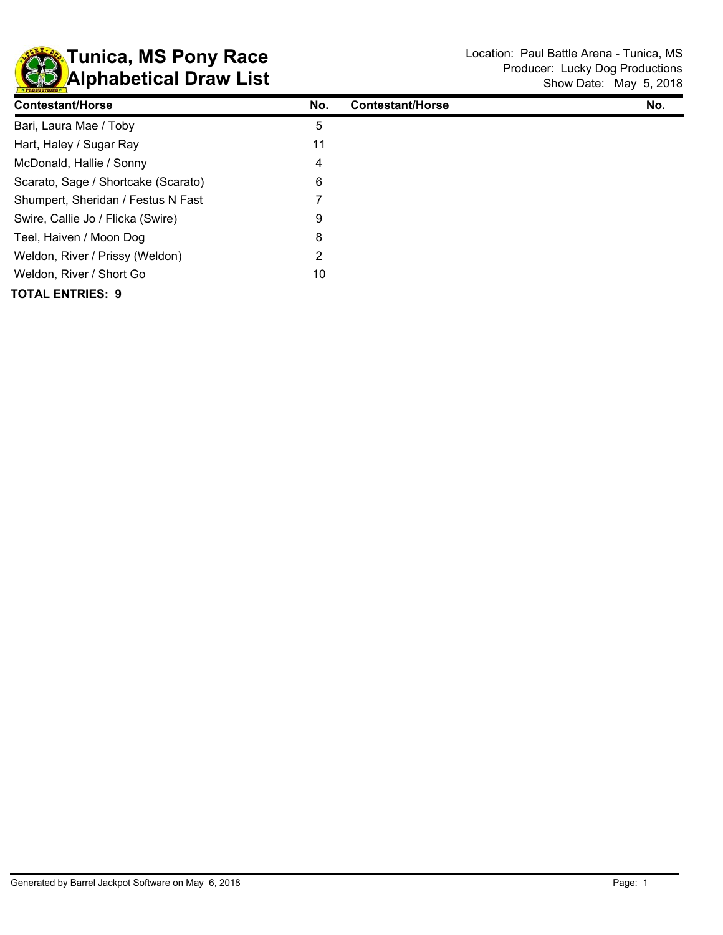

| <b>Contestant/Horse</b>             | No. | <b>Contestant/Horse</b> | No. |
|-------------------------------------|-----|-------------------------|-----|
| Bari, Laura Mae / Toby              | 5   |                         |     |
| Hart, Haley / Sugar Ray             | 11  |                         |     |
| McDonald, Hallie / Sonny            | 4   |                         |     |
| Scarato, Sage / Shortcake (Scarato) | 6   |                         |     |
| Shumpert, Sheridan / Festus N Fast  |     |                         |     |
| Swire, Callie Jo / Flicka (Swire)   | 9   |                         |     |
| Teel, Haiven / Moon Dog             | 8   |                         |     |
| Weldon, River / Prissy (Weldon)     | 2   |                         |     |
| Weldon, River / Short Go            | 10  |                         |     |
| <b>TOTAL ENTRIES: 9</b>             |     |                         |     |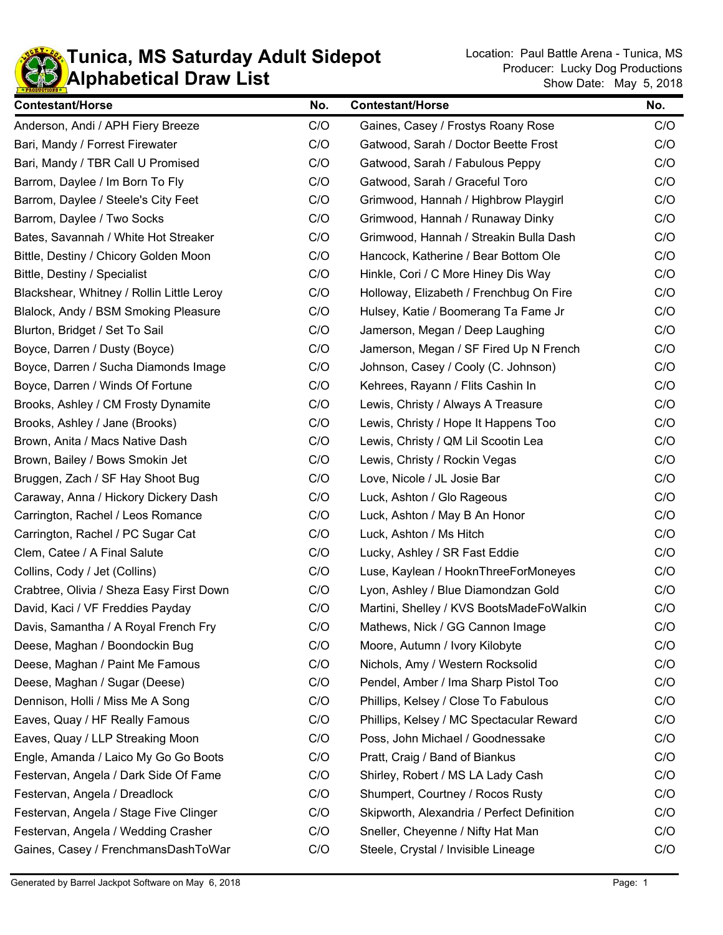

| <b>Contestant/Horse</b>                   | No. | <b>Contestant/Horse</b>                    | No. |
|-------------------------------------------|-----|--------------------------------------------|-----|
| Anderson, Andi / APH Fiery Breeze         | C/O | Gaines, Casey / Frostys Roany Rose         | C/O |
| Bari, Mandy / Forrest Firewater           | C/O | Gatwood, Sarah / Doctor Beette Frost       | C/O |
| Bari, Mandy / TBR Call U Promised         | C/O | Gatwood, Sarah / Fabulous Peppy            | C/O |
| Barrom, Daylee / Im Born To Fly           | C/O | Gatwood, Sarah / Graceful Toro             | C/O |
| Barrom, Daylee / Steele's City Feet       | C/O | Grimwood, Hannah / Highbrow Playgirl       | C/O |
| Barrom, Daylee / Two Socks                | C/O | Grimwood, Hannah / Runaway Dinky           | C/O |
| Bates, Savannah / White Hot Streaker      | C/O | Grimwood, Hannah / Streakin Bulla Dash     | C/O |
| Bittle, Destiny / Chicory Golden Moon     | C/O | Hancock, Katherine / Bear Bottom Ole       | C/O |
| Bittle, Destiny / Specialist              | C/O | Hinkle, Cori / C More Hiney Dis Way        | C/O |
| Blackshear, Whitney / Rollin Little Leroy | C/O | Holloway, Elizabeth / Frenchbug On Fire    | C/O |
| Blalock, Andy / BSM Smoking Pleasure      | C/O | Hulsey, Katie / Boomerang Ta Fame Jr       | C/O |
| Blurton, Bridget / Set To Sail            | C/O | Jamerson, Megan / Deep Laughing            | C/O |
| Boyce, Darren / Dusty (Boyce)             | C/O | Jamerson, Megan / SF Fired Up N French     | C/O |
| Boyce, Darren / Sucha Diamonds Image      | C/O | Johnson, Casey / Cooly (C. Johnson)        | C/O |
| Boyce, Darren / Winds Of Fortune          | C/O | Kehrees, Rayann / Flits Cashin In          | C/O |
| Brooks, Ashley / CM Frosty Dynamite       | C/O | Lewis, Christy / Always A Treasure         | C/O |
| Brooks, Ashley / Jane (Brooks)            | C/O | Lewis, Christy / Hope It Happens Too       | C/O |
| Brown, Anita / Macs Native Dash           | C/O | Lewis, Christy / QM Lil Scootin Lea        | C/O |
| Brown, Bailey / Bows Smokin Jet           | C/O | Lewis, Christy / Rockin Vegas              | C/O |
| Bruggen, Zach / SF Hay Shoot Bug          | C/O | Love, Nicole / JL Josie Bar                | C/O |
| Caraway, Anna / Hickory Dickery Dash      | C/O | Luck, Ashton / Glo Rageous                 | C/O |
| Carrington, Rachel / Leos Romance         | C/O | Luck, Ashton / May B An Honor              | C/O |
| Carrington, Rachel / PC Sugar Cat         | C/O | Luck, Ashton / Ms Hitch                    | C/O |
| Clem, Catee / A Final Salute              | C/O | Lucky, Ashley / SR Fast Eddie              | C/O |
| Collins, Cody / Jet (Collins)             | C/O | Luse, Kaylean / HooknThreeForMoneyes       | C/O |
| Crabtree, Olivia / Sheza Easy First Down  | C/O | Lyon, Ashley / Blue Diamondzan Gold        | C/O |
| David, Kaci / VF Freddies Payday          | C/O | Martini, Shelley / KVS BootsMadeFoWalkin   | C/O |
| Davis, Samantha / A Royal French Fry      | C/O | Mathews, Nick / GG Cannon Image            | C/O |
| Deese, Maghan / Boondockin Bug            | C/O | Moore, Autumn / Ivory Kilobyte             | C/O |
| Deese, Maghan / Paint Me Famous           | C/O | Nichols, Amy / Western Rocksolid           | C/O |
| Deese, Maghan / Sugar (Deese)             | C/O | Pendel, Amber / Ima Sharp Pistol Too       | C/O |
| Dennison, Holli / Miss Me A Song          | C/O | Phillips, Kelsey / Close To Fabulous       | C/O |
| Eaves, Quay / HF Really Famous            | C/O | Phillips, Kelsey / MC Spectacular Reward   | C/O |
| Eaves, Quay / LLP Streaking Moon          | C/O | Poss, John Michael / Goodnessake           | C/O |
| Engle, Amanda / Laico My Go Go Boots      | C/O | Pratt, Craig / Band of Biankus             | C/O |
| Festervan, Angela / Dark Side Of Fame     | C/O | Shirley, Robert / MS LA Lady Cash          | C/O |
| Festervan, Angela / Dreadlock             | C/O | Shumpert, Courtney / Rocos Rusty           | C/O |
| Festervan, Angela / Stage Five Clinger    | C/O | Skipworth, Alexandria / Perfect Definition | C/O |
| Festervan, Angela / Wedding Crasher       | C/O | Sneller, Cheyenne / Nifty Hat Man          | C/O |
| Gaines, Casey / FrenchmansDashToWar       | C/O | Steele, Crystal / Invisible Lineage        | C/O |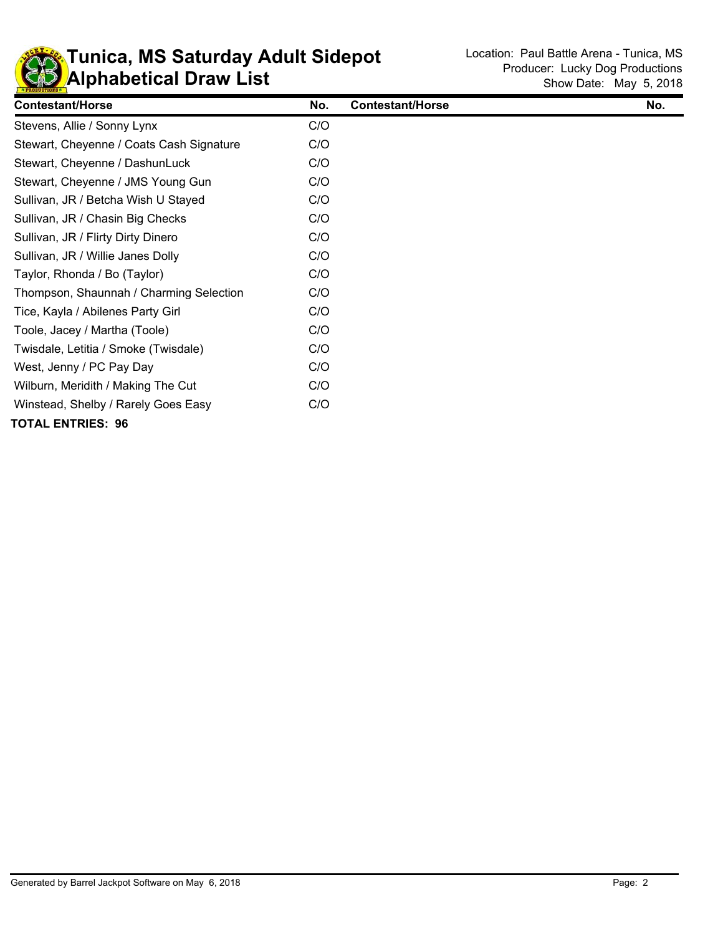

| <b>Contestant/Horse</b>                  | No. | <b>Contestant/Horse</b> | No. |
|------------------------------------------|-----|-------------------------|-----|
| Stevens, Allie / Sonny Lynx              | C/O |                         |     |
| Stewart, Cheyenne / Coats Cash Signature | C/O |                         |     |
| Stewart, Cheyenne / DashunLuck           | C/O |                         |     |
| Stewart, Cheyenne / JMS Young Gun        | C/O |                         |     |
| Sullivan, JR / Betcha Wish U Stayed      | C/O |                         |     |
| Sullivan, JR / Chasin Big Checks         | C/O |                         |     |
| Sullivan, JR / Flirty Dirty Dinero       | C/O |                         |     |
| Sullivan, JR / Willie Janes Dolly        | C/O |                         |     |
| Taylor, Rhonda / Bo (Taylor)             | C/O |                         |     |
| Thompson, Shaunnah / Charming Selection  | C/O |                         |     |
| Tice, Kayla / Abilenes Party Girl        | C/O |                         |     |
| Toole, Jacey / Martha (Toole)            | C/O |                         |     |
| Twisdale, Letitia / Smoke (Twisdale)     | C/O |                         |     |
| West, Jenny / PC Pay Day                 | C/O |                         |     |
| Wilburn, Meridith / Making The Cut       | C/O |                         |     |
| Winstead, Shelby / Rarely Goes Easy      | C/O |                         |     |
| TOTAL ENTRIES: 96                        |     |                         |     |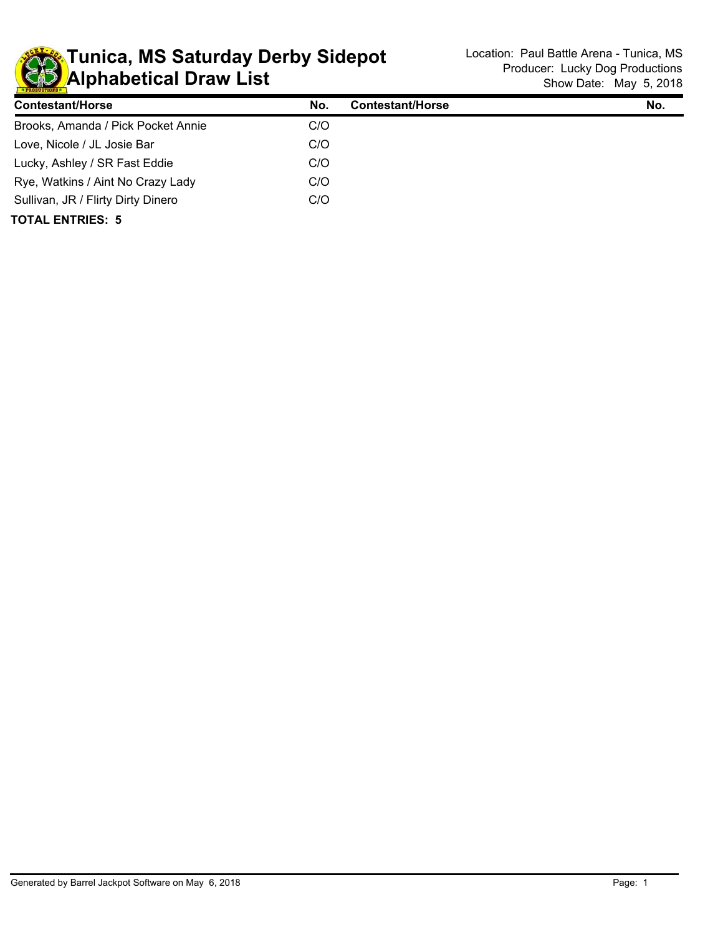

| <b>Contestant/Horse</b>            | No. | <b>Contestant/Horse</b> | No. |
|------------------------------------|-----|-------------------------|-----|
| Brooks, Amanda / Pick Pocket Annie | C/O |                         |     |
| Love, Nicole / JL Josie Bar        | C/O |                         |     |
| Lucky, Ashley / SR Fast Eddie      | C/O |                         |     |
| Rye, Watkins / Aint No Crazy Lady  | C/O |                         |     |
| Sullivan, JR / Flirty Dirty Dinero | C/O |                         |     |
| <b>TOTAL ENTRIES: 5</b>            |     |                         |     |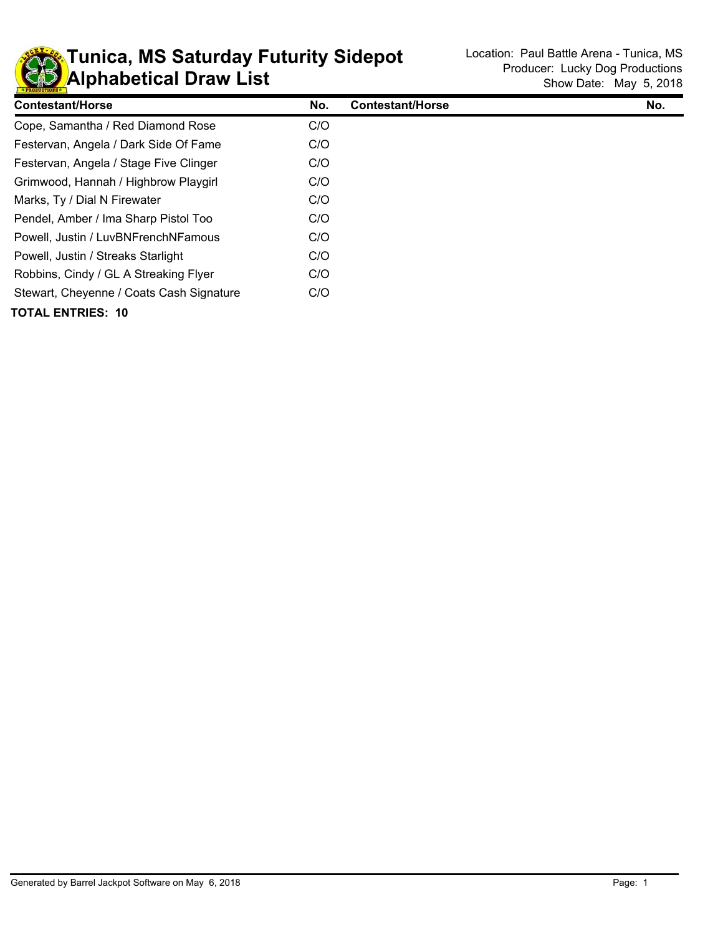

| <b>Contestant/Horse</b>                  | No. | <b>Contestant/Horse</b> | No. |
|------------------------------------------|-----|-------------------------|-----|
| Cope, Samantha / Red Diamond Rose        | C/O |                         |     |
| Festervan, Angela / Dark Side Of Fame    | C/O |                         |     |
| Festervan, Angela / Stage Five Clinger   | C/O |                         |     |
| Grimwood, Hannah / Highbrow Playgirl     | C/O |                         |     |
| Marks, Ty / Dial N Firewater             | C/O |                         |     |
| Pendel, Amber / Ima Sharp Pistol Too     | C/O |                         |     |
| Powell, Justin / LuvBNFrenchNFamous      | C/O |                         |     |
| Powell, Justin / Streaks Starlight       | C/O |                         |     |
| Robbins, Cindy / GL A Streaking Flyer    | C/O |                         |     |
| Stewart, Cheyenne / Coats Cash Signature | C/O |                         |     |
| <b>TOTAL ENTRIES: 10</b>                 |     |                         |     |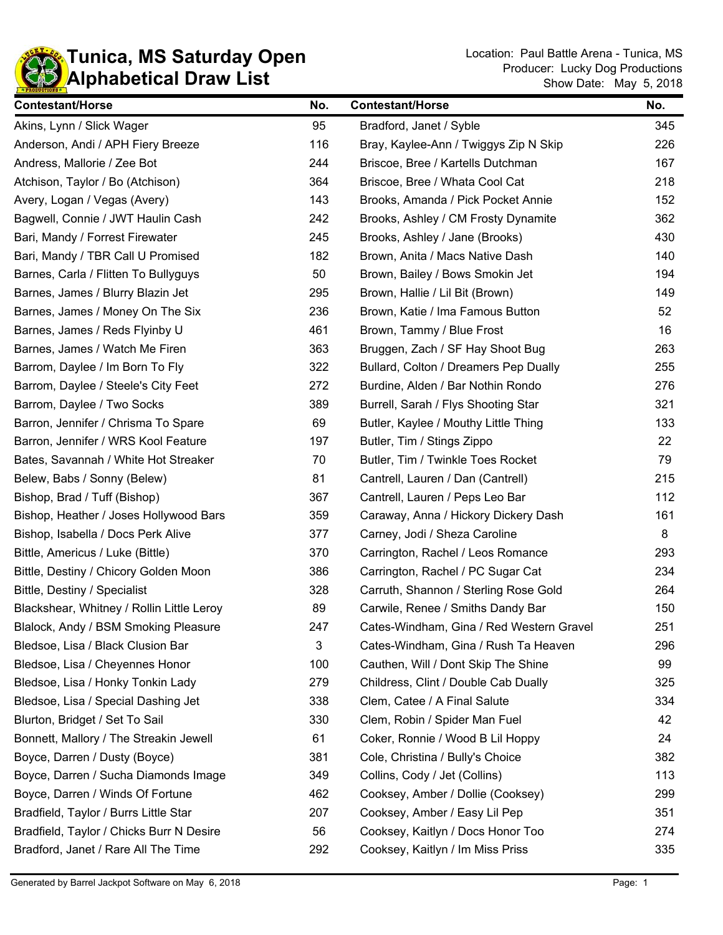

| <b>Contestant/Horse</b>                   | No. | <b>Contestant/Horse</b>                  | No. |
|-------------------------------------------|-----|------------------------------------------|-----|
| Akins, Lynn / Slick Wager                 | 95  | Bradford, Janet / Syble                  | 345 |
| Anderson, Andi / APH Fiery Breeze         | 116 | Bray, Kaylee-Ann / Twiggys Zip N Skip    | 226 |
| Andress, Mallorie / Zee Bot               | 244 | Briscoe, Bree / Kartells Dutchman        | 167 |
| Atchison, Taylor / Bo (Atchison)          | 364 | Briscoe, Bree / Whata Cool Cat           | 218 |
| Avery, Logan / Vegas (Avery)              | 143 | Brooks, Amanda / Pick Pocket Annie       | 152 |
| Bagwell, Connie / JWT Haulin Cash         | 242 | Brooks, Ashley / CM Frosty Dynamite      | 362 |
| Bari, Mandy / Forrest Firewater           | 245 | Brooks, Ashley / Jane (Brooks)           | 430 |
| Bari, Mandy / TBR Call U Promised         | 182 | Brown, Anita / Macs Native Dash          | 140 |
| Barnes, Carla / Flitten To Bullyguys      | 50  | Brown, Bailey / Bows Smokin Jet          | 194 |
| Barnes, James / Blurry Blazin Jet         | 295 | Brown, Hallie / Lil Bit (Brown)          | 149 |
| Barnes, James / Money On The Six          | 236 | Brown, Katie / Ima Famous Button         | 52  |
| Barnes, James / Reds Flyinby U            | 461 | Brown, Tammy / Blue Frost                | 16  |
| Barnes, James / Watch Me Firen            | 363 | Bruggen, Zach / SF Hay Shoot Bug         | 263 |
| Barrom, Daylee / Im Born To Fly           | 322 | Bullard, Colton / Dreamers Pep Dually    | 255 |
| Barrom, Daylee / Steele's City Feet       | 272 | Burdine, Alden / Bar Nothin Rondo        | 276 |
| Barrom, Daylee / Two Socks                | 389 | Burrell, Sarah / Flys Shooting Star      | 321 |
| Barron, Jennifer / Chrisma To Spare       | 69  | Butler, Kaylee / Mouthy Little Thing     | 133 |
| Barron, Jennifer / WRS Kool Feature       | 197 | Butler, Tim / Stings Zippo               | 22  |
| Bates, Savannah / White Hot Streaker      | 70  | Butler, Tim / Twinkle Toes Rocket        | 79  |
| Belew, Babs / Sonny (Belew)               | 81  | Cantrell, Lauren / Dan (Cantrell)        | 215 |
| Bishop, Brad / Tuff (Bishop)              | 367 | Cantrell, Lauren / Peps Leo Bar          | 112 |
| Bishop, Heather / Joses Hollywood Bars    | 359 | Caraway, Anna / Hickory Dickery Dash     | 161 |
| Bishop, Isabella / Docs Perk Alive        | 377 | Carney, Jodi / Sheza Caroline            | 8   |
| Bittle, Americus / Luke (Bittle)          | 370 | Carrington, Rachel / Leos Romance        | 293 |
| Bittle, Destiny / Chicory Golden Moon     | 386 | Carrington, Rachel / PC Sugar Cat        | 234 |
| Bittle, Destiny / Specialist              | 328 | Carruth, Shannon / Sterling Rose Gold    | 264 |
| Blackshear, Whitney / Rollin Little Leroy | 89  | Carwile, Renee / Smiths Dandy Bar        | 150 |
| Blalock, Andy / BSM Smoking Pleasure      | 247 | Cates-Windham, Gina / Red Western Gravel | 251 |
| Bledsoe, Lisa / Black Clusion Bar         | 3   | Cates-Windham, Gina / Rush Ta Heaven     | 296 |
| Bledsoe, Lisa / Cheyennes Honor           | 100 | Cauthen, Will / Dont Skip The Shine      | 99  |
| Bledsoe, Lisa / Honky Tonkin Lady         | 279 | Childress, Clint / Double Cab Dually     | 325 |
| Bledsoe, Lisa / Special Dashing Jet       | 338 | Clem, Catee / A Final Salute             | 334 |
| Blurton, Bridget / Set To Sail            | 330 | Clem, Robin / Spider Man Fuel            | 42  |
| Bonnett, Mallory / The Streakin Jewell    | 61  | Coker, Ronnie / Wood B Lil Hoppy         | 24  |
| Boyce, Darren / Dusty (Boyce)             | 381 | Cole, Christina / Bully's Choice         | 382 |
| Boyce, Darren / Sucha Diamonds Image      | 349 | Collins, Cody / Jet (Collins)            | 113 |
| Boyce, Darren / Winds Of Fortune          | 462 | Cooksey, Amber / Dollie (Cooksey)        | 299 |
| Bradfield, Taylor / Burrs Little Star     | 207 | Cooksey, Amber / Easy Lil Pep            | 351 |
| Bradfield, Taylor / Chicks Burr N Desire  | 56  | Cooksey, Kaitlyn / Docs Honor Too        | 274 |
| Bradford, Janet / Rare All The Time       | 292 | Cooksey, Kaitlyn / Im Miss Priss         | 335 |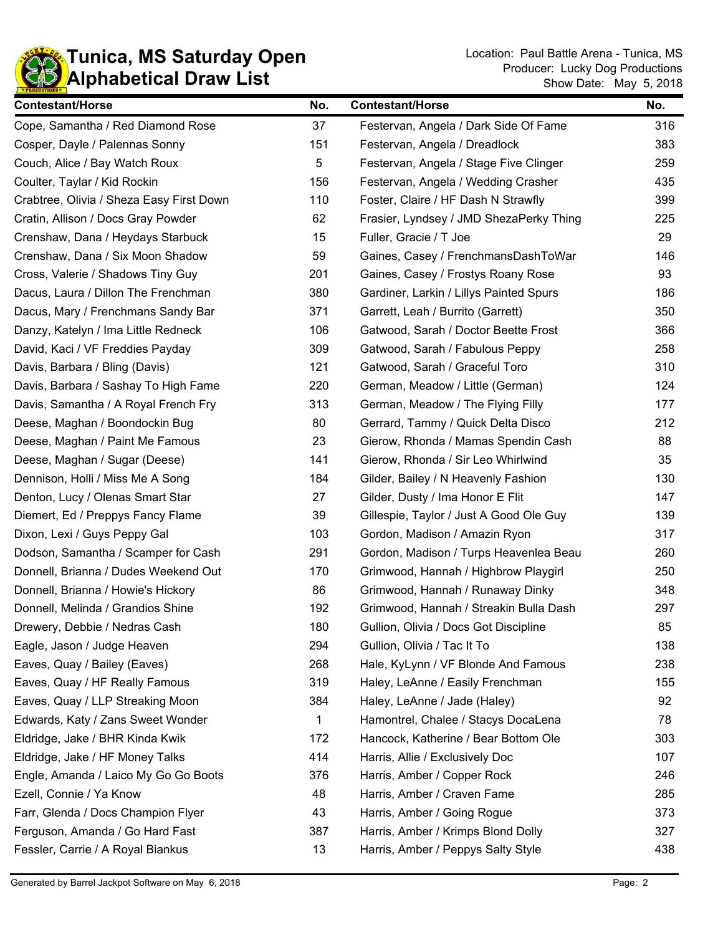

| <b>Contestant/Horse</b>                  | No. | <b>Contestant/Horse</b>                 | No. |
|------------------------------------------|-----|-----------------------------------------|-----|
| Cope, Samantha / Red Diamond Rose        | 37  | Festervan, Angela / Dark Side Of Fame   | 316 |
| Cosper, Dayle / Palennas Sonny           | 151 | Festervan, Angela / Dreadlock           | 383 |
| Couch, Alice / Bay Watch Roux            | 5   | Festervan, Angela / Stage Five Clinger  | 259 |
| Coulter, Taylar / Kid Rockin             | 156 | Festervan, Angela / Wedding Crasher     | 435 |
| Crabtree, Olivia / Sheza Easy First Down | 110 | Foster, Claire / HF Dash N Strawfly     | 399 |
| Cratin, Allison / Docs Gray Powder       | 62  | Frasier, Lyndsey / JMD ShezaPerky Thing | 225 |
| Crenshaw, Dana / Heydays Starbuck        | 15  | Fuller, Gracie / T Joe                  | 29  |
| Crenshaw, Dana / Six Moon Shadow         | 59  | Gaines, Casey / FrenchmansDashToWar     | 146 |
| Cross, Valerie / Shadows Tiny Guy        | 201 | Gaines, Casey / Frostys Roany Rose      | 93  |
| Dacus, Laura / Dillon The Frenchman      | 380 | Gardiner, Larkin / Lillys Painted Spurs | 186 |
| Dacus, Mary / Frenchmans Sandy Bar       | 371 | Garrett, Leah / Burrito (Garrett)       | 350 |
| Danzy, Katelyn / Ima Little Redneck      | 106 | Gatwood, Sarah / Doctor Beette Frost    | 366 |
| David, Kaci / VF Freddies Payday         | 309 | Gatwood, Sarah / Fabulous Peppy         | 258 |
| Davis, Barbara / Bling (Davis)           | 121 | Gatwood, Sarah / Graceful Toro          | 310 |
| Davis, Barbara / Sashay To High Fame     | 220 | German, Meadow / Little (German)        | 124 |
| Davis, Samantha / A Royal French Fry     | 313 | German, Meadow / The Flying Filly       | 177 |
| Deese, Maghan / Boondockin Bug           | 80  | Gerrard, Tammy / Quick Delta Disco      | 212 |
| Deese, Maghan / Paint Me Famous          | 23  | Gierow, Rhonda / Mamas Spendin Cash     | 88  |
| Deese, Maghan / Sugar (Deese)            | 141 | Gierow, Rhonda / Sir Leo Whirlwind      | 35  |
| Dennison, Holli / Miss Me A Song         | 184 | Gilder, Bailey / N Heavenly Fashion     | 130 |
| Denton, Lucy / Olenas Smart Star         | 27  | Gilder, Dusty / Ima Honor E Flit        | 147 |
| Diemert, Ed / Preppys Fancy Flame        | 39  | Gillespie, Taylor / Just A Good Ole Guy | 139 |
| Dixon, Lexi / Guys Peppy Gal             | 103 | Gordon, Madison / Amazin Ryon           | 317 |
| Dodson, Samantha / Scamper for Cash      | 291 | Gordon, Madison / Turps Heavenlea Beau  | 260 |
| Donnell, Brianna / Dudes Weekend Out     | 170 | Grimwood, Hannah / Highbrow Playgirl    | 250 |
| Donnell, Brianna / Howie's Hickory       | 86  | Grimwood, Hannah / Runaway Dinky        | 348 |
| Donnell, Melinda / Grandios Shine        | 192 | Grimwood, Hannah / Streakin Bulla Dash  | 297 |
| Drewery, Debbie / Nedras Cash            | 180 | Gullion, Olivia / Docs Got Discipline   | 85  |
| Eagle, Jason / Judge Heaven              | 294 | Gullion, Olivia / Tac It To             | 138 |
| Eaves, Quay / Bailey (Eaves)             | 268 | Hale, KyLynn / VF Blonde And Famous     | 238 |
| Eaves, Quay / HF Really Famous           | 319 | Haley, LeAnne / Easily Frenchman        | 155 |
| Eaves, Quay / LLP Streaking Moon         | 384 | Haley, LeAnne / Jade (Haley)            | 92  |
| Edwards, Katy / Zans Sweet Wonder        | 1   | Hamontrel, Chalee / Stacys DocaLena     | 78  |
| Eldridge, Jake / BHR Kinda Kwik          | 172 | Hancock, Katherine / Bear Bottom Ole    | 303 |
| Eldridge, Jake / HF Money Talks          | 414 | Harris, Allie / Exclusively Doc         | 107 |
| Engle, Amanda / Laico My Go Go Boots     | 376 | Harris, Amber / Copper Rock             | 246 |
| Ezell, Connie / Ya Know                  | 48  | Harris, Amber / Craven Fame             | 285 |
| Farr, Glenda / Docs Champion Flyer       | 43  | Harris, Amber / Going Rogue             | 373 |
| Ferguson, Amanda / Go Hard Fast          | 387 | Harris, Amber / Krimps Blond Dolly      | 327 |
| Fessler, Carrie / A Royal Biankus        | 13  | Harris, Amber / Peppys Salty Style      | 438 |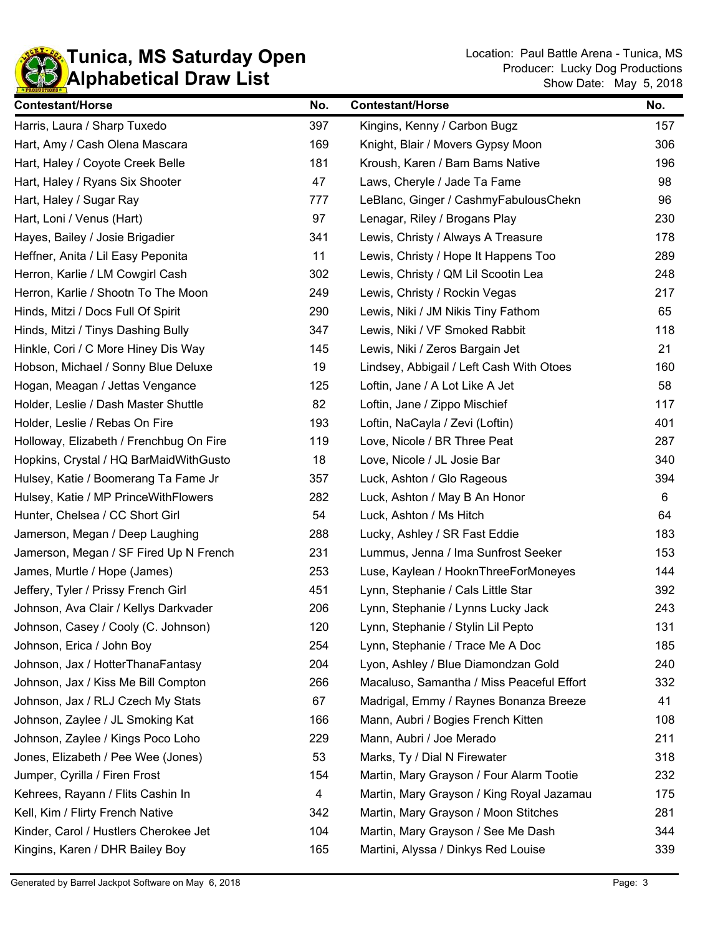

| <b>Contestant/Horse</b>                 | No. | <b>Contestant/Horse</b>                   | No. |
|-----------------------------------------|-----|-------------------------------------------|-----|
| Harris, Laura / Sharp Tuxedo            | 397 | Kingins, Kenny / Carbon Bugz              | 157 |
| Hart, Amy / Cash Olena Mascara          | 169 | Knight, Blair / Movers Gypsy Moon         | 306 |
| Hart, Haley / Coyote Creek Belle        | 181 | Kroush, Karen / Bam Bams Native           | 196 |
| Hart, Haley / Ryans Six Shooter         | 47  | Laws, Cheryle / Jade Ta Fame              | 98  |
| Hart, Haley / Sugar Ray                 | 777 | LeBlanc, Ginger / CashmyFabulousChekn     | 96  |
| Hart, Loni / Venus (Hart)               | 97  | Lenagar, Riley / Brogans Play             | 230 |
| Hayes, Bailey / Josie Brigadier         | 341 | Lewis, Christy / Always A Treasure        | 178 |
| Heffner, Anita / Lil Easy Peponita      | 11  | Lewis, Christy / Hope It Happens Too      | 289 |
| Herron, Karlie / LM Cowgirl Cash        | 302 | Lewis, Christy / QM Lil Scootin Lea       | 248 |
| Herron, Karlie / Shootn To The Moon     | 249 | Lewis, Christy / Rockin Vegas             | 217 |
| Hinds, Mitzi / Docs Full Of Spirit      | 290 | Lewis, Niki / JM Nikis Tiny Fathom        | 65  |
| Hinds, Mitzi / Tinys Dashing Bully      | 347 | Lewis, Niki / VF Smoked Rabbit            | 118 |
| Hinkle, Cori / C More Hiney Dis Way     | 145 | Lewis, Niki / Zeros Bargain Jet           | 21  |
| Hobson, Michael / Sonny Blue Deluxe     | 19  | Lindsey, Abbigail / Left Cash With Otoes  | 160 |
| Hogan, Meagan / Jettas Vengance         | 125 | Loftin, Jane / A Lot Like A Jet           | 58  |
| Holder, Leslie / Dash Master Shuttle    | 82  | Loftin, Jane / Zippo Mischief             | 117 |
| Holder, Leslie / Rebas On Fire          | 193 | Loftin, NaCayla / Zevi (Loftin)           | 401 |
| Holloway, Elizabeth / Frenchbug On Fire | 119 | Love, Nicole / BR Three Peat              | 287 |
| Hopkins, Crystal / HQ BarMaidWithGusto  | 18  | Love, Nicole / JL Josie Bar               | 340 |
| Hulsey, Katie / Boomerang Ta Fame Jr    | 357 | Luck, Ashton / Glo Rageous                | 394 |
| Hulsey, Katie / MP PrinceWithFlowers    | 282 | Luck, Ashton / May B An Honor             | 6   |
| Hunter, Chelsea / CC Short Girl         | 54  | Luck, Ashton / Ms Hitch                   | 64  |
| Jamerson, Megan / Deep Laughing         | 288 | Lucky, Ashley / SR Fast Eddie             | 183 |
| Jamerson, Megan / SF Fired Up N French  | 231 | Lummus, Jenna / Ima Sunfrost Seeker       | 153 |
| James, Murtle / Hope (James)            | 253 | Luse, Kaylean / HooknThreeForMoneyes      | 144 |
| Jeffery, Tyler / Prissy French Girl     | 451 | Lynn, Stephanie / Cals Little Star        | 392 |
| Johnson, Ava Clair / Kellys Darkvader   | 206 | Lynn, Stephanie / Lynns Lucky Jack        | 243 |
| Johnson, Casey / Cooly (C. Johnson)     | 120 | Lynn, Stephanie / Stylin Lil Pepto        | 131 |
| Johnson, Erica / John Boy               | 254 | Lynn, Stephanie / Trace Me A Doc          | 185 |
| Johnson, Jax / HotterThanaFantasy       | 204 | Lyon, Ashley / Blue Diamondzan Gold       | 240 |
| Johnson, Jax / Kiss Me Bill Compton     | 266 | Macaluso, Samantha / Miss Peaceful Effort | 332 |
| Johnson, Jax / RLJ Czech My Stats       | 67  | Madrigal, Emmy / Raynes Bonanza Breeze    | 41  |
| Johnson, Zaylee / JL Smoking Kat        | 166 | Mann, Aubri / Bogies French Kitten        | 108 |
| Johnson, Zaylee / Kings Poco Loho       | 229 | Mann, Aubri / Joe Merado                  | 211 |
| Jones, Elizabeth / Pee Wee (Jones)      | 53  | Marks, Ty / Dial N Firewater              | 318 |
| Jumper, Cyrilla / Firen Frost           | 154 | Martin, Mary Grayson / Four Alarm Tootie  | 232 |
| Kehrees, Rayann / Flits Cashin In       | 4   | Martin, Mary Grayson / King Royal Jazamau | 175 |
| Kell, Kim / Flirty French Native        | 342 | Martin, Mary Grayson / Moon Stitches      | 281 |
| Kinder, Carol / Hustlers Cherokee Jet   | 104 | Martin, Mary Grayson / See Me Dash        | 344 |
| Kingins, Karen / DHR Bailey Boy         | 165 | Martini, Alyssa / Dinkys Red Louise       | 339 |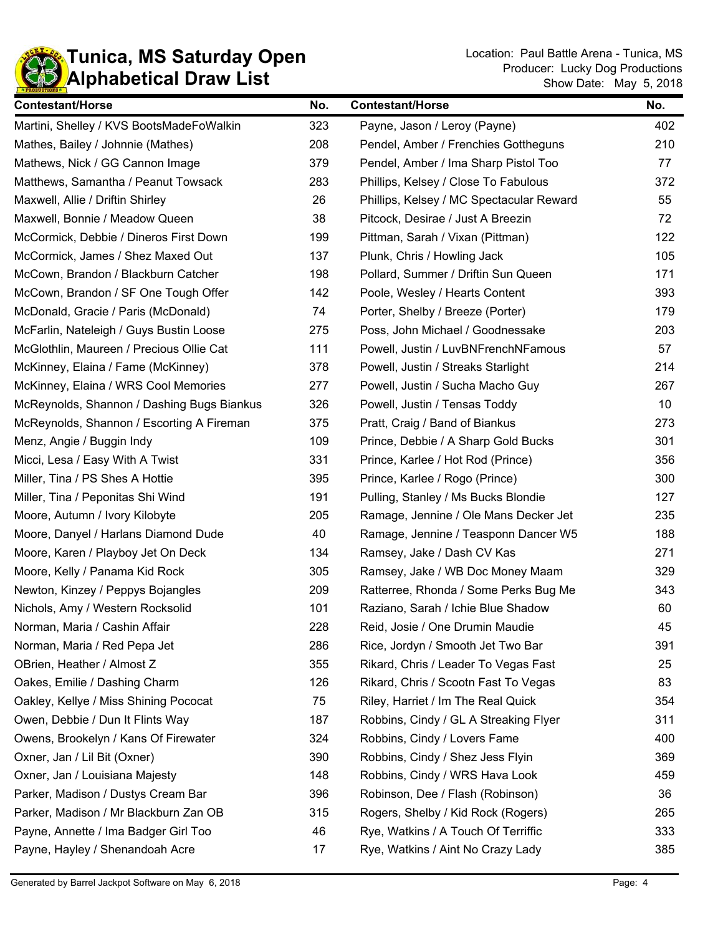| <b>Contestant/Horse</b>                    | No. | <b>Contestant/Horse</b>                  | No. |
|--------------------------------------------|-----|------------------------------------------|-----|
| Martini, Shelley / KVS BootsMadeFoWalkin   | 323 | Payne, Jason / Leroy (Payne)             | 402 |
| Mathes, Bailey / Johnnie (Mathes)          | 208 | Pendel, Amber / Frenchies Gottheguns     | 210 |
| Mathews, Nick / GG Cannon Image            | 379 | Pendel, Amber / Ima Sharp Pistol Too     | 77  |
| Matthews, Samantha / Peanut Towsack        | 283 | Phillips, Kelsey / Close To Fabulous     | 372 |
| Maxwell, Allie / Driftin Shirley           | 26  | Phillips, Kelsey / MC Spectacular Reward | 55  |
| Maxwell, Bonnie / Meadow Queen             | 38  | Pitcock, Desirae / Just A Breezin        | 72  |
| McCormick, Debbie / Dineros First Down     | 199 | Pittman, Sarah / Vixan (Pittman)         | 122 |
| McCormick, James / Shez Maxed Out          | 137 | Plunk, Chris / Howling Jack              | 105 |
| McCown, Brandon / Blackburn Catcher        | 198 | Pollard, Summer / Driftin Sun Queen      | 171 |
| McCown, Brandon / SF One Tough Offer       | 142 | Poole, Wesley / Hearts Content           | 393 |
| McDonald, Gracie / Paris (McDonald)        | 74  | Porter, Shelby / Breeze (Porter)         | 179 |
| McFarlin, Nateleigh / Guys Bustin Loose    | 275 | Poss, John Michael / Goodnessake         | 203 |
| McGlothlin, Maureen / Precious Ollie Cat   | 111 | Powell, Justin / LuvBNFrenchNFamous      | 57  |
| McKinney, Elaina / Fame (McKinney)         | 378 | Powell, Justin / Streaks Starlight       | 214 |
| McKinney, Elaina / WRS Cool Memories       | 277 | Powell, Justin / Sucha Macho Guy         | 267 |
| McReynolds, Shannon / Dashing Bugs Biankus | 326 | Powell, Justin / Tensas Toddy            | 10  |
| McReynolds, Shannon / Escorting A Fireman  | 375 | Pratt, Craig / Band of Biankus           | 273 |
| Menz, Angie / Buggin Indy                  | 109 | Prince, Debbie / A Sharp Gold Bucks      | 301 |
| Micci, Lesa / Easy With A Twist            | 331 | Prince, Karlee / Hot Rod (Prince)        | 356 |
| Miller, Tina / PS Shes A Hottie            | 395 | Prince, Karlee / Rogo (Prince)           | 300 |
| Miller, Tina / Peponitas Shi Wind          | 191 | Pulling, Stanley / Ms Bucks Blondie      | 127 |
| Moore, Autumn / Ivory Kilobyte             | 205 | Ramage, Jennine / Ole Mans Decker Jet    | 235 |
| Moore, Danyel / Harlans Diamond Dude       | 40  | Ramage, Jennine / Teasponn Dancer W5     | 188 |
| Moore, Karen / Playboy Jet On Deck         | 134 | Ramsey, Jake / Dash CV Kas               | 271 |
| Moore, Kelly / Panama Kid Rock             | 305 | Ramsey, Jake / WB Doc Money Maam         | 329 |
| Newton, Kinzey / Peppys Bojangles          | 209 | Ratterree, Rhonda / Some Perks Bug Me    | 343 |
| Nichols, Amy / Western Rocksolid           | 101 | Raziano, Sarah / Ichie Blue Shadow       | 60  |
| Norman, Maria / Cashin Affair              | 228 | Reid, Josie / One Drumin Maudie          | 45  |
| Norman, Maria / Red Pepa Jet               | 286 | Rice, Jordyn / Smooth Jet Two Bar        | 391 |
| OBrien, Heather / Almost Z                 | 355 | Rikard, Chris / Leader To Vegas Fast     | 25  |
| Oakes, Emilie / Dashing Charm              | 126 | Rikard, Chris / Scootn Fast To Vegas     | 83  |
| Oakley, Kellye / Miss Shining Pococat      | 75  | Riley, Harriet / Im The Real Quick       | 354 |
| Owen, Debbie / Dun It Flints Way           | 187 | Robbins, Cindy / GL A Streaking Flyer    | 311 |
| Owens, Brookelyn / Kans Of Firewater       | 324 | Robbins, Cindy / Lovers Fame             | 400 |
| Oxner, Jan / Lil Bit (Oxner)               | 390 | Robbins, Cindy / Shez Jess Flyin         | 369 |
| Oxner, Jan / Louisiana Majesty             | 148 | Robbins, Cindy / WRS Hava Look           | 459 |
| Parker, Madison / Dustys Cream Bar         | 396 | Robinson, Dee / Flash (Robinson)         | 36  |
| Parker, Madison / Mr Blackburn Zan OB      | 315 | Rogers, Shelby / Kid Rock (Rogers)       | 265 |
| Payne, Annette / Ima Badger Girl Too       | 46  | Rye, Watkins / A Touch Of Terriffic      | 333 |
| Payne, Hayley / Shenandoah Acre            | 17  | Rye, Watkins / Aint No Crazy Lady        | 385 |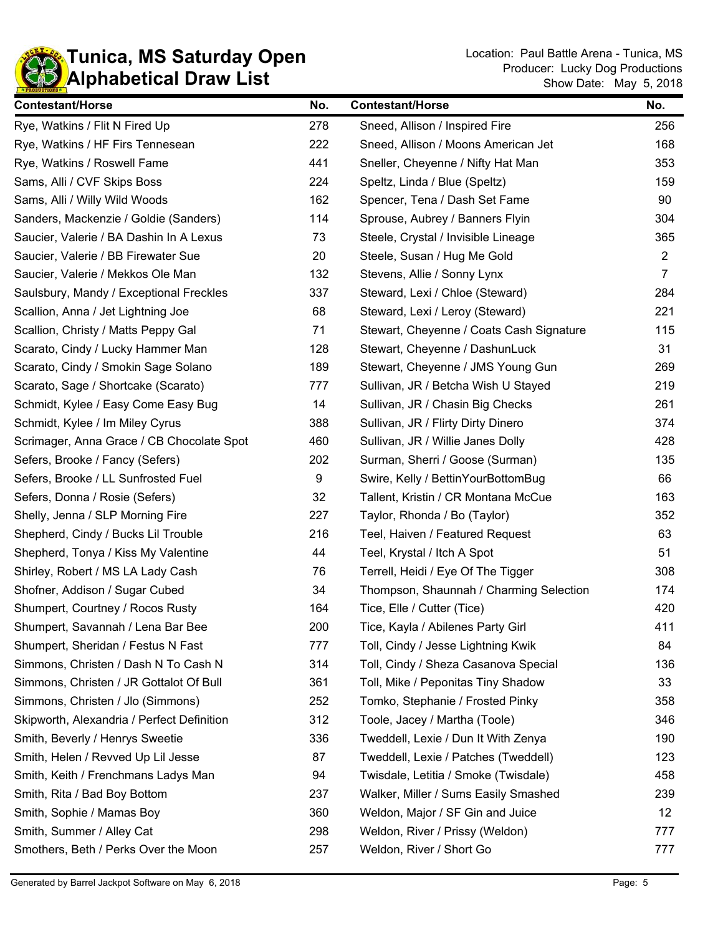

| <b>Contestant/Horse</b>                    | No. | <b>Contestant/Horse</b>                  | No.            |
|--------------------------------------------|-----|------------------------------------------|----------------|
| Rye, Watkins / Flit N Fired Up             | 278 | Sneed, Allison / Inspired Fire           | 256            |
| Rye, Watkins / HF Firs Tennesean           | 222 | Sneed, Allison / Moons American Jet      | 168            |
| Rye, Watkins / Roswell Fame                | 441 | Sneller, Cheyenne / Nifty Hat Man        | 353            |
| Sams, Alli / CVF Skips Boss                | 224 | Speltz, Linda / Blue (Speltz)            | 159            |
| Sams, Alli / Willy Wild Woods              | 162 | Spencer, Tena / Dash Set Fame            | 90             |
| Sanders, Mackenzie / Goldie (Sanders)      | 114 | Sprouse, Aubrey / Banners Flyin          | 304            |
| Saucier, Valerie / BA Dashin In A Lexus    | 73  | Steele, Crystal / Invisible Lineage      | 365            |
| Saucier, Valerie / BB Firewater Sue        | 20  | Steele, Susan / Hug Me Gold              | $\overline{2}$ |
| Saucier, Valerie / Mekkos Ole Man          | 132 | Stevens, Allie / Sonny Lynx              | $\overline{7}$ |
| Saulsbury, Mandy / Exceptional Freckles    | 337 | Steward, Lexi / Chloe (Steward)          | 284            |
| Scallion, Anna / Jet Lightning Joe         | 68  | Steward, Lexi / Leroy (Steward)          | 221            |
| Scallion, Christy / Matts Peppy Gal        | 71  | Stewart, Cheyenne / Coats Cash Signature | 115            |
| Scarato, Cindy / Lucky Hammer Man          | 128 | Stewart, Cheyenne / DashunLuck           | 31             |
| Scarato, Cindy / Smokin Sage Solano        | 189 | Stewart, Cheyenne / JMS Young Gun        | 269            |
| Scarato, Sage / Shortcake (Scarato)        | 777 | Sullivan, JR / Betcha Wish U Stayed      | 219            |
| Schmidt, Kylee / Easy Come Easy Bug        | 14  | Sullivan, JR / Chasin Big Checks         | 261            |
| Schmidt, Kylee / Im Miley Cyrus            | 388 | Sullivan, JR / Flirty Dirty Dinero       | 374            |
| Scrimager, Anna Grace / CB Chocolate Spot  | 460 | Sullivan, JR / Willie Janes Dolly        | 428            |
| Sefers, Brooke / Fancy (Sefers)            | 202 | Surman, Sherri / Goose (Surman)          | 135            |
| Sefers, Brooke / LL Sunfrosted Fuel        | 9   | Swire, Kelly / BettinYourBottomBug       | 66             |
| Sefers, Donna / Rosie (Sefers)             | 32  | Tallent, Kristin / CR Montana McCue      | 163            |
| Shelly, Jenna / SLP Morning Fire           | 227 | Taylor, Rhonda / Bo (Taylor)             | 352            |
| Shepherd, Cindy / Bucks Lil Trouble        | 216 | Teel, Haiven / Featured Request          | 63             |
| Shepherd, Tonya / Kiss My Valentine        | 44  | Teel, Krystal / Itch A Spot              | 51             |
| Shirley, Robert / MS LA Lady Cash          | 76  | Terrell, Heidi / Eye Of The Tigger       | 308            |
| Shofner, Addison / Sugar Cubed             | 34  | Thompson, Shaunnah / Charming Selection  | 174            |
| Shumpert, Courtney / Rocos Rusty           | 164 | Tice, Elle / Cutter (Tice)               | 420            |
| Shumpert, Savannah / Lena Bar Bee          | 200 | Tice, Kayla / Abilenes Party Girl        | 411            |
| Shumpert, Sheridan / Festus N Fast         | 777 | Toll, Cindy / Jesse Lightning Kwik       | 84             |
| Simmons, Christen / Dash N To Cash N       | 314 | Toll, Cindy / Sheza Casanova Special     | 136            |
| Simmons, Christen / JR Gottalot Of Bull    | 361 | Toll, Mike / Peponitas Tiny Shadow       | 33             |
| Simmons, Christen / Jlo (Simmons)          | 252 | Tomko, Stephanie / Frosted Pinky         | 358            |
| Skipworth, Alexandria / Perfect Definition | 312 | Toole, Jacey / Martha (Toole)            | 346            |
| Smith, Beverly / Henrys Sweetie            | 336 | Tweddell, Lexie / Dun It With Zenya      | 190            |
| Smith, Helen / Revved Up Lil Jesse         | 87  | Tweddell, Lexie / Patches (Tweddell)     | 123            |
| Smith, Keith / Frenchmans Ladys Man        | 94  | Twisdale, Letitia / Smoke (Twisdale)     | 458            |
| Smith, Rita / Bad Boy Bottom               | 237 | Walker, Miller / Sums Easily Smashed     | 239            |
| Smith, Sophie / Mamas Boy                  | 360 | Weldon, Major / SF Gin and Juice         | 12             |
| Smith, Summer / Alley Cat                  | 298 | Weldon, River / Prissy (Weldon)          | 777            |
| Smothers, Beth / Perks Over the Moon       | 257 | Weldon, River / Short Go                 | 777            |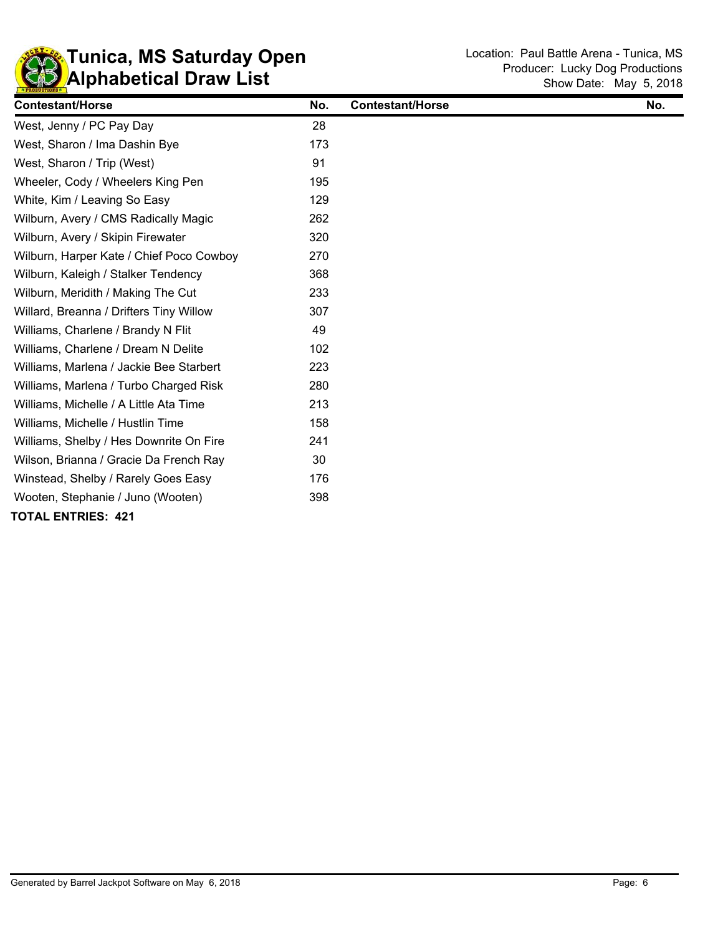

| <b>Contestant/Horse</b>                  | No. | <b>Contestant/Horse</b> | No. |
|------------------------------------------|-----|-------------------------|-----|
| West, Jenny / PC Pay Day                 | 28  |                         |     |
| West, Sharon / Ima Dashin Bye            | 173 |                         |     |
| West, Sharon / Trip (West)               | 91  |                         |     |
| Wheeler, Cody / Wheelers King Pen        | 195 |                         |     |
| White, Kim / Leaving So Easy             | 129 |                         |     |
| Wilburn, Avery / CMS Radically Magic     | 262 |                         |     |
| Wilburn, Avery / Skipin Firewater        | 320 |                         |     |
| Wilburn, Harper Kate / Chief Poco Cowboy | 270 |                         |     |
| Wilburn, Kaleigh / Stalker Tendency      | 368 |                         |     |
| Wilburn, Meridith / Making The Cut       | 233 |                         |     |
| Willard, Breanna / Drifters Tiny Willow  | 307 |                         |     |
| Williams, Charlene / Brandy N Flit       | 49  |                         |     |
| Williams, Charlene / Dream N Delite      | 102 |                         |     |
| Williams, Marlena / Jackie Bee Starbert  | 223 |                         |     |
| Williams, Marlena / Turbo Charged Risk   | 280 |                         |     |
| Williams, Michelle / A Little Ata Time   | 213 |                         |     |
| Williams, Michelle / Hustlin Time        | 158 |                         |     |
| Williams, Shelby / Hes Downrite On Fire  | 241 |                         |     |
| Wilson, Brianna / Gracie Da French Ray   | 30  |                         |     |
| Winstead, Shelby / Rarely Goes Easy      | 176 |                         |     |
| Wooten, Stephanie / Juno (Wooten)        | 398 |                         |     |
| <b>TOTAL ENTRIES: 421</b>                |     |                         |     |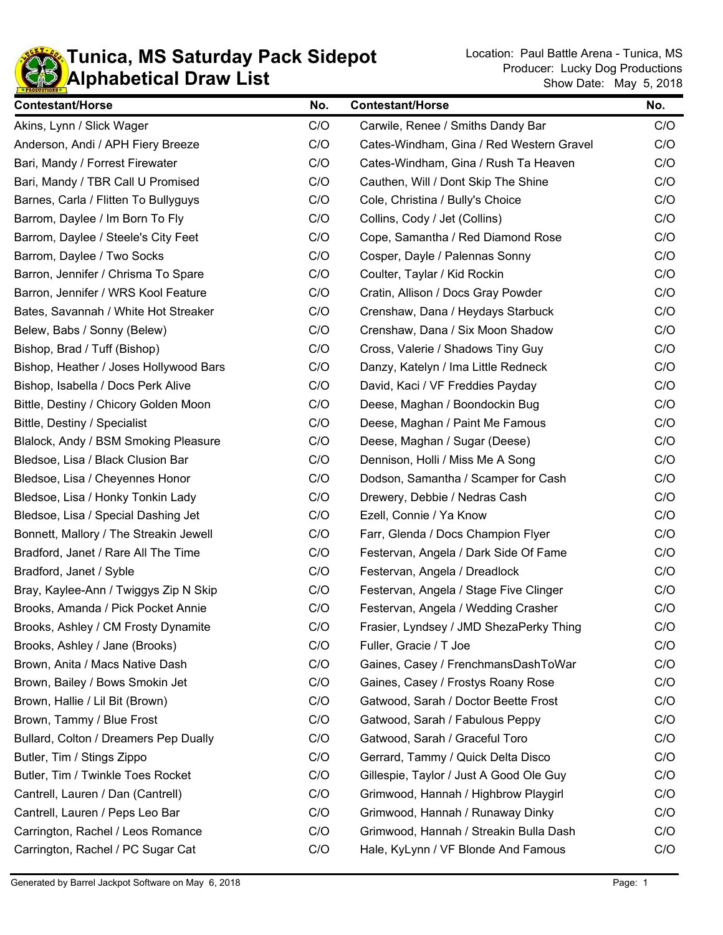

| <b>Contestant/Horse</b>                | No. | <b>Contestant/Horse</b>                  | No. |
|----------------------------------------|-----|------------------------------------------|-----|
| Akins, Lynn / Slick Wager              | C/O | Carwile, Renee / Smiths Dandy Bar        | C/O |
| Anderson, Andi / APH Fiery Breeze      | C/O | Cates-Windham, Gina / Red Western Gravel | C/O |
| Bari, Mandy / Forrest Firewater        | C/O | Cates-Windham, Gina / Rush Ta Heaven     | C/O |
| Bari, Mandy / TBR Call U Promised      | C/O | Cauthen, Will / Dont Skip The Shine      | C/O |
| Barnes, Carla / Flitten To Bullyguys   | C/O | Cole, Christina / Bully's Choice         | C/O |
| Barrom, Daylee / Im Born To Fly        | C/O | Collins, Cody / Jet (Collins)            | C/O |
| Barrom, Daylee / Steele's City Feet    | C/O | Cope, Samantha / Red Diamond Rose        | C/O |
| Barrom, Daylee / Two Socks             | C/O | Cosper, Dayle / Palennas Sonny           | C/O |
| Barron, Jennifer / Chrisma To Spare    | C/O | Coulter, Taylar / Kid Rockin             | C/O |
| Barron, Jennifer / WRS Kool Feature    | C/O | Cratin, Allison / Docs Gray Powder       | C/O |
| Bates, Savannah / White Hot Streaker   | C/O | Crenshaw, Dana / Heydays Starbuck        | C/O |
| Belew, Babs / Sonny (Belew)            | C/O | Crenshaw, Dana / Six Moon Shadow         | C/O |
| Bishop, Brad / Tuff (Bishop)           | C/O | Cross, Valerie / Shadows Tiny Guy        | C/O |
| Bishop, Heather / Joses Hollywood Bars | C/O | Danzy, Katelyn / Ima Little Redneck      | C/O |
| Bishop, Isabella / Docs Perk Alive     | C/O | David, Kaci / VF Freddies Payday         | C/O |
| Bittle, Destiny / Chicory Golden Moon  | C/O | Deese, Maghan / Boondockin Bug           | C/O |
| Bittle, Destiny / Specialist           | C/O | Deese, Maghan / Paint Me Famous          | C/O |
| Blalock, Andy / BSM Smoking Pleasure   | C/O | Deese, Maghan / Sugar (Deese)            | C/O |
| Bledsoe, Lisa / Black Clusion Bar      | C/O | Dennison, Holli / Miss Me A Song         | C/O |
| Bledsoe, Lisa / Cheyennes Honor        | C/O | Dodson, Samantha / Scamper for Cash      | C/O |
| Bledsoe, Lisa / Honky Tonkin Lady      | C/O | Drewery, Debbie / Nedras Cash            | C/O |
| Bledsoe, Lisa / Special Dashing Jet    | C/O | Ezell, Connie / Ya Know                  | C/O |
| Bonnett, Mallory / The Streakin Jewell | C/O | Farr, Glenda / Docs Champion Flyer       | C/O |
| Bradford, Janet / Rare All The Time    | C/O | Festervan, Angela / Dark Side Of Fame    | C/O |
| Bradford, Janet / Syble                | C/O | Festervan, Angela / Dreadlock            | C/O |
| Bray, Kaylee-Ann / Twiggys Zip N Skip  | C/O | Festervan, Angela / Stage Five Clinger   | C/O |
| Brooks, Amanda / Pick Pocket Annie     | C/O | Festervan, Angela / Wedding Crasher      | C/O |
| Brooks, Ashley / CM Frosty Dynamite    | C/O | Frasier, Lyndsey / JMD ShezaPerky Thing  | C/O |
| Brooks, Ashley / Jane (Brooks)         | C/O | Fuller, Gracie / T Joe                   | C/O |
| Brown, Anita / Macs Native Dash        | C/O | Gaines, Casey / FrenchmansDashToWar      | C/O |
| Brown, Bailey / Bows Smokin Jet        | C/O | Gaines, Casey / Frostys Roany Rose       | C/O |
| Brown, Hallie / Lil Bit (Brown)        | C/O | Gatwood, Sarah / Doctor Beette Frost     | C/O |
| Brown, Tammy / Blue Frost              | C/O | Gatwood, Sarah / Fabulous Peppy          | C/O |
| Bullard, Colton / Dreamers Pep Dually  | C/O | Gatwood, Sarah / Graceful Toro           | C/O |
| Butler, Tim / Stings Zippo             | C/O | Gerrard, Tammy / Quick Delta Disco       | C/O |
| Butler, Tim / Twinkle Toes Rocket      | C/O | Gillespie, Taylor / Just A Good Ole Guy  | C/O |
| Cantrell, Lauren / Dan (Cantrell)      | C/O | Grimwood, Hannah / Highbrow Playgirl     | C/O |
| Cantrell, Lauren / Peps Leo Bar        | C/O | Grimwood, Hannah / Runaway Dinky         | C/O |
| Carrington, Rachel / Leos Romance      | C/O | Grimwood, Hannah / Streakin Bulla Dash   | C/O |
| Carrington, Rachel / PC Sugar Cat      | C/O | Hale, KyLynn / VF Blonde And Famous      | C/O |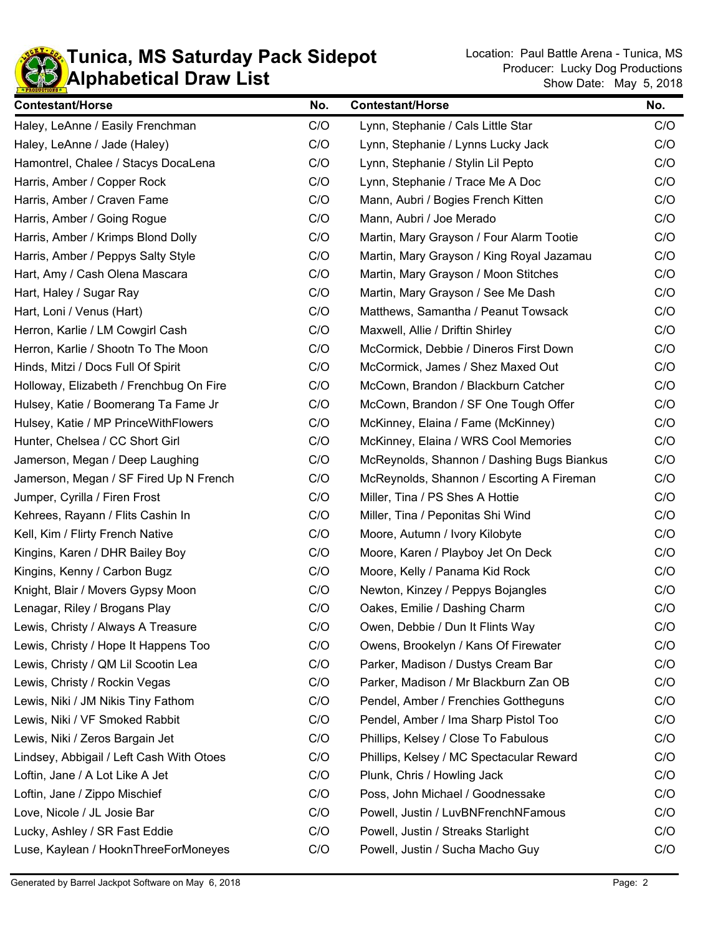

| <b>Contestant/Horse</b>                  | No. | <b>Contestant/Horse</b>                    | No. |
|------------------------------------------|-----|--------------------------------------------|-----|
| Haley, LeAnne / Easily Frenchman         | C/O | Lynn, Stephanie / Cals Little Star         | C/O |
| Haley, LeAnne / Jade (Haley)             | C/O | Lynn, Stephanie / Lynns Lucky Jack         |     |
| Hamontrel, Chalee / Stacys DocaLena      | C/O | Lynn, Stephanie / Stylin Lil Pepto         | C/O |
| Harris, Amber / Copper Rock              | C/O | Lynn, Stephanie / Trace Me A Doc           | C/O |
| Harris, Amber / Craven Fame              | C/O | Mann, Aubri / Bogies French Kitten         | C/O |
| Harris, Amber / Going Rogue              | C/O | Mann, Aubri / Joe Merado                   | C/O |
| Harris, Amber / Krimps Blond Dolly       | C/O | Martin, Mary Grayson / Four Alarm Tootie   | C/O |
| Harris, Amber / Peppys Salty Style       | C/O | Martin, Mary Grayson / King Royal Jazamau  | C/O |
| Hart, Amy / Cash Olena Mascara           | C/O | Martin, Mary Grayson / Moon Stitches       | C/O |
| Hart, Haley / Sugar Ray                  | C/O | Martin, Mary Grayson / See Me Dash         | C/O |
| Hart, Loni / Venus (Hart)                | C/O | Matthews, Samantha / Peanut Towsack        | C/O |
| Herron, Karlie / LM Cowgirl Cash         | C/O | Maxwell, Allie / Driftin Shirley           | C/O |
| Herron, Karlie / Shootn To The Moon      | C/O | McCormick, Debbie / Dineros First Down     | C/O |
| Hinds, Mitzi / Docs Full Of Spirit       | C/O | McCormick, James / Shez Maxed Out          | C/O |
| Holloway, Elizabeth / Frenchbug On Fire  | C/O | McCown, Brandon / Blackburn Catcher        | C/O |
| Hulsey, Katie / Boomerang Ta Fame Jr     | C/O | McCown, Brandon / SF One Tough Offer       | C/O |
| Hulsey, Katie / MP PrinceWithFlowers     | C/O | McKinney, Elaina / Fame (McKinney)         | C/O |
| Hunter, Chelsea / CC Short Girl          | C/O | McKinney, Elaina / WRS Cool Memories       | C/O |
| Jamerson, Megan / Deep Laughing          | C/O | McReynolds, Shannon / Dashing Bugs Biankus | C/O |
| Jamerson, Megan / SF Fired Up N French   | C/O | McReynolds, Shannon / Escorting A Fireman  | C/O |
| Jumper, Cyrilla / Firen Frost            | C/O | Miller, Tina / PS Shes A Hottie            | C/O |
| Kehrees, Rayann / Flits Cashin In        | C/O | Miller, Tina / Peponitas Shi Wind          | C/O |
| Kell, Kim / Flirty French Native         | C/O | Moore, Autumn / Ivory Kilobyte             | C/O |
| Kingins, Karen / DHR Bailey Boy          | C/O | Moore, Karen / Playboy Jet On Deck         | C/O |
| Kingins, Kenny / Carbon Bugz             | C/O | Moore, Kelly / Panama Kid Rock             | C/O |
| Knight, Blair / Movers Gypsy Moon        | C/O | Newton, Kinzey / Peppys Bojangles          | C/O |
| Lenagar, Riley / Brogans Play            | C/O | Oakes, Emilie / Dashing Charm              | C/O |
| Lewis, Christy / Always A Treasure       | C/O | Owen, Debbie / Dun It Flints Way           | C/O |
| Lewis, Christy / Hope It Happens Too     | C/O | Owens, Brookelyn / Kans Of Firewater       | C/O |
| Lewis, Christy / QM Lil Scootin Lea      | C/O | Parker, Madison / Dustys Cream Bar         | C/O |
| Lewis, Christy / Rockin Vegas            | C/O | Parker, Madison / Mr Blackburn Zan OB      | C/O |
| Lewis, Niki / JM Nikis Tiny Fathom       | C/O | Pendel, Amber / Frenchies Gottheguns       | C/O |
| Lewis, Niki / VF Smoked Rabbit           | C/O | Pendel, Amber / Ima Sharp Pistol Too       | C/O |
| Lewis, Niki / Zeros Bargain Jet          | C/O | Phillips, Kelsey / Close To Fabulous       | C/O |
| Lindsey, Abbigail / Left Cash With Otoes | C/O | Phillips, Kelsey / MC Spectacular Reward   | C/O |
| Loftin, Jane / A Lot Like A Jet          | C/O | Plunk, Chris / Howling Jack                | C/O |
| Loftin, Jane / Zippo Mischief            | C/O | Poss, John Michael / Goodnessake           | C/O |
| Love, Nicole / JL Josie Bar              | C/O | Powell, Justin / LuvBNFrenchNFamous        | C/O |
| Lucky, Ashley / SR Fast Eddie            | C/O | Powell, Justin / Streaks Starlight         | C/O |
| Luse, Kaylean / HooknThreeForMoneyes     | C/O | Powell, Justin / Sucha Macho Guy           | C/O |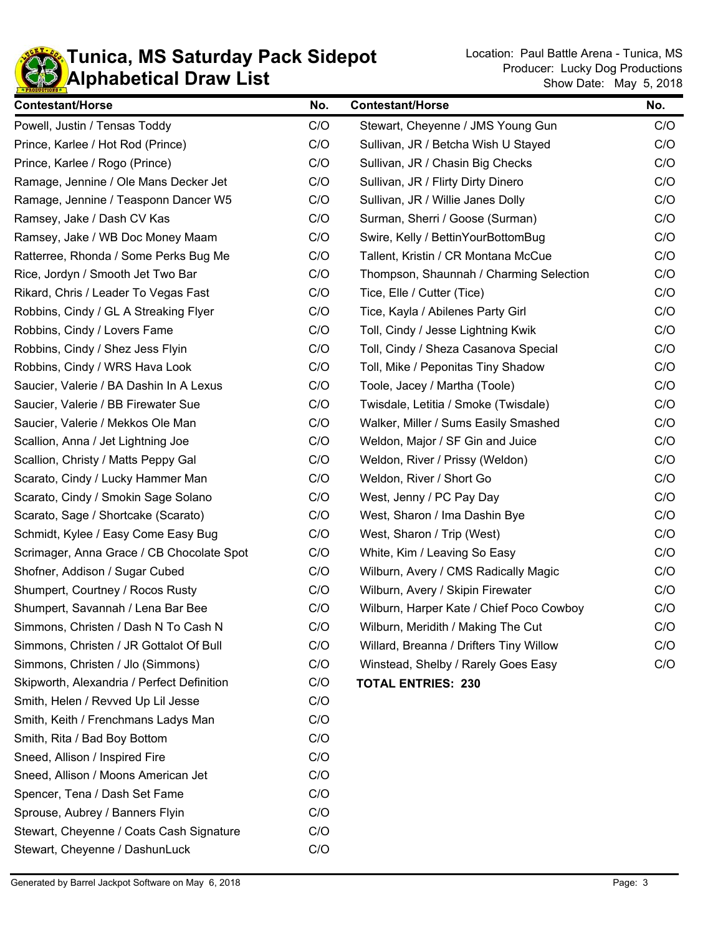

| <b>Contestant/Horse</b>                    | No. | <b>Contestant/Horse</b>                  | No. |
|--------------------------------------------|-----|------------------------------------------|-----|
| Powell, Justin / Tensas Toddy              | C/O | Stewart, Cheyenne / JMS Young Gun        | C/O |
| Prince, Karlee / Hot Rod (Prince)          | C/O | Sullivan, JR / Betcha Wish U Stayed      | C/O |
| Prince, Karlee / Rogo (Prince)             | C/O | Sullivan, JR / Chasin Big Checks         | C/O |
| Ramage, Jennine / Ole Mans Decker Jet      | C/O | Sullivan, JR / Flirty Dirty Dinero       | C/O |
| Ramage, Jennine / Teasponn Dancer W5       | C/O | Sullivan, JR / Willie Janes Dolly        | C/O |
| Ramsey, Jake / Dash CV Kas                 | C/O | Surman, Sherri / Goose (Surman)          | C/O |
| Ramsey, Jake / WB Doc Money Maam           | C/O | Swire, Kelly / BettinYourBottomBug       | C/O |
| Ratterree, Rhonda / Some Perks Bug Me      | C/O | Tallent, Kristin / CR Montana McCue      | C/O |
| Rice, Jordyn / Smooth Jet Two Bar          | C/O | Thompson, Shaunnah / Charming Selection  | C/O |
| Rikard, Chris / Leader To Vegas Fast       | C/O | Tice, Elle / Cutter (Tice)               | C/O |
| Robbins, Cindy / GL A Streaking Flyer      | C/O | Tice, Kayla / Abilenes Party Girl        | C/O |
| Robbins, Cindy / Lovers Fame               | C/O | Toll, Cindy / Jesse Lightning Kwik       | C/O |
| Robbins, Cindy / Shez Jess Flyin           | C/O | Toll, Cindy / Sheza Casanova Special     | C/O |
| Robbins, Cindy / WRS Hava Look             | C/O | Toll, Mike / Peponitas Tiny Shadow       | C/O |
| Saucier, Valerie / BA Dashin In A Lexus    | C/O | Toole, Jacey / Martha (Toole)            | C/O |
| Saucier, Valerie / BB Firewater Sue        | C/O | Twisdale, Letitia / Smoke (Twisdale)     | C/O |
| Saucier, Valerie / Mekkos Ole Man          | C/O | Walker, Miller / Sums Easily Smashed     | C/O |
| Scallion, Anna / Jet Lightning Joe         | C/O | Weldon, Major / SF Gin and Juice         | C/O |
| Scallion, Christy / Matts Peppy Gal        | C/O | Weldon, River / Prissy (Weldon)          | C/O |
| Scarato, Cindy / Lucky Hammer Man          | C/O | Weldon, River / Short Go                 | C/O |
| Scarato, Cindy / Smokin Sage Solano        | C/O | West, Jenny / PC Pay Day                 | C/O |
| Scarato, Sage / Shortcake (Scarato)        | C/O | West, Sharon / Ima Dashin Bye            | C/O |
| Schmidt, Kylee / Easy Come Easy Bug        | C/O | West, Sharon / Trip (West)               | C/O |
| Scrimager, Anna Grace / CB Chocolate Spot  | C/O | White, Kim / Leaving So Easy             | C/O |
| Shofner, Addison / Sugar Cubed             | C/O | Wilburn, Avery / CMS Radically Magic     | C/O |
| Shumpert, Courtney / Rocos Rusty           | C/O | Wilburn, Avery / Skipin Firewater        | C/O |
| Shumpert, Savannah / Lena Bar Bee          | C/O | Wilburn, Harper Kate / Chief Poco Cowboy | C/O |
| Simmons, Christen / Dash N To Cash N       | C/O | Wilburn, Meridith / Making The Cut       | C/O |
| Simmons, Christen / JR Gottalot Of Bull    | C/O | Willard, Breanna / Drifters Tiny Willow  | C/O |
| Simmons, Christen / Jlo (Simmons)          | C/O | Winstead, Shelby / Rarely Goes Easy      | C/O |
| Skipworth, Alexandria / Perfect Definition | C/O | <b>TOTAL ENTRIES: 230</b>                |     |
| Smith, Helen / Revved Up Lil Jesse         | C/O |                                          |     |
| Smith, Keith / Frenchmans Ladys Man        | C/O |                                          |     |
| Smith, Rita / Bad Boy Bottom               | C/O |                                          |     |
| Sneed, Allison / Inspired Fire             | C/O |                                          |     |
| Sneed, Allison / Moons American Jet        | C/O |                                          |     |
| Spencer, Tena / Dash Set Fame              | C/O |                                          |     |
| Sprouse, Aubrey / Banners Flyin            | C/O |                                          |     |
| Stewart, Cheyenne / Coats Cash Signature   | C/O |                                          |     |
| Stewart, Cheyenne / DashunLuck             | C/O |                                          |     |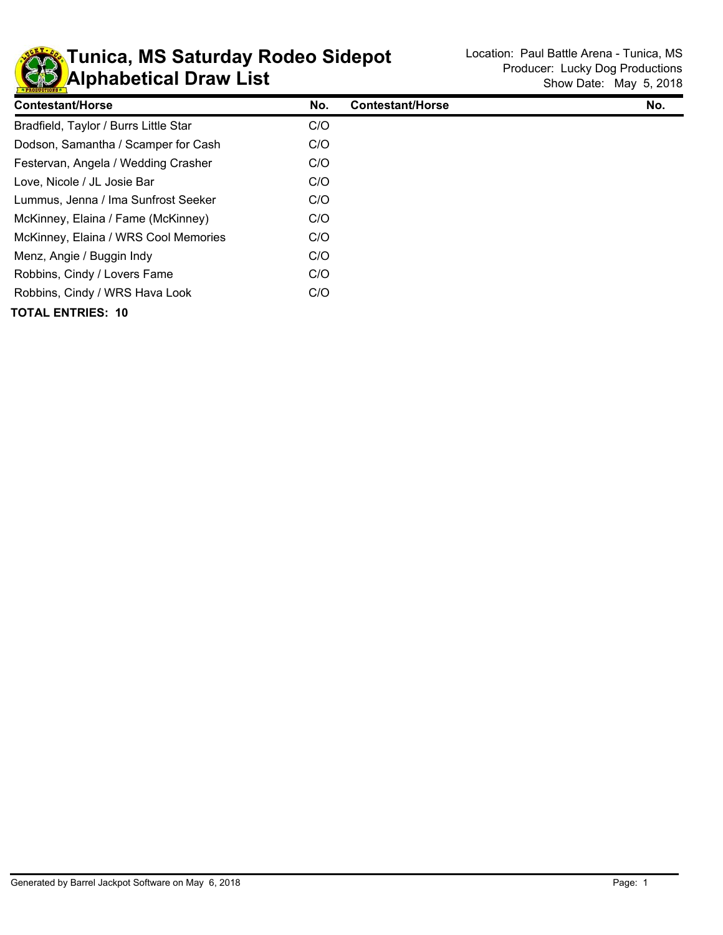

| <b>Contestant/Horse</b>               | No. | <b>Contestant/Horse</b> | No. |
|---------------------------------------|-----|-------------------------|-----|
| Bradfield, Taylor / Burrs Little Star | C/O |                         |     |
| Dodson, Samantha / Scamper for Cash   | C/O |                         |     |
| Festervan, Angela / Wedding Crasher   | C/O |                         |     |
| Love, Nicole / JL Josie Bar           | C/O |                         |     |
| Lummus, Jenna / Ima Sunfrost Seeker   | C/O |                         |     |
| McKinney, Elaina / Fame (McKinney)    | C/O |                         |     |
| McKinney, Elaina / WRS Cool Memories  | C/O |                         |     |
| Menz, Angie / Buggin Indy             | C/O |                         |     |
| Robbins, Cindy / Lovers Fame          | C/O |                         |     |
| Robbins, Cindy / WRS Hava Look        | C/O |                         |     |
| <b>TOTAL ENTRIES: 10</b>              |     |                         |     |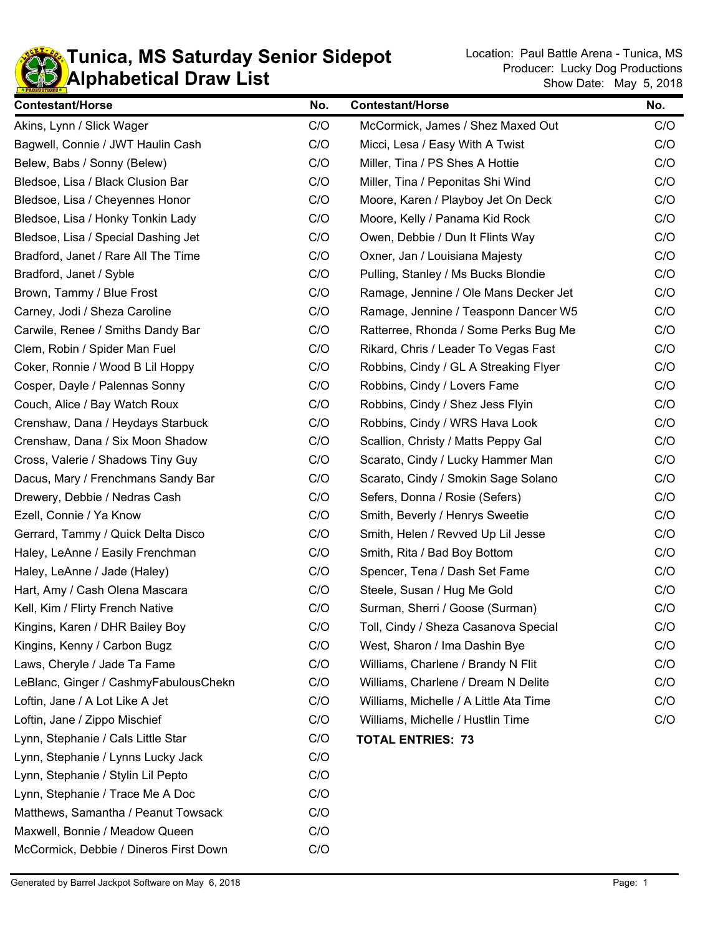

| <b>Contestant/Horse</b>                | No. | <b>Contestant/Horse</b>                | No. |
|----------------------------------------|-----|----------------------------------------|-----|
| Akins, Lynn / Slick Wager              | C/O | McCormick, James / Shez Maxed Out      | C/O |
| Bagwell, Connie / JWT Haulin Cash      | C/O | Micci, Lesa / Easy With A Twist        | C/O |
| Belew, Babs / Sonny (Belew)            | C/O | Miller, Tina / PS Shes A Hottie        | C/O |
| Bledsoe, Lisa / Black Clusion Bar      | C/O | Miller, Tina / Peponitas Shi Wind      | C/O |
| Bledsoe, Lisa / Cheyennes Honor        | C/O | Moore, Karen / Playboy Jet On Deck     | C/O |
| Bledsoe, Lisa / Honky Tonkin Lady      | C/O | Moore, Kelly / Panama Kid Rock         | C/O |
| Bledsoe, Lisa / Special Dashing Jet    | C/O | Owen, Debbie / Dun It Flints Way       | C/O |
| Bradford, Janet / Rare All The Time    | C/O | Oxner, Jan / Louisiana Majesty         | C/O |
| Bradford, Janet / Syble                | C/O | Pulling, Stanley / Ms Bucks Blondie    | C/O |
| Brown, Tammy / Blue Frost              | C/O | Ramage, Jennine / Ole Mans Decker Jet  | C/O |
| Carney, Jodi / Sheza Caroline          | C/O | Ramage, Jennine / Teasponn Dancer W5   | C/O |
| Carwile, Renee / Smiths Dandy Bar      | C/O | Ratterree, Rhonda / Some Perks Bug Me  | C/O |
| Clem, Robin / Spider Man Fuel          | C/O | Rikard, Chris / Leader To Vegas Fast   | C/O |
| Coker, Ronnie / Wood B Lil Hoppy       | C/O | Robbins, Cindy / GL A Streaking Flyer  | C/O |
| Cosper, Dayle / Palennas Sonny         | C/O | Robbins, Cindy / Lovers Fame           | C/O |
| Couch, Alice / Bay Watch Roux          | C/O | Robbins, Cindy / Shez Jess Flyin       | C/O |
| Crenshaw, Dana / Heydays Starbuck      | C/O | Robbins, Cindy / WRS Hava Look         | C/O |
| Crenshaw, Dana / Six Moon Shadow       | C/O | Scallion, Christy / Matts Peppy Gal    | C/O |
| Cross, Valerie / Shadows Tiny Guy      | C/O | Scarato, Cindy / Lucky Hammer Man      | C/O |
| Dacus, Mary / Frenchmans Sandy Bar     | C/O | Scarato, Cindy / Smokin Sage Solano    | C/O |
| Drewery, Debbie / Nedras Cash          | C/O | Sefers, Donna / Rosie (Sefers)         | C/O |
| Ezell, Connie / Ya Know                | C/O | Smith, Beverly / Henrys Sweetie        | C/O |
| Gerrard, Tammy / Quick Delta Disco     | C/O | Smith, Helen / Revved Up Lil Jesse     | C/O |
| Haley, LeAnne / Easily Frenchman       | C/O | Smith, Rita / Bad Boy Bottom           | C/O |
| Haley, LeAnne / Jade (Haley)           | C/O | Spencer, Tena / Dash Set Fame          | C/O |
| Hart, Amy / Cash Olena Mascara         | C/O | Steele, Susan / Hug Me Gold            | C/O |
| Kell, Kim / Flirty French Native       | C/O | Surman, Sherri / Goose (Surman)        | C/O |
| Kingins, Karen / DHR Bailey Boy        | C/O | Toll, Cindy / Sheza Casanova Special   | C/O |
| Kingins, Kenny / Carbon Bugz           | C/O | West, Sharon / Ima Dashin Bye          | C/O |
| Laws, Cheryle / Jade Ta Fame           | C/O | Williams, Charlene / Brandy N Flit     | C/O |
| LeBlanc, Ginger / CashmyFabulousChekn  | C/O | Williams, Charlene / Dream N Delite    | C/O |
| Loftin, Jane / A Lot Like A Jet        | C/O | Williams, Michelle / A Little Ata Time | C/O |
| Loftin, Jane / Zippo Mischief          | C/O | Williams, Michelle / Hustlin Time      | C/O |
| Lynn, Stephanie / Cals Little Star     | C/O | <b>TOTAL ENTRIES: 73</b>               |     |
| Lynn, Stephanie / Lynns Lucky Jack     | C/O |                                        |     |
| Lynn, Stephanie / Stylin Lil Pepto     | C/O |                                        |     |
| Lynn, Stephanie / Trace Me A Doc       | C/O |                                        |     |
| Matthews, Samantha / Peanut Towsack    | C/O |                                        |     |
| Maxwell, Bonnie / Meadow Queen         | C/O |                                        |     |
| McCormick, Debbie / Dineros First Down | C/O |                                        |     |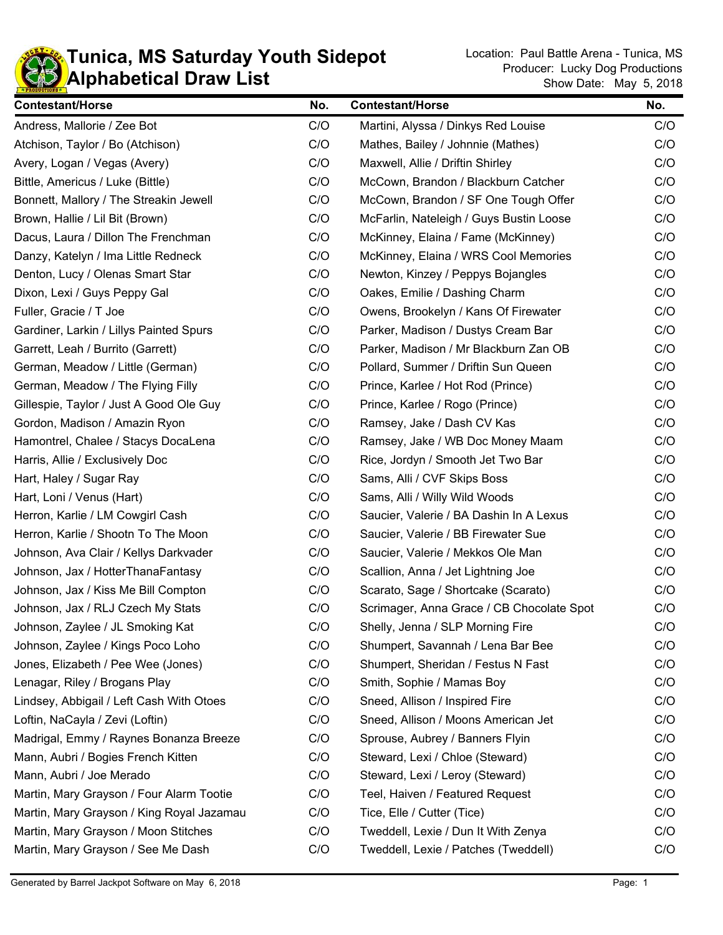

| <b>Contestant/Horse</b>                   | No. | <b>Contestant/Horse</b>                   | No. |
|-------------------------------------------|-----|-------------------------------------------|-----|
| Andress, Mallorie / Zee Bot               | C/O | Martini, Alyssa / Dinkys Red Louise       | C/O |
| Atchison, Taylor / Bo (Atchison)          | C/O | Mathes, Bailey / Johnnie (Mathes)         | C/O |
| Avery, Logan / Vegas (Avery)              | C/O | Maxwell, Allie / Driftin Shirley          | C/O |
| Bittle, Americus / Luke (Bittle)          | C/O | McCown, Brandon / Blackburn Catcher       | C/O |
| Bonnett, Mallory / The Streakin Jewell    | C/O | McCown, Brandon / SF One Tough Offer      | C/O |
| Brown, Hallie / Lil Bit (Brown)           | C/O | McFarlin, Nateleigh / Guys Bustin Loose   | C/O |
| Dacus, Laura / Dillon The Frenchman       | C/O | McKinney, Elaina / Fame (McKinney)        | C/O |
| Danzy, Katelyn / Ima Little Redneck       | C/O | McKinney, Elaina / WRS Cool Memories      | C/O |
| Denton, Lucy / Olenas Smart Star          | C/O | Newton, Kinzey / Peppys Bojangles         | C/O |
| Dixon, Lexi / Guys Peppy Gal              | C/O | Oakes, Emilie / Dashing Charm             | C/O |
| Fuller, Gracie / T Joe                    | C/O | Owens, Brookelyn / Kans Of Firewater      | C/O |
| Gardiner, Larkin / Lillys Painted Spurs   | C/O | Parker, Madison / Dustys Cream Bar        | C/O |
| Garrett, Leah / Burrito (Garrett)         | C/O | Parker, Madison / Mr Blackburn Zan OB     | C/O |
| German, Meadow / Little (German)          | C/O | Pollard, Summer / Driftin Sun Queen       | C/O |
| German, Meadow / The Flying Filly         | C/O | Prince, Karlee / Hot Rod (Prince)         | C/O |
| Gillespie, Taylor / Just A Good Ole Guy   | C/O | Prince, Karlee / Rogo (Prince)            | C/O |
| Gordon, Madison / Amazin Ryon             | C/O | Ramsey, Jake / Dash CV Kas                | C/O |
| Hamontrel, Chalee / Stacys DocaLena       | C/O | Ramsey, Jake / WB Doc Money Maam          | C/O |
| Harris, Allie / Exclusively Doc           | C/O | Rice, Jordyn / Smooth Jet Two Bar         | C/O |
| Hart, Haley / Sugar Ray                   | C/O | Sams, Alli / CVF Skips Boss               | C/O |
| Hart, Loni / Venus (Hart)                 | C/O | Sams, Alli / Willy Wild Woods             | C/O |
| Herron, Karlie / LM Cowgirl Cash          | C/O | Saucier, Valerie / BA Dashin In A Lexus   | C/O |
| Herron, Karlie / Shootn To The Moon       | C/O | Saucier, Valerie / BB Firewater Sue       | C/O |
| Johnson, Ava Clair / Kellys Darkvader     | C/O | Saucier, Valerie / Mekkos Ole Man         | C/O |
| Johnson, Jax / HotterThanaFantasy         | C/O | Scallion, Anna / Jet Lightning Joe        | C/O |
| Johnson, Jax / Kiss Me Bill Compton       | C/O | Scarato, Sage / Shortcake (Scarato)       | C/O |
| Johnson, Jax / RLJ Czech My Stats         | C/O | Scrimager, Anna Grace / CB Chocolate Spot | C/O |
| Johnson, Zaylee / JL Smoking Kat          | C/O | Shelly, Jenna / SLP Morning Fire          | C/O |
| Johnson, Zaylee / Kings Poco Loho         | C/O | Shumpert, Savannah / Lena Bar Bee         | C/O |
| Jones, Elizabeth / Pee Wee (Jones)        | C/O | Shumpert, Sheridan / Festus N Fast        | C/O |
| Lenagar, Riley / Brogans Play             | C/O | Smith, Sophie / Mamas Boy                 | C/O |
| Lindsey, Abbigail / Left Cash With Otoes  | C/O | Sneed, Allison / Inspired Fire            | C/O |
| Loftin, NaCayla / Zevi (Loftin)           | C/O | Sneed, Allison / Moons American Jet       | C/O |
| Madrigal, Emmy / Raynes Bonanza Breeze    | C/O | Sprouse, Aubrey / Banners Flyin           | C/O |
| Mann, Aubri / Bogies French Kitten        | C/O | Steward, Lexi / Chloe (Steward)           | C/O |
| Mann, Aubri / Joe Merado                  | C/O | Steward, Lexi / Leroy (Steward)           | C/O |
| Martin, Mary Grayson / Four Alarm Tootie  | C/O | Teel, Haiven / Featured Request           | C/O |
| Martin, Mary Grayson / King Royal Jazamau | C/O | Tice, Elle / Cutter (Tice)                | C/O |
| Martin, Mary Grayson / Moon Stitches      | C/O | Tweddell, Lexie / Dun It With Zenya       | C/O |
| Martin, Mary Grayson / See Me Dash        | C/O | Tweddell, Lexie / Patches (Tweddell)      | C/O |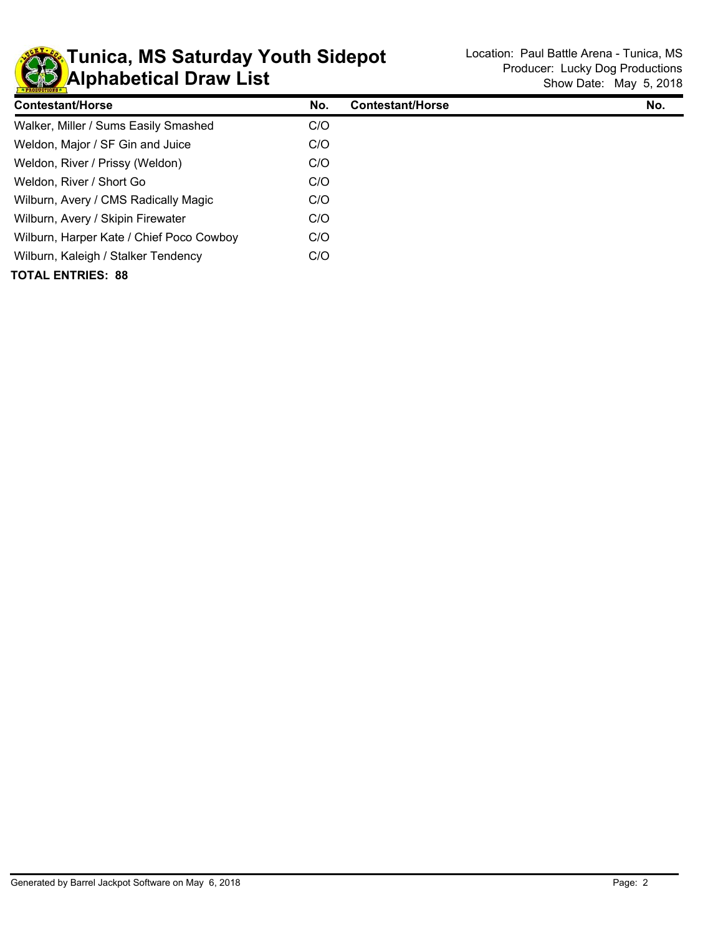

| <b>Contestant/Horse</b>                  | No. | <b>Contestant/Horse</b> | No. |
|------------------------------------------|-----|-------------------------|-----|
| Walker, Miller / Sums Easily Smashed     | C/O |                         |     |
| Weldon, Major / SF Gin and Juice         | C/O |                         |     |
| Weldon, River / Prissy (Weldon)          | C/O |                         |     |
| Weldon, River / Short Go                 | C/O |                         |     |
| Wilburn, Avery / CMS Radically Magic     | C/O |                         |     |
| Wilburn, Avery / Skipin Firewater        | C/O |                         |     |
| Wilburn, Harper Kate / Chief Poco Cowboy | C/O |                         |     |
| Wilburn, Kaleigh / Stalker Tendency      | C/O |                         |     |
| <b>TOTAL ENTRIES: 88</b>                 |     |                         |     |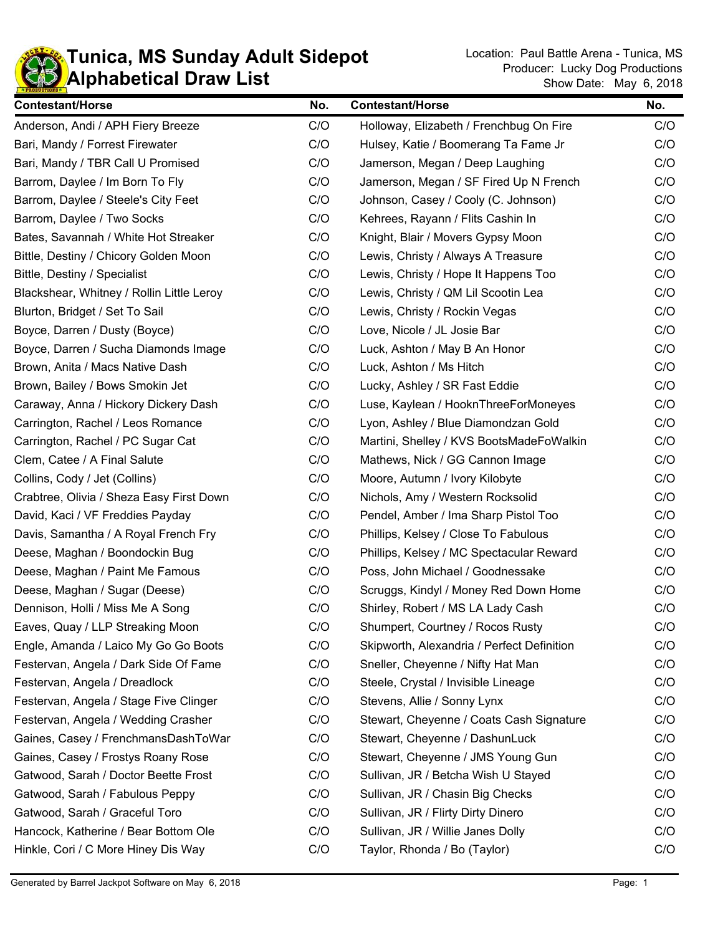

## **KD** Alphabetical Draw List **Tunica, MS Sunday Adult Sidepot** Location: Paul Battle Arena - Tunica, MS

| <b>Contestant/Horse</b>                   | No. | <b>Contestant/Horse</b>                    | No. |
|-------------------------------------------|-----|--------------------------------------------|-----|
| Anderson, Andi / APH Fiery Breeze         | C/O | Holloway, Elizabeth / Frenchbug On Fire    | C/O |
| Bari, Mandy / Forrest Firewater           | C/O | Hulsey, Katie / Boomerang Ta Fame Jr       | C/O |
| Bari, Mandy / TBR Call U Promised         | C/O | Jamerson, Megan / Deep Laughing            | C/O |
| Barrom, Daylee / Im Born To Fly           | C/O | Jamerson, Megan / SF Fired Up N French     | C/O |
| Barrom, Daylee / Steele's City Feet       | C/O | Johnson, Casey / Cooly (C. Johnson)        | C/O |
| Barrom, Daylee / Two Socks                | C/O | Kehrees, Rayann / Flits Cashin In          | C/O |
| Bates, Savannah / White Hot Streaker      | C/O | Knight, Blair / Movers Gypsy Moon          | C/O |
| Bittle, Destiny / Chicory Golden Moon     | C/O | Lewis, Christy / Always A Treasure         | C/O |
| Bittle, Destiny / Specialist              | C/O | Lewis, Christy / Hope It Happens Too       | C/O |
| Blackshear, Whitney / Rollin Little Leroy | C/O | Lewis, Christy / QM Lil Scootin Lea        | C/O |
| Blurton, Bridget / Set To Sail            | C/O | Lewis, Christy / Rockin Vegas              | C/O |
| Boyce, Darren / Dusty (Boyce)             | C/O | Love, Nicole / JL Josie Bar                | C/O |
| Boyce, Darren / Sucha Diamonds Image      | C/O | Luck, Ashton / May B An Honor              | C/O |
| Brown, Anita / Macs Native Dash           | C/O | Luck, Ashton / Ms Hitch                    | C/O |
| Brown, Bailey / Bows Smokin Jet           | C/O | Lucky, Ashley / SR Fast Eddie              | C/O |
| Caraway, Anna / Hickory Dickery Dash      | C/O | Luse, Kaylean / HooknThreeForMoneyes       | C/O |
| Carrington, Rachel / Leos Romance         | C/O | Lyon, Ashley / Blue Diamondzan Gold        | C/O |
| Carrington, Rachel / PC Sugar Cat         | C/O | Martini, Shelley / KVS BootsMadeFoWalkin   | C/O |
| Clem, Catee / A Final Salute              | C/O | Mathews, Nick / GG Cannon Image            | C/O |
| Collins, Cody / Jet (Collins)             | C/O | Moore, Autumn / Ivory Kilobyte             | C/O |
| Crabtree, Olivia / Sheza Easy First Down  | C/O | Nichols, Amy / Western Rocksolid           | C/O |
| David, Kaci / VF Freddies Payday          | C/O | Pendel, Amber / Ima Sharp Pistol Too       | C/O |
| Davis, Samantha / A Royal French Fry      | C/O | Phillips, Kelsey / Close To Fabulous       | C/O |
| Deese, Maghan / Boondockin Bug            | C/O | Phillips, Kelsey / MC Spectacular Reward   | C/O |
| Deese, Maghan / Paint Me Famous           | C/O | Poss, John Michael / Goodnessake           | C/O |
| Deese, Maghan / Sugar (Deese)             | C/O | Scruggs, Kindyl / Money Red Down Home      | C/O |
| Dennison, Holli / Miss Me A Song          | C/O | Shirley, Robert / MS LA Lady Cash          | C/O |
| Eaves, Quay / LLP Streaking Moon          | C/O | Shumpert, Courtney / Rocos Rusty           | C/O |
| Engle, Amanda / Laico My Go Go Boots      | C/O | Skipworth, Alexandria / Perfect Definition | C/O |
| Festervan, Angela / Dark Side Of Fame     | C/O | Sneller, Cheyenne / Nifty Hat Man          | C/O |
| Festervan, Angela / Dreadlock             | C/O | Steele, Crystal / Invisible Lineage        | C/O |
| Festervan, Angela / Stage Five Clinger    | C/O | Stevens, Allie / Sonny Lynx                | C/O |
| Festervan, Angela / Wedding Crasher       | C/O | Stewart, Cheyenne / Coats Cash Signature   | C/O |
| Gaines, Casey / FrenchmansDashToWar       | C/O | Stewart, Cheyenne / DashunLuck             | C/O |
| Gaines, Casey / Frostys Roany Rose        | C/O | Stewart, Cheyenne / JMS Young Gun          | C/O |
| Gatwood, Sarah / Doctor Beette Frost      | C/O | Sullivan, JR / Betcha Wish U Stayed        | C/O |
| Gatwood, Sarah / Fabulous Peppy           | C/O | Sullivan, JR / Chasin Big Checks           | C/O |
| Gatwood, Sarah / Graceful Toro            | C/O | Sullivan, JR / Flirty Dirty Dinero         | C/O |
| Hancock, Katherine / Bear Bottom Ole      | C/O | Sullivan, JR / Willie Janes Dolly          | C/O |
| Hinkle, Cori / C More Hiney Dis Way       | C/O | Taylor, Rhonda / Bo (Taylor)               | C/O |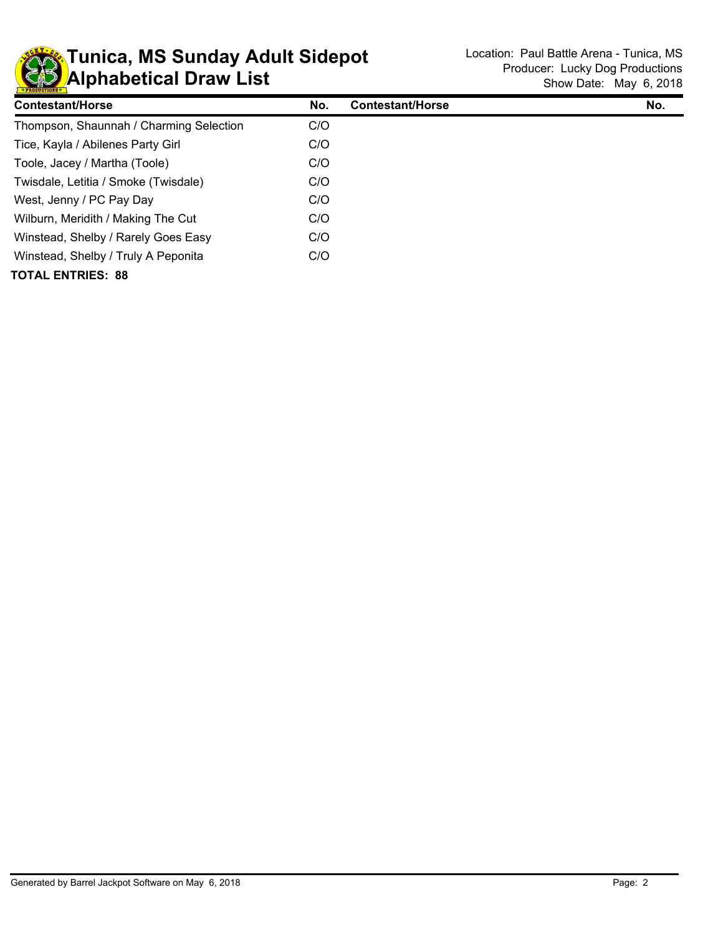

## **KD** Alphabetical Draw List **Tunica, MS Sunday Adult Sidepot** Location: Paul Battle Arena - Tunica, MS

| Contestant/Horse                        | No. | Contestant/Horse | No. |
|-----------------------------------------|-----|------------------|-----|
| Thompson, Shaunnah / Charming Selection | C/O |                  |     |
| Tice, Kayla / Abilenes Party Girl       | C/O |                  |     |
| Toole, Jacey / Martha (Toole)           | C/O |                  |     |
| Twisdale, Letitia / Smoke (Twisdale)    | C/O |                  |     |
| West, Jenny / PC Pay Day                | C/O |                  |     |
| Wilburn, Meridith / Making The Cut      | C/O |                  |     |
| Winstead, Shelby / Rarely Goes Easy     | C/O |                  |     |
| Winstead, Shelby / Truly A Peponita     | C/O |                  |     |
| <b>TOTAL ENTRIES: 88</b>                |     |                  |     |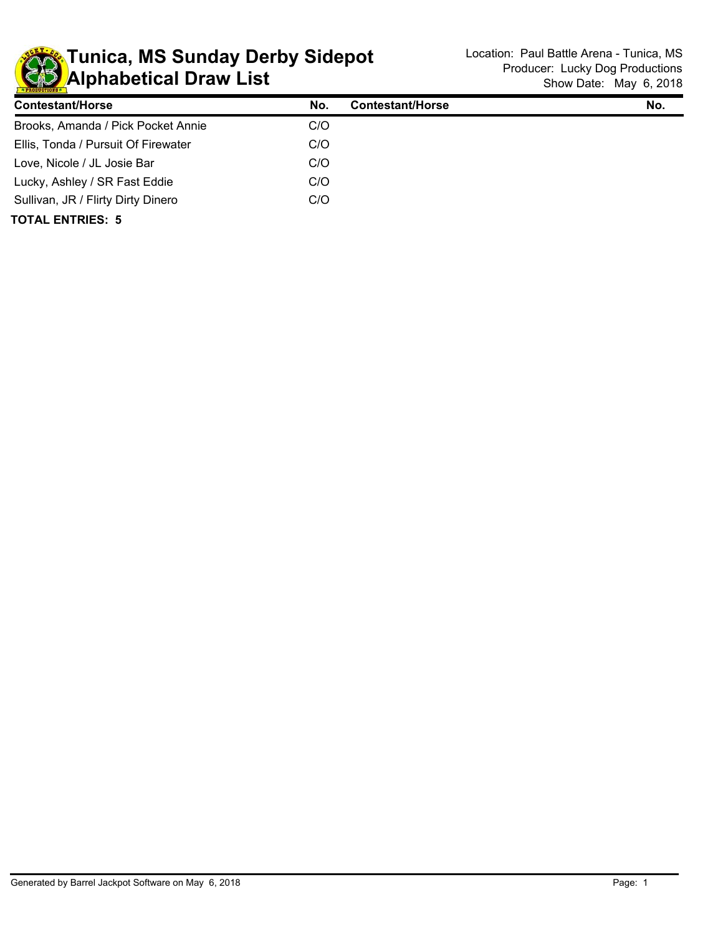

## **KD** Alphabetical Draw List **Tunica, MS Sunday Derby Sidepot** Location: Paul Battle Arena - Tunica, MS

| <b>Contestant/Horse</b>             | No. | <b>Contestant/Horse</b> | No. |
|-------------------------------------|-----|-------------------------|-----|
| Brooks, Amanda / Pick Pocket Annie  | C/O |                         |     |
| Ellis, Tonda / Pursuit Of Firewater | C/O |                         |     |
| Love, Nicole / JL Josie Bar         | C/O |                         |     |
| Lucky, Ashley / SR Fast Eddie       | C/O |                         |     |
| Sullivan, JR / Flirty Dirty Dinero  | C/O |                         |     |
| <b>TOTAL ENTRIES: 5</b>             |     |                         |     |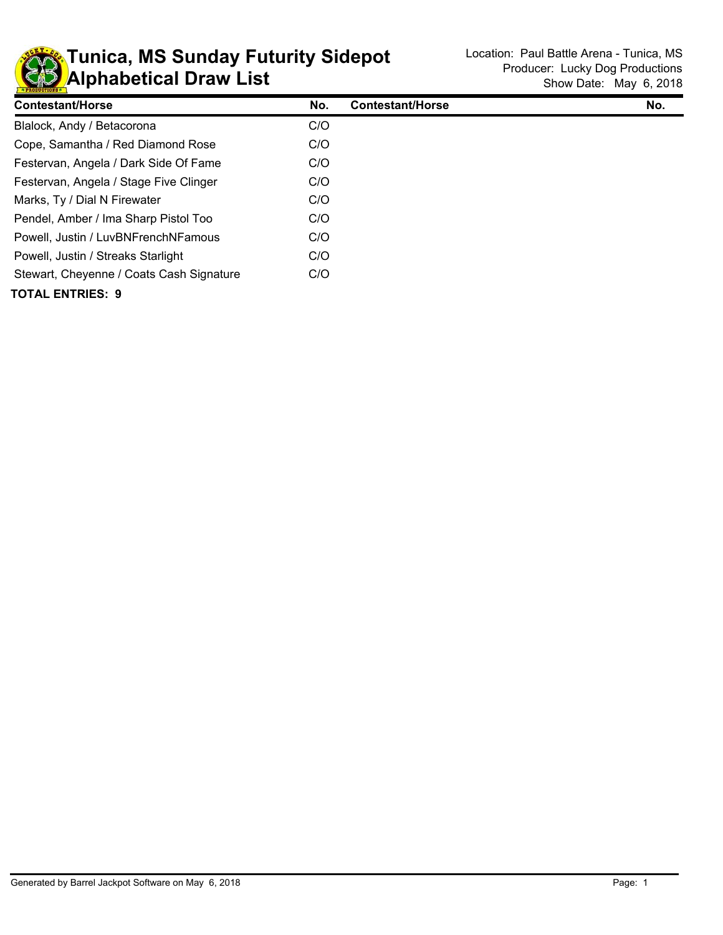

## **KD** Alphabetical Draw List **Tunica, MS Sunday Futurity Sidepot** Location: Paul Battle Arena - Tunica, MS

| <b>Contestant/Horse</b>                  | No. | <b>Contestant/Horse</b> | No. |
|------------------------------------------|-----|-------------------------|-----|
| Blalock, Andy / Betacorona               | C/O |                         |     |
| Cope, Samantha / Red Diamond Rose        | C/O |                         |     |
| Festervan, Angela / Dark Side Of Fame    | C/O |                         |     |
| Festervan, Angela / Stage Five Clinger   | C/O |                         |     |
| Marks, Ty / Dial N Firewater             | C/O |                         |     |
| Pendel, Amber / Ima Sharp Pistol Too     | C/O |                         |     |
| Powell, Justin / LuvBNFrenchNFamous      | C/O |                         |     |
| Powell, Justin / Streaks Starlight       | C/O |                         |     |
| Stewart, Cheyenne / Coats Cash Signature | C/O |                         |     |
| TOTAL ENTRIES: 9                         |     |                         |     |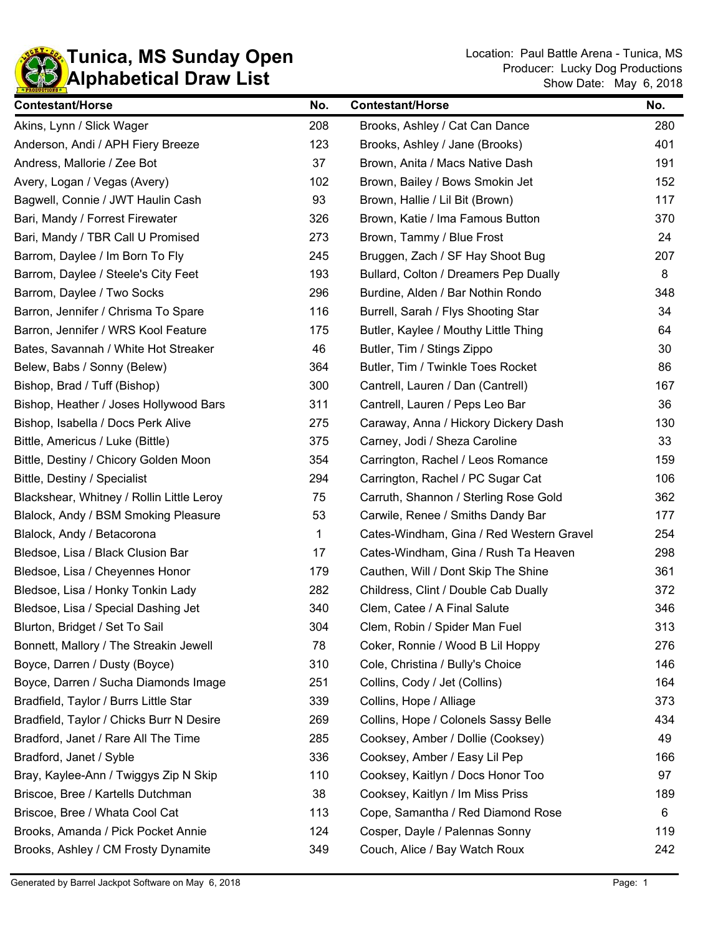

| <b>Contestant/Horse</b>                   | No. | <b>Contestant/Horse</b>                  | No. |
|-------------------------------------------|-----|------------------------------------------|-----|
| Akins, Lynn / Slick Wager                 | 208 | Brooks, Ashley / Cat Can Dance           | 280 |
| Anderson, Andi / APH Fiery Breeze         | 123 | Brooks, Ashley / Jane (Brooks)           | 401 |
| Andress, Mallorie / Zee Bot               | 37  | Brown, Anita / Macs Native Dash          | 191 |
| Avery, Logan / Vegas (Avery)              | 102 | Brown, Bailey / Bows Smokin Jet          | 152 |
| Bagwell, Connie / JWT Haulin Cash         | 93  | Brown, Hallie / Lil Bit (Brown)          | 117 |
| Bari, Mandy / Forrest Firewater           | 326 | Brown, Katie / Ima Famous Button         | 370 |
| Bari, Mandy / TBR Call U Promised         | 273 | Brown, Tammy / Blue Frost                | 24  |
| Barrom, Daylee / Im Born To Fly           | 245 | Bruggen, Zach / SF Hay Shoot Bug         | 207 |
| Barrom, Daylee / Steele's City Feet       | 193 | Bullard, Colton / Dreamers Pep Dually    | 8   |
| Barrom, Daylee / Two Socks                | 296 | Burdine, Alden / Bar Nothin Rondo        | 348 |
| Barron, Jennifer / Chrisma To Spare       | 116 | Burrell, Sarah / Flys Shooting Star      | 34  |
| Barron, Jennifer / WRS Kool Feature       | 175 | Butler, Kaylee / Mouthy Little Thing     | 64  |
| Bates, Savannah / White Hot Streaker      | 46  | Butler, Tim / Stings Zippo               | 30  |
| Belew, Babs / Sonny (Belew)               | 364 | Butler, Tim / Twinkle Toes Rocket        | 86  |
| Bishop, Brad / Tuff (Bishop)              | 300 | Cantrell, Lauren / Dan (Cantrell)        | 167 |
| Bishop, Heather / Joses Hollywood Bars    | 311 | Cantrell, Lauren / Peps Leo Bar          | 36  |
| Bishop, Isabella / Docs Perk Alive        | 275 | Caraway, Anna / Hickory Dickery Dash     | 130 |
| Bittle, Americus / Luke (Bittle)          | 375 | Carney, Jodi / Sheza Caroline            | 33  |
| Bittle, Destiny / Chicory Golden Moon     | 354 | Carrington, Rachel / Leos Romance        | 159 |
| Bittle, Destiny / Specialist              | 294 | Carrington, Rachel / PC Sugar Cat        | 106 |
| Blackshear, Whitney / Rollin Little Leroy | 75  | Carruth, Shannon / Sterling Rose Gold    | 362 |
| Blalock, Andy / BSM Smoking Pleasure      | 53  | Carwile, Renee / Smiths Dandy Bar        | 177 |
| Blalock, Andy / Betacorona                | 1   | Cates-Windham, Gina / Red Western Gravel | 254 |
| Bledsoe, Lisa / Black Clusion Bar         | 17  | Cates-Windham, Gina / Rush Ta Heaven     | 298 |
| Bledsoe, Lisa / Cheyennes Honor           | 179 | Cauthen, Will / Dont Skip The Shine      | 361 |
| Bledsoe, Lisa / Honky Tonkin Lady         | 282 | Childress, Clint / Double Cab Dually     | 372 |
| Bledsoe, Lisa / Special Dashing Jet       | 340 | Clem, Catee / A Final Salute             | 346 |
| Blurton, Bridget / Set To Sail            | 304 | Clem, Robin / Spider Man Fuel            | 313 |
| Bonnett, Mallory / The Streakin Jewell    | 78  | Coker, Ronnie / Wood B Lil Hoppy         | 276 |
| Boyce, Darren / Dusty (Boyce)             | 310 | Cole, Christina / Bully's Choice         | 146 |
| Boyce, Darren / Sucha Diamonds Image      | 251 | Collins, Cody / Jet (Collins)            | 164 |
| Bradfield, Taylor / Burrs Little Star     | 339 | Collins, Hope / Alliage                  | 373 |
| Bradfield, Taylor / Chicks Burr N Desire  | 269 | Collins, Hope / Colonels Sassy Belle     | 434 |
| Bradford, Janet / Rare All The Time       | 285 | Cooksey, Amber / Dollie (Cooksey)        | 49  |
| Bradford, Janet / Syble                   | 336 | Cooksey, Amber / Easy Lil Pep            | 166 |
| Bray, Kaylee-Ann / Twiggys Zip N Skip     | 110 | Cooksey, Kaitlyn / Docs Honor Too        | 97  |
| Briscoe, Bree / Kartells Dutchman         | 38  | Cooksey, Kaitlyn / Im Miss Priss         | 189 |
| Briscoe, Bree / Whata Cool Cat            | 113 | Cope, Samantha / Red Diamond Rose        | 6   |
| Brooks, Amanda / Pick Pocket Annie        | 124 | Cosper, Dayle / Palennas Sonny           | 119 |
| Brooks, Ashley / CM Frosty Dynamite       | 349 | Couch, Alice / Bay Watch Roux            | 242 |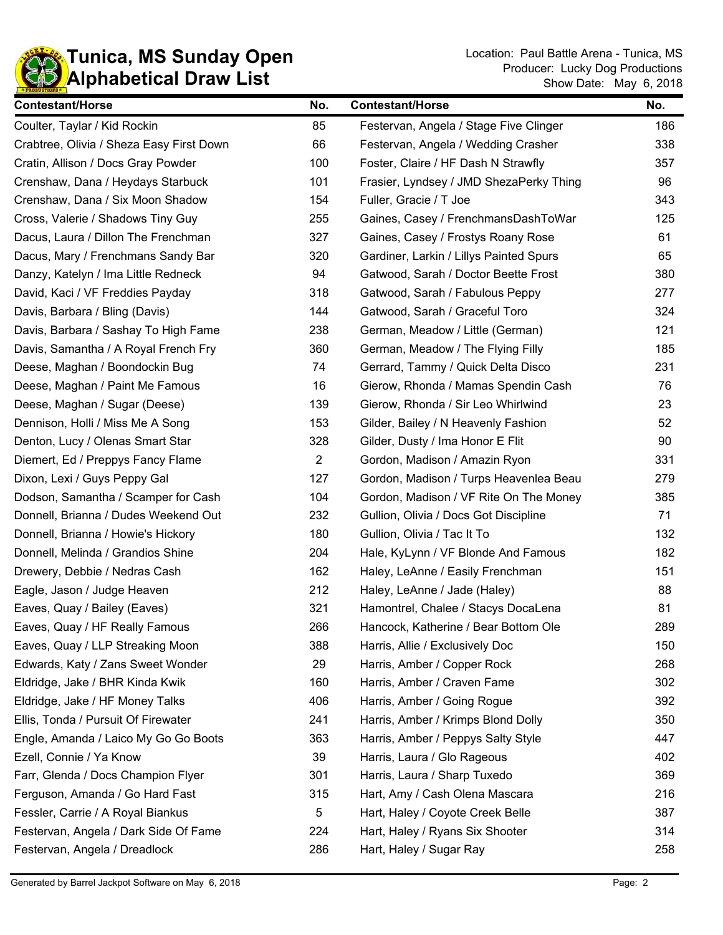

| <b>Contestant/Horse</b>                  | No.            | <b>Contestant/Horse</b>                 | No. |
|------------------------------------------|----------------|-----------------------------------------|-----|
| Coulter, Taylar / Kid Rockin             | 85             | Festervan, Angela / Stage Five Clinger  | 186 |
| Crabtree, Olivia / Sheza Easy First Down | 66             | Festervan, Angela / Wedding Crasher     | 338 |
| Cratin, Allison / Docs Gray Powder       | 100            | Foster, Claire / HF Dash N Strawfly     | 357 |
| Crenshaw, Dana / Heydays Starbuck        | 101            | Frasier, Lyndsey / JMD ShezaPerky Thing | 96  |
| Crenshaw, Dana / Six Moon Shadow         | 154            | Fuller, Gracie / T Joe                  | 343 |
| Cross, Valerie / Shadows Tiny Guy        | 255            | Gaines, Casey / FrenchmansDashToWar     | 125 |
| Dacus, Laura / Dillon The Frenchman      | 327            | Gaines, Casey / Frostys Roany Rose      | 61  |
| Dacus, Mary / Frenchmans Sandy Bar       | 320            | Gardiner, Larkin / Lillys Painted Spurs | 65  |
| Danzy, Katelyn / Ima Little Redneck      | 94             | Gatwood, Sarah / Doctor Beette Frost    | 380 |
| David, Kaci / VF Freddies Payday         | 318            | Gatwood, Sarah / Fabulous Peppy         | 277 |
| Davis, Barbara / Bling (Davis)           | 144            | Gatwood, Sarah / Graceful Toro          | 324 |
| Davis, Barbara / Sashay To High Fame     | 238            | German, Meadow / Little (German)        | 121 |
| Davis, Samantha / A Royal French Fry     | 360            | German, Meadow / The Flying Filly       | 185 |
| Deese, Maghan / Boondockin Bug           | 74             | Gerrard, Tammy / Quick Delta Disco      | 231 |
| Deese, Maghan / Paint Me Famous          | 16             | Gierow, Rhonda / Mamas Spendin Cash     | 76  |
| Deese, Maghan / Sugar (Deese)            | 139            | Gierow, Rhonda / Sir Leo Whirlwind      | 23  |
| Dennison, Holli / Miss Me A Song         | 153            | Gilder, Bailey / N Heavenly Fashion     | 52  |
| Denton, Lucy / Olenas Smart Star         | 328            | Gilder, Dusty / Ima Honor E Flit        | 90  |
| Diemert, Ed / Preppys Fancy Flame        | $\overline{2}$ | Gordon, Madison / Amazin Ryon           | 331 |
| Dixon, Lexi / Guys Peppy Gal             | 127            | Gordon, Madison / Turps Heavenlea Beau  | 279 |
| Dodson, Samantha / Scamper for Cash      | 104            | Gordon, Madison / VF Rite On The Money  | 385 |
| Donnell, Brianna / Dudes Weekend Out     | 232            | Gullion, Olivia / Docs Got Discipline   | 71  |
| Donnell, Brianna / Howie's Hickory       | 180            | Gullion, Olivia / Tac It To             | 132 |
| Donnell, Melinda / Grandios Shine        | 204            | Hale, KyLynn / VF Blonde And Famous     | 182 |
| Drewery, Debbie / Nedras Cash            | 162            | Haley, LeAnne / Easily Frenchman        | 151 |
| Eagle, Jason / Judge Heaven              | 212            | Haley, LeAnne / Jade (Haley)            | 88  |
| Eaves, Quay / Bailey (Eaves)             | 321            | Hamontrel, Chalee / Stacys DocaLena     | 81  |
| Eaves, Quay / HF Really Famous           | 266            | Hancock, Katherine / Bear Bottom Ole    | 289 |
| Eaves, Quay / LLP Streaking Moon         | 388            | Harris, Allie / Exclusively Doc         | 150 |
| Edwards, Katy / Zans Sweet Wonder        | 29             | Harris, Amber / Copper Rock             | 268 |
| Eldridge, Jake / BHR Kinda Kwik          | 160            | Harris, Amber / Craven Fame             | 302 |
| Eldridge, Jake / HF Money Talks          | 406            | Harris, Amber / Going Rogue             | 392 |
| Ellis, Tonda / Pursuit Of Firewater      | 241            | Harris, Amber / Krimps Blond Dolly      | 350 |
| Engle, Amanda / Laico My Go Go Boots     | 363            | Harris, Amber / Peppys Salty Style      | 447 |
| Ezell, Connie / Ya Know                  | 39             | Harris, Laura / Glo Rageous             | 402 |
| Farr, Glenda / Docs Champion Flyer       | 301            | Harris, Laura / Sharp Tuxedo            | 369 |
| Ferguson, Amanda / Go Hard Fast          | 315            | Hart, Amy / Cash Olena Mascara          | 216 |
| Fessler, Carrie / A Royal Biankus        | 5              | Hart, Haley / Coyote Creek Belle        | 387 |
| Festervan, Angela / Dark Side Of Fame    | 224            | Hart, Haley / Ryans Six Shooter         | 314 |
| Festervan, Angela / Dreadlock            | 286            | Hart, Haley / Sugar Ray                 | 258 |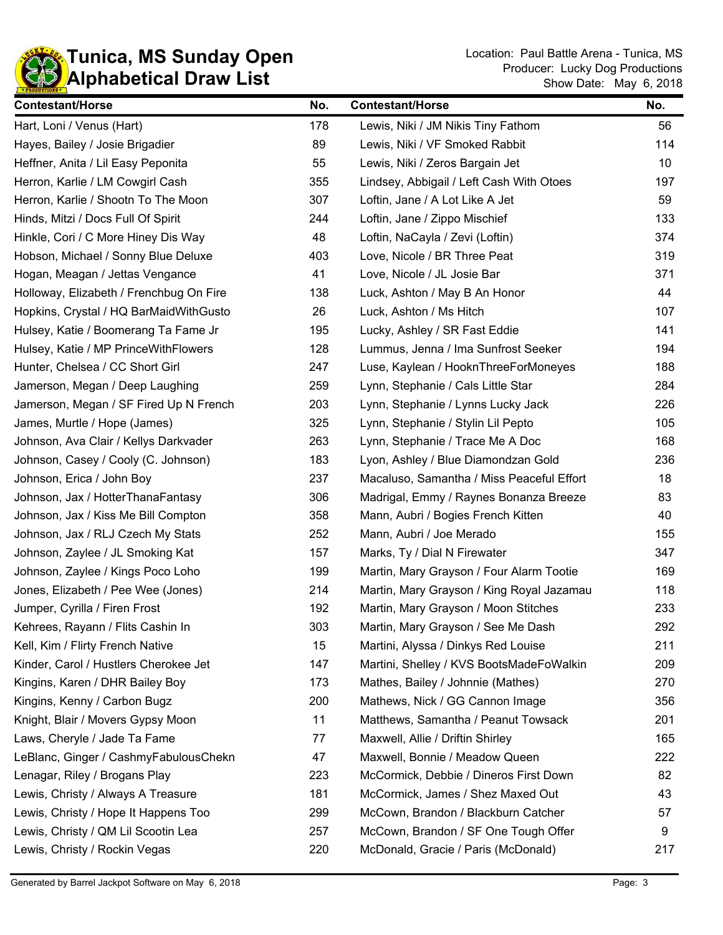

| <b>Contestant/Horse</b>                 | No. | <b>Contestant/Horse</b>                   | No. |
|-----------------------------------------|-----|-------------------------------------------|-----|
| Hart, Loni / Venus (Hart)               | 178 | Lewis, Niki / JM Nikis Tiny Fathom        | 56  |
| Hayes, Bailey / Josie Brigadier         | 89  | Lewis, Niki / VF Smoked Rabbit            | 114 |
| Heffner, Anita / Lil Easy Peponita      | 55  | Lewis, Niki / Zeros Bargain Jet           | 10  |
| Herron, Karlie / LM Cowgirl Cash        | 355 | Lindsey, Abbigail / Left Cash With Otoes  | 197 |
| Herron, Karlie / Shootn To The Moon     | 307 | Loftin, Jane / A Lot Like A Jet           | 59  |
| Hinds, Mitzi / Docs Full Of Spirit      | 244 | Loftin, Jane / Zippo Mischief             | 133 |
| Hinkle, Cori / C More Hiney Dis Way     | 48  | Loftin, NaCayla / Zevi (Loftin)           | 374 |
| Hobson, Michael / Sonny Blue Deluxe     | 403 | Love, Nicole / BR Three Peat              | 319 |
| Hogan, Meagan / Jettas Vengance         | 41  | Love, Nicole / JL Josie Bar               | 371 |
| Holloway, Elizabeth / Frenchbug On Fire | 138 | Luck, Ashton / May B An Honor             | 44  |
| Hopkins, Crystal / HQ BarMaidWithGusto  | 26  | Luck, Ashton / Ms Hitch                   | 107 |
| Hulsey, Katie / Boomerang Ta Fame Jr    | 195 | Lucky, Ashley / SR Fast Eddie             | 141 |
| Hulsey, Katie / MP PrinceWithFlowers    | 128 | Lummus, Jenna / Ima Sunfrost Seeker       | 194 |
| Hunter, Chelsea / CC Short Girl         | 247 | Luse, Kaylean / HooknThreeForMoneyes      | 188 |
| Jamerson, Megan / Deep Laughing         | 259 | Lynn, Stephanie / Cals Little Star        | 284 |
| Jamerson, Megan / SF Fired Up N French  | 203 | Lynn, Stephanie / Lynns Lucky Jack        | 226 |
| James, Murtle / Hope (James)            | 325 | Lynn, Stephanie / Stylin Lil Pepto        | 105 |
| Johnson, Ava Clair / Kellys Darkvader   | 263 | Lynn, Stephanie / Trace Me A Doc          | 168 |
| Johnson, Casey / Cooly (C. Johnson)     | 183 | Lyon, Ashley / Blue Diamondzan Gold       | 236 |
| Johnson, Erica / John Boy               | 237 | Macaluso, Samantha / Miss Peaceful Effort | 18  |
| Johnson, Jax / HotterThanaFantasy       | 306 | Madrigal, Emmy / Raynes Bonanza Breeze    | 83  |
| Johnson, Jax / Kiss Me Bill Compton     | 358 | Mann, Aubri / Bogies French Kitten        | 40  |
| Johnson, Jax / RLJ Czech My Stats       | 252 | Mann, Aubri / Joe Merado                  | 155 |
| Johnson, Zaylee / JL Smoking Kat        | 157 | Marks, Ty / Dial N Firewater              | 347 |
| Johnson, Zaylee / Kings Poco Loho       | 199 | Martin, Mary Grayson / Four Alarm Tootie  | 169 |
| Jones, Elizabeth / Pee Wee (Jones)      | 214 | Martin, Mary Grayson / King Royal Jazamau | 118 |
| Jumper, Cyrilla / Firen Frost           | 192 | Martin, Mary Grayson / Moon Stitches      | 233 |
| Kehrees, Rayann / Flits Cashin In       | 303 | Martin, Mary Grayson / See Me Dash        | 292 |
| Kell, Kim / Flirty French Native        | 15  | Martini, Alyssa / Dinkys Red Louise       | 211 |
| Kinder, Carol / Hustlers Cherokee Jet   | 147 | Martini, Shelley / KVS BootsMadeFoWalkin  | 209 |
| Kingins, Karen / DHR Bailey Boy         | 173 | Mathes, Bailey / Johnnie (Mathes)         | 270 |
| Kingins, Kenny / Carbon Bugz            | 200 | Mathews, Nick / GG Cannon Image           | 356 |
| Knight, Blair / Movers Gypsy Moon       | 11  | Matthews, Samantha / Peanut Towsack       | 201 |
| Laws, Cheryle / Jade Ta Fame            | 77  | Maxwell, Allie / Driftin Shirley          | 165 |
| LeBlanc, Ginger / CashmyFabulousChekn   | 47  | Maxwell, Bonnie / Meadow Queen            | 222 |
| Lenagar, Riley / Brogans Play           | 223 | McCormick, Debbie / Dineros First Down    | 82  |
| Lewis, Christy / Always A Treasure      | 181 | McCormick, James / Shez Maxed Out         | 43  |
| Lewis, Christy / Hope It Happens Too    | 299 | McCown, Brandon / Blackburn Catcher       | 57  |
| Lewis, Christy / QM Lil Scootin Lea     | 257 | McCown, Brandon / SF One Tough Offer      | 9   |
| Lewis, Christy / Rockin Vegas           | 220 | McDonald, Gracie / Paris (McDonald)       | 217 |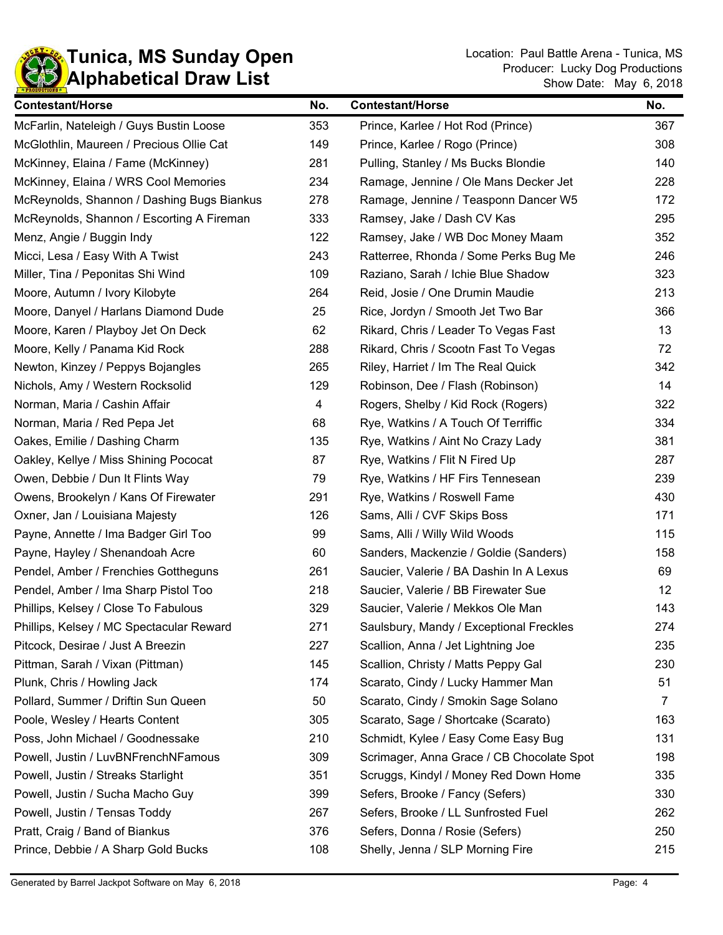

| <b>Contestant/Horse</b>                    | No. | <b>Contestant/Horse</b>                   | No.            |
|--------------------------------------------|-----|-------------------------------------------|----------------|
| McFarlin, Nateleigh / Guys Bustin Loose    | 353 | Prince, Karlee / Hot Rod (Prince)         | 367            |
| McGlothlin, Maureen / Precious Ollie Cat   | 149 | Prince, Karlee / Rogo (Prince)            | 308            |
| McKinney, Elaina / Fame (McKinney)         | 281 | Pulling, Stanley / Ms Bucks Blondie       | 140            |
| McKinney, Elaina / WRS Cool Memories       | 234 | Ramage, Jennine / Ole Mans Decker Jet     | 228            |
| McReynolds, Shannon / Dashing Bugs Biankus | 278 | Ramage, Jennine / Teasponn Dancer W5      | 172            |
| McReynolds, Shannon / Escorting A Fireman  | 333 | Ramsey, Jake / Dash CV Kas                | 295            |
| Menz, Angie / Buggin Indy                  | 122 | Ramsey, Jake / WB Doc Money Maam          | 352            |
| Micci, Lesa / Easy With A Twist            | 243 | Ratterree, Rhonda / Some Perks Bug Me     | 246            |
| Miller, Tina / Peponitas Shi Wind          | 109 | Raziano, Sarah / Ichie Blue Shadow        | 323            |
| Moore, Autumn / Ivory Kilobyte             | 264 | Reid, Josie / One Drumin Maudie           | 213            |
| Moore, Danyel / Harlans Diamond Dude       | 25  | Rice, Jordyn / Smooth Jet Two Bar         | 366            |
| Moore, Karen / Playboy Jet On Deck         | 62  | Rikard, Chris / Leader To Vegas Fast      | 13             |
| Moore, Kelly / Panama Kid Rock             | 288 | Rikard, Chris / Scootn Fast To Vegas      | 72             |
| Newton, Kinzey / Peppys Bojangles          | 265 | Riley, Harriet / Im The Real Quick        | 342            |
| Nichols, Amy / Western Rocksolid           | 129 | Robinson, Dee / Flash (Robinson)          | 14             |
| Norman, Maria / Cashin Affair              | 4   | Rogers, Shelby / Kid Rock (Rogers)        | 322            |
| Norman, Maria / Red Pepa Jet               | 68  | Rye, Watkins / A Touch Of Terriffic       | 334            |
| Oakes, Emilie / Dashing Charm              | 135 | Rye, Watkins / Aint No Crazy Lady         | 381            |
| Oakley, Kellye / Miss Shining Pococat      | 87  | Rye, Watkins / Flit N Fired Up            | 287            |
| Owen, Debbie / Dun It Flints Way           | 79  | Rye, Watkins / HF Firs Tennesean          | 239            |
| Owens, Brookelyn / Kans Of Firewater       | 291 | Rye, Watkins / Roswell Fame               | 430            |
| Oxner, Jan / Louisiana Majesty             | 126 | Sams, Alli / CVF Skips Boss               | 171            |
| Payne, Annette / Ima Badger Girl Too       | 99  | Sams, Alli / Willy Wild Woods             | 115            |
| Payne, Hayley / Shenandoah Acre            | 60  | Sanders, Mackenzie / Goldie (Sanders)     | 158            |
| Pendel, Amber / Frenchies Gottheguns       | 261 | Saucier, Valerie / BA Dashin In A Lexus   | 69             |
| Pendel, Amber / Ima Sharp Pistol Too       | 218 | Saucier, Valerie / BB Firewater Sue       | 12             |
| Phillips, Kelsey / Close To Fabulous       | 329 | Saucier, Valerie / Mekkos Ole Man         | 143            |
| Phillips, Kelsey / MC Spectacular Reward   | 271 | Saulsbury, Mandy / Exceptional Freckles   | 274            |
| Pitcock, Desirae / Just A Breezin          | 227 | Scallion, Anna / Jet Lightning Joe        | 235            |
| Pittman, Sarah / Vixan (Pittman)           | 145 | Scallion, Christy / Matts Peppy Gal       | 230            |
| Plunk, Chris / Howling Jack                | 174 | Scarato, Cindy / Lucky Hammer Man         | 51             |
| Pollard, Summer / Driftin Sun Queen        | 50  | Scarato, Cindy / Smokin Sage Solano       | $\overline{7}$ |
| Poole, Wesley / Hearts Content             | 305 | Scarato, Sage / Shortcake (Scarato)       | 163            |
| Poss, John Michael / Goodnessake           | 210 | Schmidt, Kylee / Easy Come Easy Bug       | 131            |
| Powell, Justin / LuvBNFrenchNFamous        | 309 | Scrimager, Anna Grace / CB Chocolate Spot | 198            |
| Powell, Justin / Streaks Starlight         | 351 | Scruggs, Kindyl / Money Red Down Home     | 335            |
| Powell, Justin / Sucha Macho Guy           | 399 | Sefers, Brooke / Fancy (Sefers)           | 330            |
| Powell, Justin / Tensas Toddy              | 267 | Sefers, Brooke / LL Sunfrosted Fuel       | 262            |
| Pratt, Craig / Band of Biankus             | 376 | Sefers, Donna / Rosie (Sefers)            | 250            |
| Prince, Debbie / A Sharp Gold Bucks        | 108 | Shelly, Jenna / SLP Morning Fire          | 215            |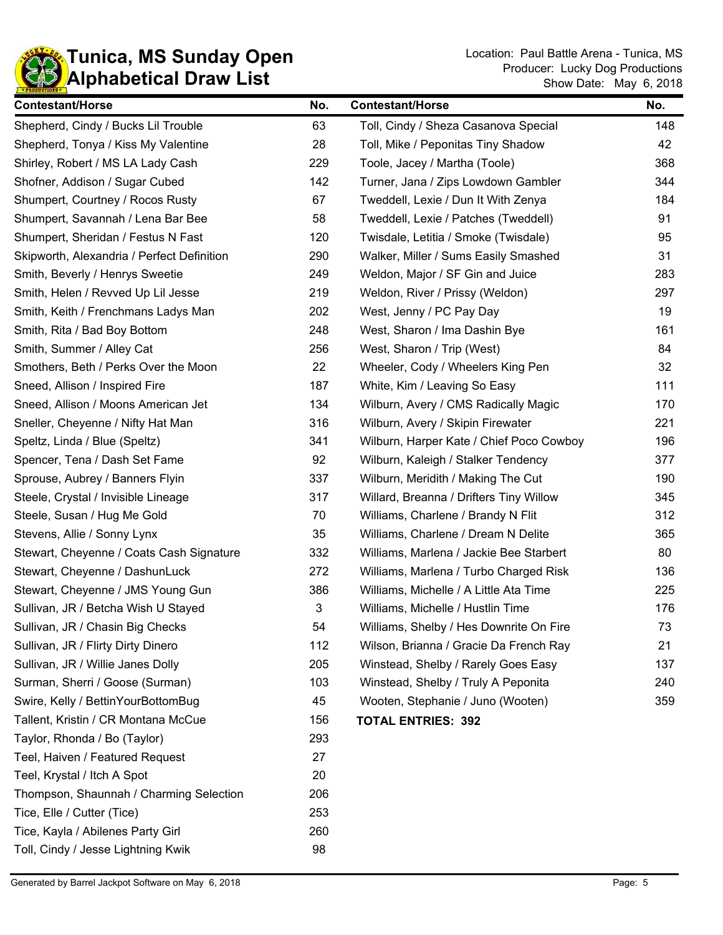

| <b>Contestant/Horse</b>                    | No.                       | <b>Contestant/Horse</b>                  | No. |
|--------------------------------------------|---------------------------|------------------------------------------|-----|
| Shepherd, Cindy / Bucks Lil Trouble        | 63                        | Toll, Cindy / Sheza Casanova Special     | 148 |
| Shepherd, Tonya / Kiss My Valentine        | 28                        | Toll, Mike / Peponitas Tiny Shadow       | 42  |
| Shirley, Robert / MS LA Lady Cash          | 229                       | Toole, Jacey / Martha (Toole)            | 368 |
| Shofner, Addison / Sugar Cubed             | 142                       | Turner, Jana / Zips Lowdown Gambler      | 344 |
| Shumpert, Courtney / Rocos Rusty           | 67                        | Tweddell, Lexie / Dun It With Zenya      | 184 |
| Shumpert, Savannah / Lena Bar Bee          | 58                        | Tweddell, Lexie / Patches (Tweddell)     | 91  |
| Shumpert, Sheridan / Festus N Fast         | 120                       | Twisdale, Letitia / Smoke (Twisdale)     | 95  |
| Skipworth, Alexandria / Perfect Definition | 290                       | Walker, Miller / Sums Easily Smashed     | 31  |
| Smith, Beverly / Henrys Sweetie            | 249                       | Weldon, Major / SF Gin and Juice         | 283 |
| Smith, Helen / Revved Up Lil Jesse         | 219                       | Weldon, River / Prissy (Weldon)          | 297 |
| Smith, Keith / Frenchmans Ladys Man        | 202                       | West, Jenny / PC Pay Day                 | 19  |
| Smith, Rita / Bad Boy Bottom               | 248                       | West, Sharon / Ima Dashin Bye            | 161 |
| Smith, Summer / Alley Cat                  | 256                       | West, Sharon / Trip (West)               | 84  |
| Smothers, Beth / Perks Over the Moon       | 22                        | Wheeler, Cody / Wheelers King Pen        | 32  |
| Sneed, Allison / Inspired Fire             | 187                       | White, Kim / Leaving So Easy             | 111 |
| Sneed, Allison / Moons American Jet        | 134                       | Wilburn, Avery / CMS Radically Magic     | 170 |
| Sneller, Cheyenne / Nifty Hat Man          | 316                       | Wilburn, Avery / Skipin Firewater        | 221 |
| Speltz, Linda / Blue (Speltz)              | 341                       | Wilburn, Harper Kate / Chief Poco Cowboy | 196 |
| Spencer, Tena / Dash Set Fame              | 92                        | Wilburn, Kaleigh / Stalker Tendency      | 377 |
| Sprouse, Aubrey / Banners Flyin            | 337                       | Wilburn, Meridith / Making The Cut       | 190 |
| Steele, Crystal / Invisible Lineage        | 317                       | Willard, Breanna / Drifters Tiny Willow  | 345 |
| Steele, Susan / Hug Me Gold                | 70                        | Williams, Charlene / Brandy N Flit       | 312 |
| Stevens, Allie / Sonny Lynx                | 35                        | Williams, Charlene / Dream N Delite      | 365 |
| Stewart, Cheyenne / Coats Cash Signature   | 332                       | Williams, Marlena / Jackie Bee Starbert  | 80  |
| Stewart, Cheyenne / DashunLuck             | 272                       | Williams, Marlena / Turbo Charged Risk   | 136 |
| Stewart, Cheyenne / JMS Young Gun          | 386                       | Williams, Michelle / A Little Ata Time   | 225 |
| Sullivan, JR / Betcha Wish U Stayed        | $\ensuremath{\mathsf{3}}$ | Williams, Michelle / Hustlin Time        | 176 |
| Sullivan, JR / Chasin Big Checks           | 54                        | Williams, Shelby / Hes Downrite On Fire  | 73  |
| Sullivan, JR / Flirty Dirty Dinero         | 112                       | Wilson, Brianna / Gracie Da French Ray   | 21  |
| Sullivan, JR / Willie Janes Dolly          | 205                       | Winstead, Shelby / Rarely Goes Easy      | 137 |
| Surman, Sherri / Goose (Surman)            | 103                       | Winstead, Shelby / Truly A Peponita      | 240 |
| Swire, Kelly / BettinYourBottomBug         | 45                        | Wooten, Stephanie / Juno (Wooten)        | 359 |
| Tallent, Kristin / CR Montana McCue        | 156                       | <b>TOTAL ENTRIES: 392</b>                |     |
| Taylor, Rhonda / Bo (Taylor)               | 293                       |                                          |     |
| Teel, Haiven / Featured Request            | 27                        |                                          |     |
| Teel, Krystal / Itch A Spot                | 20                        |                                          |     |
| Thompson, Shaunnah / Charming Selection    | 206                       |                                          |     |
| Tice, Elle / Cutter (Tice)                 | 253                       |                                          |     |
| Tice, Kayla / Abilenes Party Girl          | 260                       |                                          |     |
| Toll, Cindy / Jesse Lightning Kwik         | 98                        |                                          |     |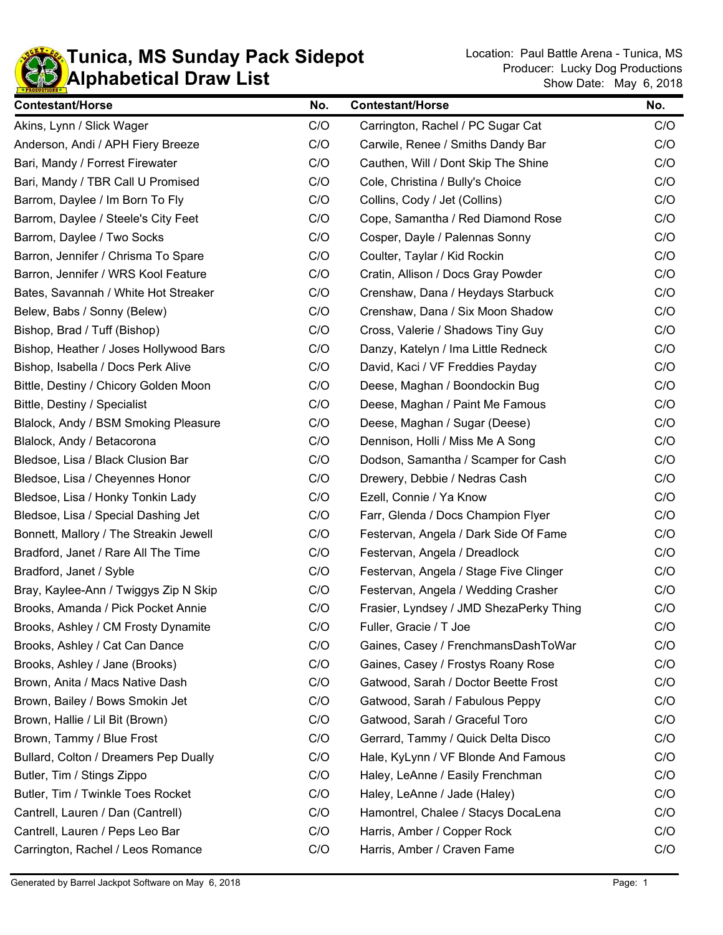

| <b>Contestant/Horse</b>                | No. | <b>Contestant/Horse</b>                 | No. |
|----------------------------------------|-----|-----------------------------------------|-----|
| Akins, Lynn / Slick Wager              | C/O | Carrington, Rachel / PC Sugar Cat       | C/O |
| Anderson, Andi / APH Fiery Breeze      | C/O | Carwile, Renee / Smiths Dandy Bar       | C/O |
| Bari, Mandy / Forrest Firewater        | C/O | Cauthen, Will / Dont Skip The Shine     | C/O |
| Bari, Mandy / TBR Call U Promised      | C/O | Cole, Christina / Bully's Choice        | C/O |
| Barrom, Daylee / Im Born To Fly        | C/O | Collins, Cody / Jet (Collins)           | C/O |
| Barrom, Daylee / Steele's City Feet    | C/O | Cope, Samantha / Red Diamond Rose       | C/O |
| Barrom, Daylee / Two Socks             | C/O | Cosper, Dayle / Palennas Sonny          | C/O |
| Barron, Jennifer / Chrisma To Spare    | C/O | Coulter, Taylar / Kid Rockin            | C/O |
| Barron, Jennifer / WRS Kool Feature    | C/O | Cratin, Allison / Docs Gray Powder      | C/O |
| Bates, Savannah / White Hot Streaker   | C/O | Crenshaw, Dana / Heydays Starbuck       | C/O |
| Belew, Babs / Sonny (Belew)            | C/O | Crenshaw, Dana / Six Moon Shadow        | C/O |
| Bishop, Brad / Tuff (Bishop)           | C/O | Cross, Valerie / Shadows Tiny Guy       | C/O |
| Bishop, Heather / Joses Hollywood Bars | C/O | Danzy, Katelyn / Ima Little Redneck     | C/O |
| Bishop, Isabella / Docs Perk Alive     | C/O | David, Kaci / VF Freddies Payday        | C/O |
| Bittle, Destiny / Chicory Golden Moon  | C/O | Deese, Maghan / Boondockin Bug          | C/O |
| Bittle, Destiny / Specialist           | C/O | Deese, Maghan / Paint Me Famous         | C/O |
| Blalock, Andy / BSM Smoking Pleasure   | C/O | Deese, Maghan / Sugar (Deese)           | C/O |
| Blalock, Andy / Betacorona             | C/O | Dennison, Holli / Miss Me A Song        | C/O |
| Bledsoe, Lisa / Black Clusion Bar      | C/O | Dodson, Samantha / Scamper for Cash     | C/O |
| Bledsoe, Lisa / Cheyennes Honor        | C/O | Drewery, Debbie / Nedras Cash           | C/O |
| Bledsoe, Lisa / Honky Tonkin Lady      | C/O | Ezell, Connie / Ya Know                 | C/O |
| Bledsoe, Lisa / Special Dashing Jet    | C/O | Farr, Glenda / Docs Champion Flyer      | C/O |
| Bonnett, Mallory / The Streakin Jewell | C/O | Festervan, Angela / Dark Side Of Fame   | C/O |
| Bradford, Janet / Rare All The Time    | C/O | Festervan, Angela / Dreadlock           | C/O |
| Bradford, Janet / Syble                | C/O | Festervan, Angela / Stage Five Clinger  | C/O |
| Bray, Kaylee-Ann / Twiggys Zip N Skip  | C/O | Festervan, Angela / Wedding Crasher     | C/O |
| Brooks, Amanda / Pick Pocket Annie     | C/O | Frasier, Lyndsey / JMD ShezaPerky Thing | C/O |
| Brooks, Ashley / CM Frosty Dynamite    | C/O | Fuller, Gracie / T Joe                  | C/O |
| Brooks, Ashley / Cat Can Dance         | C/O | Gaines, Casey / FrenchmansDashToWar     | C/O |
| Brooks, Ashley / Jane (Brooks)         | C/O | Gaines, Casey / Frostys Roany Rose      | C/O |
| Brown, Anita / Macs Native Dash        | C/O | Gatwood, Sarah / Doctor Beette Frost    | C/O |
| Brown, Bailey / Bows Smokin Jet        | C/O | Gatwood, Sarah / Fabulous Peppy         | C/O |
| Brown, Hallie / Lil Bit (Brown)        | C/O | Gatwood, Sarah / Graceful Toro          | C/O |
| Brown, Tammy / Blue Frost              | C/O | Gerrard, Tammy / Quick Delta Disco      | C/O |
| Bullard, Colton / Dreamers Pep Dually  | C/O | Hale, KyLynn / VF Blonde And Famous     | C/O |
| Butler, Tim / Stings Zippo             | C/O | Haley, LeAnne / Easily Frenchman        | C/O |
| Butler, Tim / Twinkle Toes Rocket      | C/O | Haley, LeAnne / Jade (Haley)            | C/O |
| Cantrell, Lauren / Dan (Cantrell)      | C/O | Hamontrel, Chalee / Stacys DocaLena     | C/O |
| Cantrell, Lauren / Peps Leo Bar        | C/O | Harris, Amber / Copper Rock             | C/O |
| Carrington, Rachel / Leos Romance      | C/O | Harris, Amber / Craven Fame             | C/O |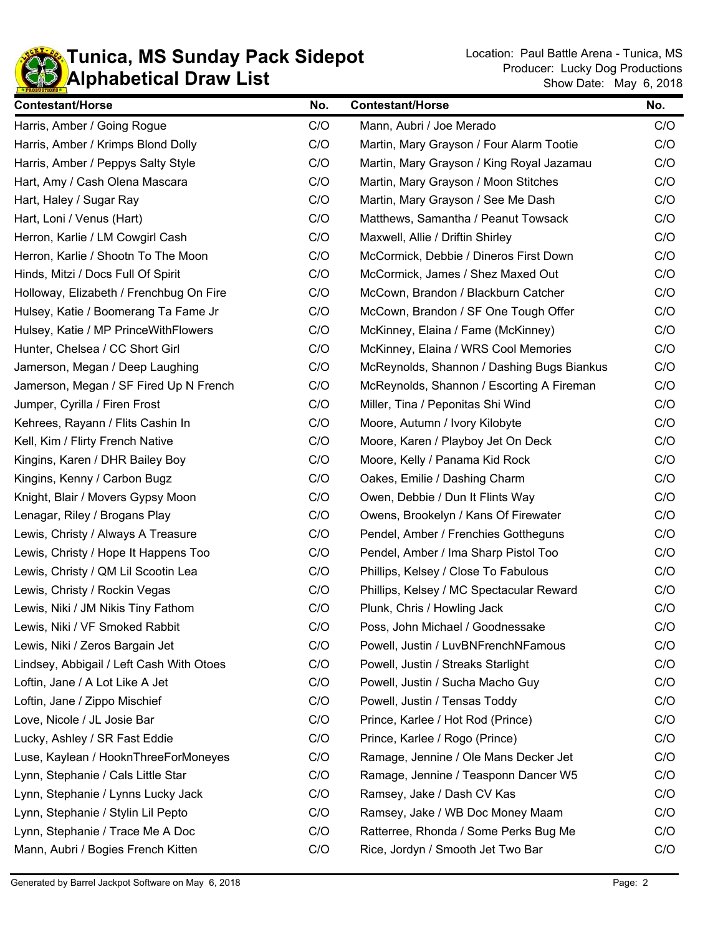

| <b>Contestant/Horse</b>                  | No. | <b>Contestant/Horse</b>                    | No. |
|------------------------------------------|-----|--------------------------------------------|-----|
| Harris, Amber / Going Rogue              | C/O | Mann, Aubri / Joe Merado                   | C/O |
| Harris, Amber / Krimps Blond Dolly       | C/O | Martin, Mary Grayson / Four Alarm Tootie   | C/O |
| Harris, Amber / Peppys Salty Style       | C/O | Martin, Mary Grayson / King Royal Jazamau  | C/O |
| Hart, Amy / Cash Olena Mascara           | C/O | Martin, Mary Grayson / Moon Stitches       | C/O |
| Hart, Haley / Sugar Ray                  | C/O | Martin, Mary Grayson / See Me Dash         | C/O |
| Hart, Loni / Venus (Hart)                | C/O | Matthews, Samantha / Peanut Towsack        | C/O |
| Herron, Karlie / LM Cowgirl Cash         | C/O | Maxwell, Allie / Driftin Shirley           | C/O |
| Herron, Karlie / Shootn To The Moon      | C/O | McCormick, Debbie / Dineros First Down     | C/O |
| Hinds, Mitzi / Docs Full Of Spirit       | C/O | McCormick, James / Shez Maxed Out          | C/O |
| Holloway, Elizabeth / Frenchbug On Fire  | C/O | McCown, Brandon / Blackburn Catcher        | C/O |
| Hulsey, Katie / Boomerang Ta Fame Jr     | C/O | McCown, Brandon / SF One Tough Offer       | C/O |
| Hulsey, Katie / MP PrinceWithFlowers     | C/O | McKinney, Elaina / Fame (McKinney)         | C/O |
| Hunter, Chelsea / CC Short Girl          | C/O | McKinney, Elaina / WRS Cool Memories       | C/O |
| Jamerson, Megan / Deep Laughing          | C/O | McReynolds, Shannon / Dashing Bugs Biankus | C/O |
| Jamerson, Megan / SF Fired Up N French   | C/O | McReynolds, Shannon / Escorting A Fireman  | C/O |
| Jumper, Cyrilla / Firen Frost            | C/O | Miller, Tina / Peponitas Shi Wind          | C/O |
| Kehrees, Rayann / Flits Cashin In        | C/O | Moore, Autumn / Ivory Kilobyte             | C/O |
| Kell, Kim / Flirty French Native         | C/O | Moore, Karen / Playboy Jet On Deck         | C/O |
| Kingins, Karen / DHR Bailey Boy          | C/O | Moore, Kelly / Panama Kid Rock             | C/O |
| Kingins, Kenny / Carbon Bugz             | C/O | Oakes, Emilie / Dashing Charm              | C/O |
| Knight, Blair / Movers Gypsy Moon        | C/O | Owen, Debbie / Dun It Flints Way           | C/O |
| Lenagar, Riley / Brogans Play            | C/O | Owens, Brookelyn / Kans Of Firewater       | C/O |
| Lewis, Christy / Always A Treasure       | C/O | Pendel, Amber / Frenchies Gottheguns       | C/O |
| Lewis, Christy / Hope It Happens Too     | C/O | Pendel, Amber / Ima Sharp Pistol Too       | C/O |
| Lewis, Christy / QM Lil Scootin Lea      | C/O | Phillips, Kelsey / Close To Fabulous       | C/O |
| Lewis, Christy / Rockin Vegas            | C/O | Phillips, Kelsey / MC Spectacular Reward   | C/O |
| Lewis, Niki / JM Nikis Tiny Fathom       | C/O | Plunk, Chris / Howling Jack                |     |
| Lewis, Niki / VF Smoked Rabbit           | C/O | Poss, John Michael / Goodnessake           | C/O |
| Lewis, Niki / Zeros Bargain Jet          | C/O | Powell, Justin / LuvBNFrenchNFamous        | C/O |
| Lindsey, Abbigail / Left Cash With Otoes | C/O | Powell, Justin / Streaks Starlight         | C/O |
| Loftin, Jane / A Lot Like A Jet          | C/O | Powell, Justin / Sucha Macho Guy           | C/O |
| Loftin, Jane / Zippo Mischief            | C/O | Powell, Justin / Tensas Toddy              | C/O |
| Love, Nicole / JL Josie Bar              | C/O | Prince, Karlee / Hot Rod (Prince)          | C/O |
| Lucky, Ashley / SR Fast Eddie            | C/O | Prince, Karlee / Rogo (Prince)             | C/O |
| Luse, Kaylean / HooknThreeForMoneyes     | C/O | Ramage, Jennine / Ole Mans Decker Jet      | C/O |
| Lynn, Stephanie / Cals Little Star       | C/O | Ramage, Jennine / Teasponn Dancer W5       | C/O |
| Lynn, Stephanie / Lynns Lucky Jack       | C/O | Ramsey, Jake / Dash CV Kas                 | C/O |
| Lynn, Stephanie / Stylin Lil Pepto       | C/O | Ramsey, Jake / WB Doc Money Maam           | C/O |
| Lynn, Stephanie / Trace Me A Doc         | C/O | Ratterree, Rhonda / Some Perks Bug Me      | C/O |
| Mann, Aubri / Bogies French Kitten       | C/O | Rice, Jordyn / Smooth Jet Two Bar          | C/O |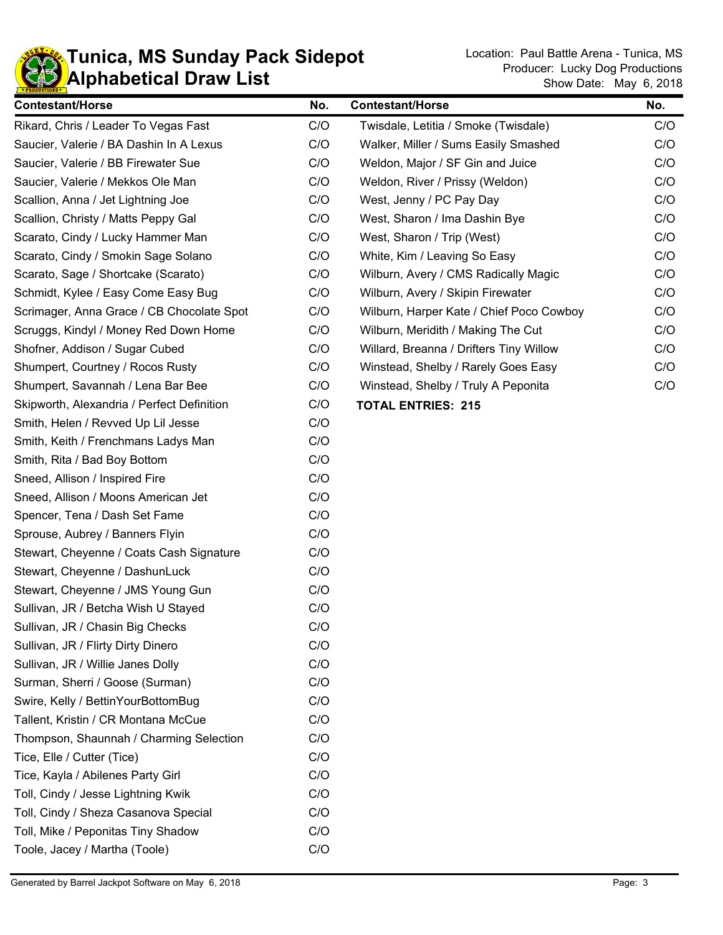

۰

| <b>Contestant/Horse</b>                    | No. | <b>Contestant/Horse</b>                  | No. |
|--------------------------------------------|-----|------------------------------------------|-----|
| Rikard, Chris / Leader To Vegas Fast       | C/O | Twisdale, Letitia / Smoke (Twisdale)     | C/O |
| Saucier, Valerie / BA Dashin In A Lexus    | C/O | Walker, Miller / Sums Easily Smashed     | C/O |
| Saucier, Valerie / BB Firewater Sue        | C/O | Weldon, Major / SF Gin and Juice         | C/O |
| Saucier, Valerie / Mekkos Ole Man          | C/O | Weldon, River / Prissy (Weldon)          | C/O |
| Scallion, Anna / Jet Lightning Joe         | C/O | West, Jenny / PC Pay Day                 | C/O |
| Scallion, Christy / Matts Peppy Gal        | C/O | West, Sharon / Ima Dashin Bye            | C/O |
| Scarato, Cindy / Lucky Hammer Man          | C/O | West, Sharon / Trip (West)               | C/O |
| Scarato, Cindy / Smokin Sage Solano        | C/O | White, Kim / Leaving So Easy             | C/O |
| Scarato, Sage / Shortcake (Scarato)        | C/O | Wilburn, Avery / CMS Radically Magic     | C/O |
| Schmidt, Kylee / Easy Come Easy Bug        | C/O | Wilburn, Avery / Skipin Firewater        | C/O |
| Scrimager, Anna Grace / CB Chocolate Spot  | C/O | Wilburn, Harper Kate / Chief Poco Cowboy | C/O |
| Scruggs, Kindyl / Money Red Down Home      | C/O | Wilburn, Meridith / Making The Cut       | C/O |
| Shofner, Addison / Sugar Cubed             | C/O | Willard, Breanna / Drifters Tiny Willow  | C/O |
| Shumpert, Courtney / Rocos Rusty           | C/O | Winstead, Shelby / Rarely Goes Easy      | C/O |
| Shumpert, Savannah / Lena Bar Bee          | C/O | Winstead, Shelby / Truly A Peponita      | C/O |
| Skipworth, Alexandria / Perfect Definition | C/O | <b>TOTAL ENTRIES: 215</b>                |     |
| Smith, Helen / Revved Up Lil Jesse         | C/O |                                          |     |
| Smith, Keith / Frenchmans Ladys Man        | C/O |                                          |     |
| Smith, Rita / Bad Boy Bottom               | C/O |                                          |     |
| Sneed, Allison / Inspired Fire             | C/O |                                          |     |
| Sneed, Allison / Moons American Jet        | C/O |                                          |     |
| Spencer, Tena / Dash Set Fame              | C/O |                                          |     |
| Sprouse, Aubrey / Banners Flyin            | C/O |                                          |     |
| Stewart, Cheyenne / Coats Cash Signature   | C/O |                                          |     |
| Stewart, Cheyenne / DashunLuck             | C/O |                                          |     |
| Stewart, Cheyenne / JMS Young Gun          | C/O |                                          |     |
| Sullivan, JR / Betcha Wish U Stayed        | C/O |                                          |     |
| Sullivan, JR / Chasin Big Checks           | C/O |                                          |     |
| Sullivan, JR / Flirty Dirty Dinero         | C/O |                                          |     |
| Sullivan, JR / Willie Janes Dolly          | C/O |                                          |     |
| Surman, Sherri / Goose (Surman)            | C/O |                                          |     |
| Swire, Kelly / BettinYourBottomBug         | C/O |                                          |     |
| Tallent, Kristin / CR Montana McCue        | C/O |                                          |     |
| Thompson, Shaunnah / Charming Selection    | C/O |                                          |     |
| Tice, Elle / Cutter (Tice)                 | C/O |                                          |     |
| Tice, Kayla / Abilenes Party Girl          | C/O |                                          |     |
| Toll, Cindy / Jesse Lightning Kwik         | C/O |                                          |     |
| Toll, Cindy / Sheza Casanova Special       | C/O |                                          |     |
| Toll, Mike / Peponitas Tiny Shadow         | C/O |                                          |     |
| Toole, Jacey / Martha (Toole)              | C/O |                                          |     |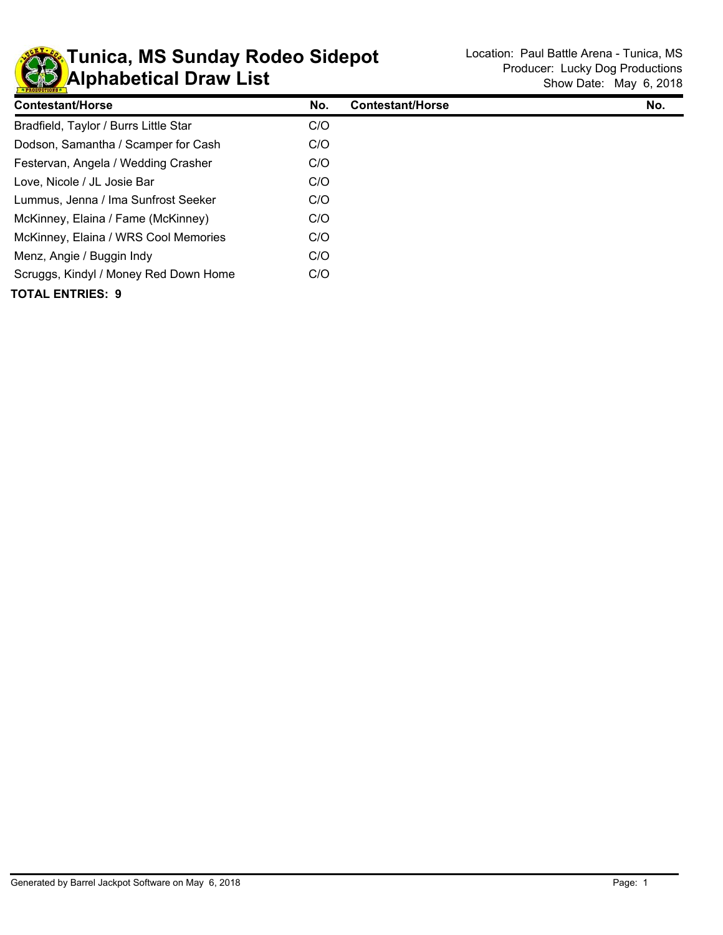

## **KD** Alphabetical Draw List **Tunica, MS Sunday Rodeo Sidepot** Location: Paul Battle Arena - Tunica, MS

| <b>Contestant/Horse</b>               | No. | <b>Contestant/Horse</b> | No. |
|---------------------------------------|-----|-------------------------|-----|
| Bradfield, Taylor / Burrs Little Star | C/O |                         |     |
| Dodson, Samantha / Scamper for Cash   | C/O |                         |     |
| Festervan, Angela / Wedding Crasher   | C/O |                         |     |
| Love, Nicole / JL Josie Bar           | C/O |                         |     |
| Lummus, Jenna / Ima Sunfrost Seeker   | C/O |                         |     |
| McKinney, Elaina / Fame (McKinney)    | C/O |                         |     |
| McKinney, Elaina / WRS Cool Memories  | C/O |                         |     |
| Menz, Angie / Buggin Indy             | C/O |                         |     |
| Scruggs, Kindyl / Money Red Down Home | C/O |                         |     |
| <b>TOTAL ENTRIES: 9</b>               |     |                         |     |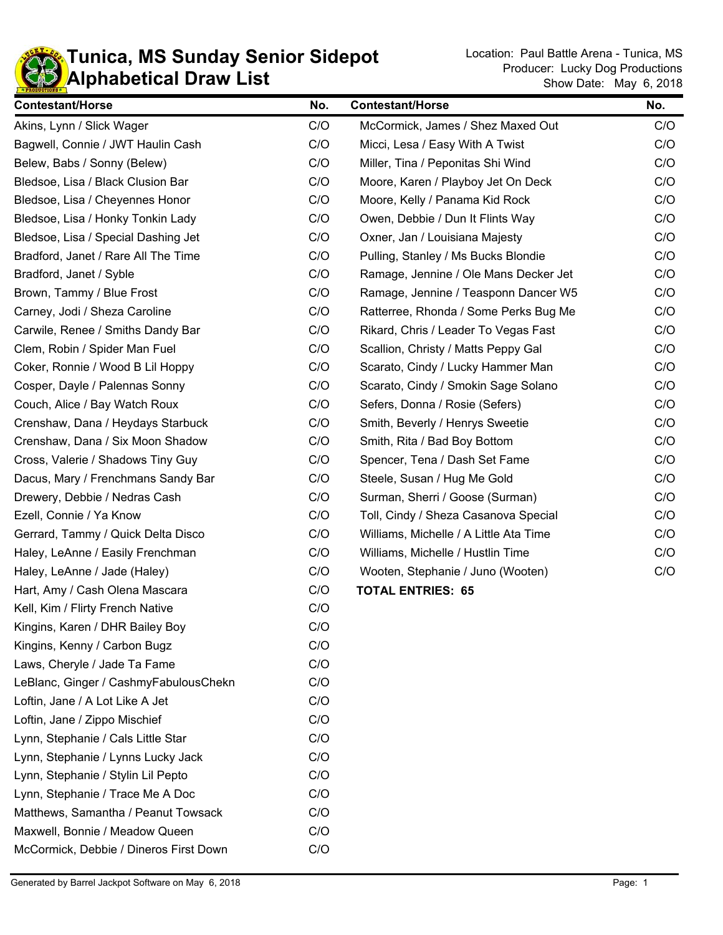

| <b>Contestant/Horse</b>                | No. | <b>Contestant/Horse</b>                | No. |
|----------------------------------------|-----|----------------------------------------|-----|
| Akins, Lynn / Slick Wager              | C/O | McCormick, James / Shez Maxed Out      | C/O |
| Bagwell, Connie / JWT Haulin Cash      | C/O | Micci, Lesa / Easy With A Twist        | C/O |
| Belew, Babs / Sonny (Belew)            | C/O | Miller, Tina / Peponitas Shi Wind      | C/O |
| Bledsoe, Lisa / Black Clusion Bar      | C/O | Moore, Karen / Playboy Jet On Deck     | C/O |
| Bledsoe, Lisa / Cheyennes Honor        | C/O | Moore, Kelly / Panama Kid Rock         | C/O |
| Bledsoe, Lisa / Honky Tonkin Lady      | C/O | Owen, Debbie / Dun It Flints Way       | C/O |
| Bledsoe, Lisa / Special Dashing Jet    | C/O | Oxner, Jan / Louisiana Majesty         | C/O |
| Bradford, Janet / Rare All The Time    | C/O | Pulling, Stanley / Ms Bucks Blondie    | C/O |
| Bradford, Janet / Syble                | C/O | Ramage, Jennine / Ole Mans Decker Jet  | C/O |
| Brown, Tammy / Blue Frost              | C/O | Ramage, Jennine / Teasponn Dancer W5   | C/O |
| Carney, Jodi / Sheza Caroline          | C/O | Ratterree, Rhonda / Some Perks Bug Me  | C/O |
| Carwile, Renee / Smiths Dandy Bar      | C/O | Rikard, Chris / Leader To Vegas Fast   | C/O |
| Clem, Robin / Spider Man Fuel          | C/O | Scallion, Christy / Matts Peppy Gal    | C/O |
| Coker, Ronnie / Wood B Lil Hoppy       | C/O | Scarato, Cindy / Lucky Hammer Man      | C/O |
| Cosper, Dayle / Palennas Sonny         | C/O | Scarato, Cindy / Smokin Sage Solano    | C/O |
| Couch, Alice / Bay Watch Roux          | C/O | Sefers, Donna / Rosie (Sefers)         | C/O |
| Crenshaw, Dana / Heydays Starbuck      | C/O | Smith, Beverly / Henrys Sweetie        | C/O |
| Crenshaw, Dana / Six Moon Shadow       | C/O | Smith, Rita / Bad Boy Bottom           | C/O |
| Cross, Valerie / Shadows Tiny Guy      | C/O | Spencer, Tena / Dash Set Fame          | C/O |
| Dacus, Mary / Frenchmans Sandy Bar     | C/O | Steele, Susan / Hug Me Gold            | C/O |
| Drewery, Debbie / Nedras Cash          | C/O | Surman, Sherri / Goose (Surman)        | C/O |
| Ezell, Connie / Ya Know                | C/O | Toll, Cindy / Sheza Casanova Special   | C/O |
| Gerrard, Tammy / Quick Delta Disco     | C/O | Williams, Michelle / A Little Ata Time | C/O |
| Haley, LeAnne / Easily Frenchman       | C/O | Williams, Michelle / Hustlin Time      | C/O |
| Haley, LeAnne / Jade (Haley)           | C/O | Wooten, Stephanie / Juno (Wooten)      | C/O |
| Hart, Amy / Cash Olena Mascara         | C/O | <b>TOTAL ENTRIES: 65</b>               |     |
| Kell, Kim / Flirty French Native       | C/O |                                        |     |
| Kingins, Karen / DHR Bailey Boy        | C/O |                                        |     |
| Kingins, Kenny / Carbon Bugz           | C/O |                                        |     |
| Laws, Cheryle / Jade Ta Fame           | C/O |                                        |     |
| LeBlanc, Ginger / CashmyFabulousChekn  | C/O |                                        |     |
| Loftin, Jane / A Lot Like A Jet        | C/O |                                        |     |
| Loftin, Jane / Zippo Mischief          | C/O |                                        |     |
| Lynn, Stephanie / Cals Little Star     | C/O |                                        |     |
| Lynn, Stephanie / Lynns Lucky Jack     | C/O |                                        |     |
| Lynn, Stephanie / Stylin Lil Pepto     | C/O |                                        |     |
| Lynn, Stephanie / Trace Me A Doc       | C/O |                                        |     |
| Matthews, Samantha / Peanut Towsack    | C/O |                                        |     |
| Maxwell, Bonnie / Meadow Queen         | C/O |                                        |     |
| McCormick, Debbie / Dineros First Down | C/O |                                        |     |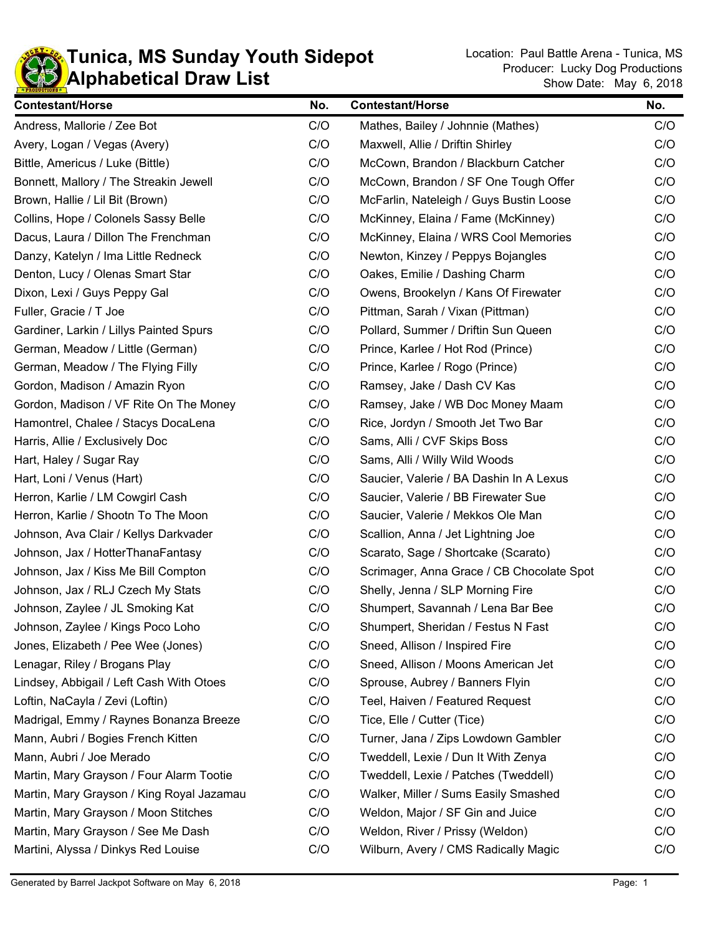

## **KD** Alphabetical Draw List **Tunica, MS Sunday Youth Sidepot** Location: Paul Battle Arena - Tunica, MS

| <b>Contestant/Horse</b>                   | No. | <b>Contestant/Horse</b>                   | No. |
|-------------------------------------------|-----|-------------------------------------------|-----|
| Andress, Mallorie / Zee Bot               | C/O | Mathes, Bailey / Johnnie (Mathes)         | C/O |
| Avery, Logan / Vegas (Avery)              | C/O | Maxwell, Allie / Driftin Shirley          | C/O |
| Bittle, Americus / Luke (Bittle)          | C/O | McCown, Brandon / Blackburn Catcher       | C/O |
| Bonnett, Mallory / The Streakin Jewell    | C/O | McCown, Brandon / SF One Tough Offer      | C/O |
| Brown, Hallie / Lil Bit (Brown)           | C/O | McFarlin, Nateleigh / Guys Bustin Loose   | C/O |
| Collins, Hope / Colonels Sassy Belle      | C/O | McKinney, Elaina / Fame (McKinney)        | C/O |
| Dacus, Laura / Dillon The Frenchman       | C/O | McKinney, Elaina / WRS Cool Memories      | C/O |
| Danzy, Katelyn / Ima Little Redneck       | C/O | Newton, Kinzey / Peppys Bojangles         | C/O |
| Denton, Lucy / Olenas Smart Star          | C/O | Oakes, Emilie / Dashing Charm             | C/O |
| Dixon, Lexi / Guys Peppy Gal              | C/O | Owens, Brookelyn / Kans Of Firewater      | C/O |
| Fuller, Gracie / T Joe                    | C/O | Pittman, Sarah / Vixan (Pittman)          | C/O |
| Gardiner, Larkin / Lillys Painted Spurs   | C/O | Pollard, Summer / Driftin Sun Queen       | C/O |
| German, Meadow / Little (German)          | C/O | Prince, Karlee / Hot Rod (Prince)         | C/O |
| German, Meadow / The Flying Filly         | C/O | Prince, Karlee / Rogo (Prince)            | C/O |
| Gordon, Madison / Amazin Ryon             | C/O | Ramsey, Jake / Dash CV Kas                | C/O |
| Gordon, Madison / VF Rite On The Money    | C/O | Ramsey, Jake / WB Doc Money Maam          | C/O |
| Hamontrel, Chalee / Stacys DocaLena       | C/O | Rice, Jordyn / Smooth Jet Two Bar         | C/O |
| Harris, Allie / Exclusively Doc           | C/O | Sams, Alli / CVF Skips Boss               | C/O |
| Hart, Haley / Sugar Ray                   | C/O | Sams, Alli / Willy Wild Woods             | C/O |
| Hart, Loni / Venus (Hart)                 | C/O | Saucier, Valerie / BA Dashin In A Lexus   | C/O |
| Herron, Karlie / LM Cowgirl Cash          | C/O | Saucier, Valerie / BB Firewater Sue       | C/O |
| Herron, Karlie / Shootn To The Moon       | C/O | Saucier, Valerie / Mekkos Ole Man         | C/O |
| Johnson, Ava Clair / Kellys Darkvader     | C/O | Scallion, Anna / Jet Lightning Joe        | C/O |
| Johnson, Jax / HotterThanaFantasy         | C/O | Scarato, Sage / Shortcake (Scarato)       | C/O |
| Johnson, Jax / Kiss Me Bill Compton       | C/O | Scrimager, Anna Grace / CB Chocolate Spot | C/O |
| Johnson, Jax / RLJ Czech My Stats         | C/O | Shelly, Jenna / SLP Morning Fire          | C/O |
| Johnson, Zaylee / JL Smoking Kat          | C/O | Shumpert, Savannah / Lena Bar Bee         | C/O |
| Johnson, Zaylee / Kings Poco Loho         | C/O | Shumpert, Sheridan / Festus N Fast        | C/O |
| Jones, Elizabeth / Pee Wee (Jones)        | C/O | Sneed, Allison / Inspired Fire            | C/O |
| Lenagar, Riley / Brogans Play             | C/O | Sneed, Allison / Moons American Jet       | C/O |
| Lindsey, Abbigail / Left Cash With Otoes  | C/O | Sprouse, Aubrey / Banners Flyin           | C/O |
| Loftin, NaCayla / Zevi (Loftin)           | C/O | Teel, Haiven / Featured Request           | C/O |
| Madrigal, Emmy / Raynes Bonanza Breeze    | C/O | Tice, Elle / Cutter (Tice)                | C/O |
| Mann, Aubri / Bogies French Kitten        | C/O | Turner, Jana / Zips Lowdown Gambler       | C/O |
| Mann, Aubri / Joe Merado                  | C/O | Tweddell, Lexie / Dun It With Zenya       | C/O |
| Martin, Mary Grayson / Four Alarm Tootie  | C/O | Tweddell, Lexie / Patches (Tweddell)      | C/O |
| Martin, Mary Grayson / King Royal Jazamau | C/O | Walker, Miller / Sums Easily Smashed      | C/O |
| Martin, Mary Grayson / Moon Stitches      | C/O | Weldon, Major / SF Gin and Juice          | C/O |
| Martin, Mary Grayson / See Me Dash        | C/O | Weldon, River / Prissy (Weldon)           | C/O |
| Martini, Alyssa / Dinkys Red Louise       | C/O | Wilburn, Avery / CMS Radically Magic      | C/O |